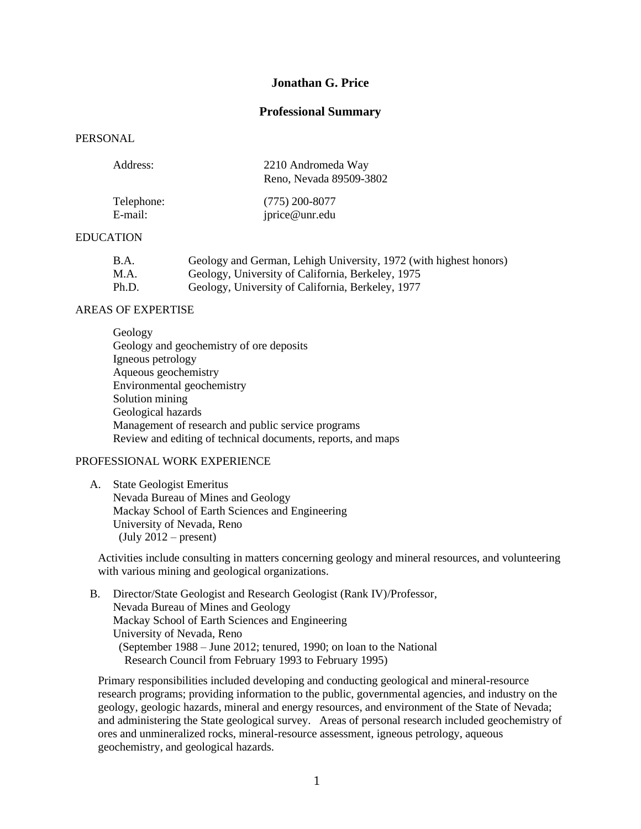# **Jonathan G. Price**

## **Professional Summary**

## PERSONAL

| Address:                | 2210 Andromeda Way<br>Reno, Nevada 89509-3802 |
|-------------------------|-----------------------------------------------|
| $T = 1 - 1 - 1 - 1 - 1$ | $(775)$ and path                              |

| Telephone: | $(775)$ 200-8077 |
|------------|------------------|
| E-mail:    | jprice@unr.edu   |

## EDUCATION

| B.A.  | Geology and German, Lehigh University, 1972 (with highest honors) |
|-------|-------------------------------------------------------------------|
| M.A.  | Geology, University of California, Berkeley, 1975                 |
| Ph.D. | Geology, University of California, Berkeley, 1977                 |

#### AREAS OF EXPERTISE

Geology Geology and geochemistry of ore deposits Igneous petrology Aqueous geochemistry Environmental geochemistry Solution mining Geological hazards Management of research and public service programs Review and editing of technical documents, reports, and maps

## PROFESSIONAL WORK EXPERIENCE

 A. State Geologist Emeritus Nevada Bureau of Mines and Geology Mackay School of Earth Sciences and Engineering University of Nevada, Reno  $(July 2012 – present)$ 

Activities include consulting in matters concerning geology and mineral resources, and volunteering with various mining and geological organizations.

 B. Director/State Geologist and Research Geologist (Rank IV)/Professor, Nevada Bureau of Mines and Geology Mackay School of Earth Sciences and Engineering University of Nevada, Reno (September 1988 – June 2012; tenured, 1990; on loan to the National Research Council from February 1993 to February 1995)

Primary responsibilities included developing and conducting geological and mineral-resource research programs; providing information to the public, governmental agencies, and industry on the geology, geologic hazards, mineral and energy resources, and environment of the State of Nevada; and administering the State geological survey. Areas of personal research included geochemistry of ores and unmineralized rocks, mineral-resource assessment, igneous petrology, aqueous geochemistry, and geological hazards.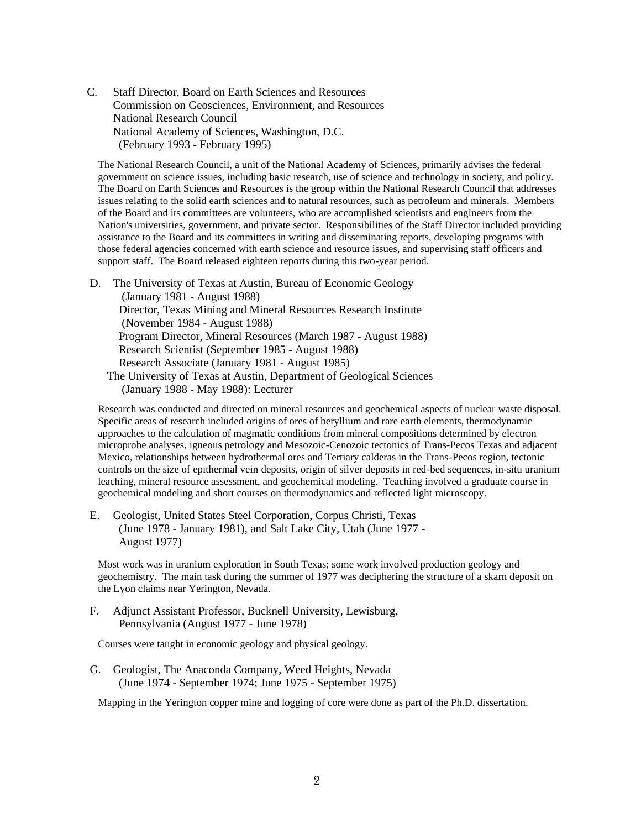C. Staff Director, Board on Earth Sciences and Resources Commission on Geosciences, Environment, and Resources National Research Council National Academy of Sciences, Washington, D.C. (February 1993 - February 1995)

The National Research Council, a unit of the National Academy of Sciences, primarily advises the federal government on science issues, including basic research, use of science and technology in society, and policy. The Board on Earth Sciences and Resources is the group within the National Research Council that addresses issues relating to the solid earth sciences and to natural resources, such as petroleum and minerals. Members of the Board and its committees are volunteers, who are accomplished scientists and engineers from the Nation's universities, government, and private sector. Responsibilities of the Staff Director included providing assistance to the Board and its committees in writing and disseminating reports, developing programs with those federal agencies concerned with earth science and resource issues, and supervising staff officers and support staff. The Board released eighteen reports during this two-year period.

 D. The University of Texas at Austin, Bureau of Economic Geology (January 1981 - August 1988) Director, Texas Mining and Mineral Resources Research Institute (November 1984 - August 1988) Program Director, Mineral Resources (March 1987 - August 1988) Research Scientist (September 1985 - August 1988) Research Associate (January 1981 - August 1985) The University of Texas at Austin, Department of Geological Sciences (January 1988 - May 1988): Lecturer

Research was conducted and directed on mineral resources and geochemical aspects of nuclear waste disposal. Specific areas of research included origins of ores of beryllium and rare earth elements, thermodynamic approaches to the calculation of magmatic conditions from mineral compositions determined by electron microprobe analyses, igneous petrology and Mesozoic-Cenozoic tectonics of Trans-Pecos Texas and adjacent Mexico, relationships between hydrothermal ores and Tertiary calderas in the Trans-Pecos region, tectonic controls on the size of epithermal vein deposits, origin of silver deposits in red-bed sequences, in-situ uranium leaching, mineral resource assessment, and geochemical modeling. Teaching involved a graduate course in geochemical modeling and short courses on thermodynamics and reflected light microscopy.

 E. Geologist, United States Steel Corporation, Corpus Christi, Texas (June 1978 - January 1981), and Salt Lake City, Utah (June 1977 - August 1977)

Most work was in uranium exploration in South Texas; some work involved production geology and geochemistry. The main task during the summer of 1977 was deciphering the structure of a skarn deposit on the Lyon claims near Yerington, Nevada.

 F. Adjunct Assistant Professor, Bucknell University, Lewisburg, Pennsylvania (August 1977 - June 1978)

Courses were taught in economic geology and physical geology.

 G. Geologist, The Anaconda Company, Weed Heights, Nevada (June 1974 - September 1974; June 1975 - September 1975)

Mapping in the Yerington copper mine and logging of core were done as part of the Ph.D. dissertation.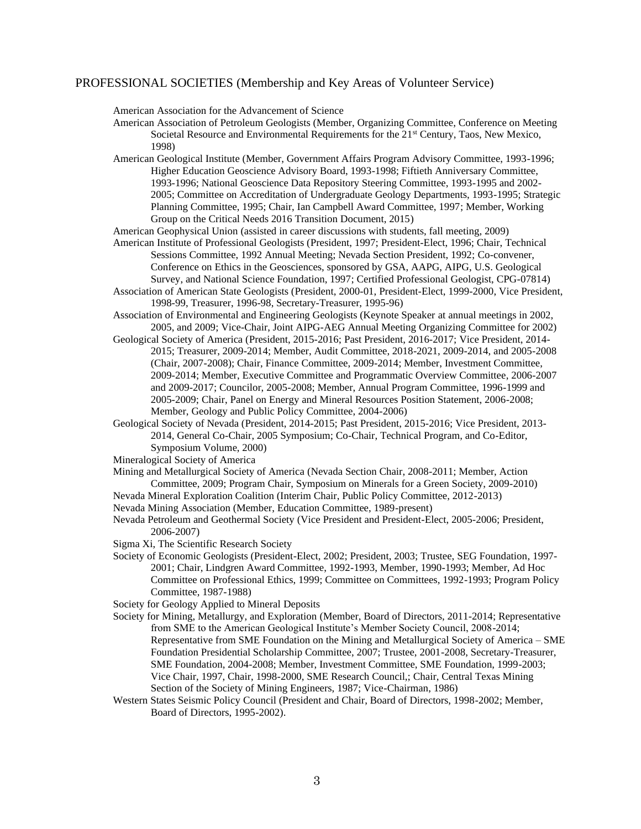### PROFESSIONAL SOCIETIES (Membership and Key Areas of Volunteer Service)

American Association for the Advancement of Science

- American Association of Petroleum Geologists (Member, Organizing Committee, Conference on Meeting Societal Resource and Environmental Requirements for the 21<sup>st</sup> Century, Taos, New Mexico, 1998)
- American Geological Institute (Member, Government Affairs Program Advisory Committee, 1993-1996; Higher Education Geoscience Advisory Board, 1993-1998; Fiftieth Anniversary Committee, 1993-1996; National Geoscience Data Repository Steering Committee, 1993-1995 and 2002- 2005; Committee on Accreditation of Undergraduate Geology Departments, 1993-1995; Strategic Planning Committee, 1995; Chair, Ian Campbell Award Committee, 1997; Member, Working Group on the Critical Needs 2016 Transition Document, 2015)
- American Geophysical Union (assisted in career discussions with students, fall meeting, 2009)
- American Institute of Professional Geologists (President, 1997; President-Elect, 1996; Chair, Technical Sessions Committee, 1992 Annual Meeting; Nevada Section President, 1992; Co-convener, Conference on Ethics in the Geosciences, sponsored by GSA, AAPG, AIPG, U.S. Geological Survey, and National Science Foundation, 1997; Certified Professional Geologist, CPG-07814)
- Association of American State Geologists (President, 2000-01, President-Elect, 1999-2000, Vice President, 1998-99, Treasurer, 1996-98, Secretary-Treasurer, 1995-96)
- Association of Environmental and Engineering Geologists (Keynote Speaker at annual meetings in 2002, 2005, and 2009; Vice-Chair, Joint AIPG-AEG Annual Meeting Organizing Committee for 2002)
- Geological Society of America (President, 2015-2016; Past President, 2016-2017; Vice President, 2014- 2015; Treasurer, 2009-2014; Member, Audit Committee, 2018-2021, 2009-2014, and 2005-2008 (Chair, 2007-2008); Chair, Finance Committee, 2009-2014; Member, Investment Committee, 2009-2014; Member, Executive Committee and Programmatic Overview Committee, 2006-2007 and 2009-2017; Councilor, 2005-2008; Member, Annual Program Committee, 1996-1999 and 2005-2009; Chair, Panel on Energy and Mineral Resources Position Statement, 2006-2008; Member, Geology and Public Policy Committee, 2004-2006)
- Geological Society of Nevada (President, 2014-2015; Past President, 2015-2016; Vice President, 2013- 2014, General Co-Chair, 2005 Symposium; Co-Chair, Technical Program, and Co-Editor, Symposium Volume, 2000)
- Mineralogical Society of America
- Mining and Metallurgical Society of America (Nevada Section Chair, 2008-2011; Member, Action Committee, 2009; Program Chair, Symposium on Minerals for a Green Society, 2009-2010)
- Nevada Mineral Exploration Coalition (Interim Chair, Public Policy Committee, 2012-2013)
- Nevada Mining Association (Member, Education Committee, 1989-present)
- Nevada Petroleum and Geothermal Society (Vice President and President-Elect, 2005-2006; President, 2006-2007)
- Sigma Xi, The Scientific Research Society
- Society of Economic Geologists (President-Elect, 2002; President, 2003; Trustee, SEG Foundation, 1997- 2001; Chair, Lindgren Award Committee, 1992-1993, Member, 1990-1993; Member, Ad Hoc Committee on Professional Ethics, 1999; Committee on Committees, 1992-1993; Program Policy Committee, 1987-1988)
- Society for Geology Applied to Mineral Deposits
- Society for Mining, Metallurgy, and Exploration (Member, Board of Directors, 2011-2014; Representative from SME to the American Geological Institute's Member Society Council, 2008-2014; Representative from SME Foundation on the Mining and Metallurgical Society of America – SME Foundation Presidential Scholarship Committee, 2007; Trustee, 2001-2008, Secretary-Treasurer, SME Foundation, 2004-2008; Member, Investment Committee, SME Foundation, 1999-2003; Vice Chair, 1997, Chair, 1998-2000, SME Research Council,; Chair, Central Texas Mining Section of the Society of Mining Engineers, 1987; Vice-Chairman, 1986)
- Western States Seismic Policy Council (President and Chair, Board of Directors, 1998-2002; Member, Board of Directors, 1995-2002).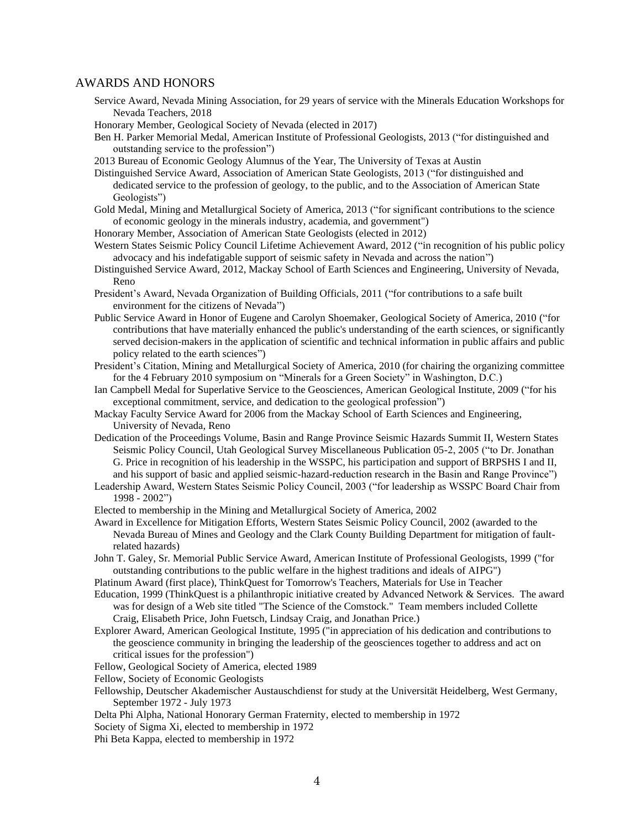#### AWARDS AND HONORS

- Service Award, Nevada Mining Association, for 29 years of service with the Minerals Education Workshops for Nevada Teachers, 2018
- Honorary Member, Geological Society of Nevada (elected in 2017)
- Ben H. Parker Memorial Medal, American Institute of Professional Geologists, 2013 ("for distinguished and outstanding service to the profession")
- 2013 Bureau of Economic Geology Alumnus of the Year, The University of Texas at Austin
- Distinguished Service Award, Association of American State Geologists, 2013 ("for distinguished and dedicated service to the profession of geology, to the public, and to the Association of American State Geologists")
- Gold Medal, Mining and Metallurgical Society of America, 2013 ("for significant contributions to the science of economic geology in the minerals industry, academia, and government")
- Honorary Member, Association of American State Geologists (elected in 2012)
- Western States Seismic Policy Council Lifetime Achievement Award, 2012 ("in recognition of his public policy advocacy and his indefatigable support of seismic safety in Nevada and across the nation")
- Distinguished Service Award, 2012, Mackay School of Earth Sciences and Engineering, University of Nevada, Reno
- President's Award, Nevada Organization of Building Officials, 2011 ("for contributions to a safe built environment for the citizens of Nevada")
- Public Service Award in Honor of Eugene and Carolyn Shoemaker, Geological Society of America, 2010 ("for contributions that have materially enhanced the public's understanding of the earth sciences, or significantly served decision-makers in the application of scientific and technical information in public affairs and public policy related to the earth sciences")
- President's Citation, Mining and Metallurgical Society of America, 2010 (for chairing the organizing committee for the 4 February 2010 symposium on "Minerals for a Green Society" in Washington, D.C.)
- Ian Campbell Medal for Superlative Service to the Geosciences, American Geological Institute, 2009 ("for his exceptional commitment, service, and dedication to the geological profession")
- Mackay Faculty Service Award for 2006 from the Mackay School of Earth Sciences and Engineering, University of Nevada, Reno
- Dedication of the Proceedings Volume, Basin and Range Province Seismic Hazards Summit II, Western States Seismic Policy Council, Utah Geological Survey Miscellaneous Publication 05-2, 2005 ("to Dr. Jonathan G. Price in recognition of his leadership in the WSSPC, his participation and support of BRPSHS I and II, and his support of basic and applied seismic-hazard-reduction research in the Basin and Range Province")
- Leadership Award, Western States Seismic Policy Council, 2003 ("for leadership as WSSPC Board Chair from 1998 - 2002")
- Elected to membership in the Mining and Metallurgical Society of America, 2002
- Award in Excellence for Mitigation Efforts, Western States Seismic Policy Council, 2002 (awarded to the Nevada Bureau of Mines and Geology and the Clark County Building Department for mitigation of faultrelated hazards)
- John T. Galey, Sr. Memorial Public Service Award, American Institute of Professional Geologists, 1999 ("for outstanding contributions to the public welfare in the highest traditions and ideals of AIPG")
- Platinum Award (first place), ThinkQuest for Tomorrow's Teachers, Materials for Use in Teacher
- Education, 1999 (ThinkQuest is a philanthropic initiative created by Advanced Network & Services. The award was for design of a Web site titled "The Science of the Comstock." Team members included Collette Craig, Elisabeth Price, John Fuetsch, Lindsay Craig, and Jonathan Price.)
- Explorer Award, American Geological Institute, 1995 ("in appreciation of his dedication and contributions to the geoscience community in bringing the leadership of the geosciences together to address and act on critical issues for the profession")
- Fellow, Geological Society of America, elected 1989
- Fellow, Society of Economic Geologists
- Fellowship, Deutscher Akademischer Austauschdienst for study at the Universität Heidelberg, West Germany, September 1972 - July 1973
- Delta Phi Alpha, National Honorary German Fraternity, elected to membership in 1972
- Society of Sigma Xi, elected to membership in 1972
- Phi Beta Kappa, elected to membership in 1972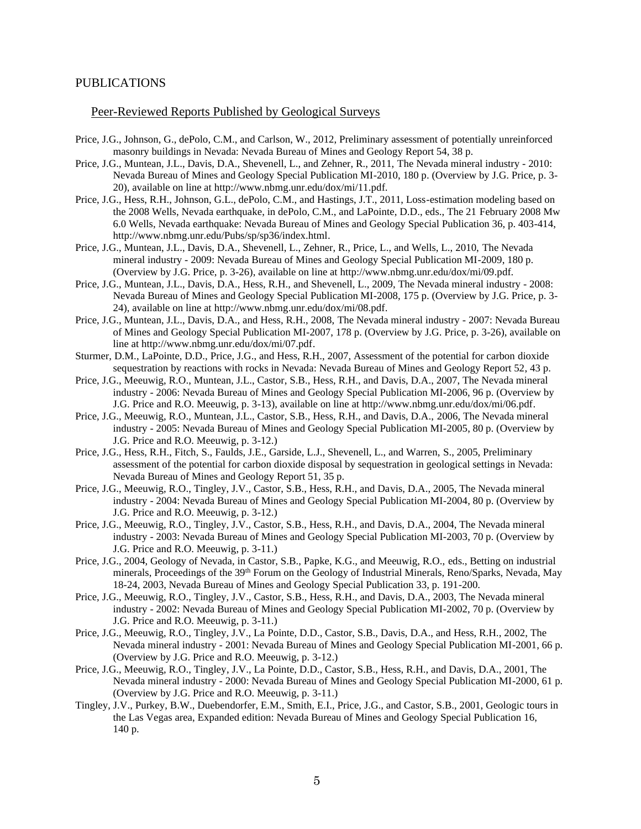#### PUBLICATIONS

### Peer-Reviewed Reports Published by Geological Surveys

- Price, J.G., Johnson, G., dePolo, C.M., and Carlson, W., 2012, Preliminary assessment of potentially unreinforced masonry buildings in Nevada: Nevada Bureau of Mines and Geology Report 54, 38 p.
- Price, J.G., Muntean, J.L., Davis, D.A., Shevenell, L., and Zehner, R., 2011, The Nevada mineral industry 2010: Nevada Bureau of Mines and Geology Special Publication MI-2010, 180 p. (Overview by J.G. Price, p. 3- 20), available on line at http://www.nbmg.unr.edu/dox/mi/11.pdf.
- Price, J.G., Hess, R.H., Johnson, G.L., dePolo, C.M., and Hastings, J.T., 2011, Loss-estimation modeling based on the 2008 Wells, Nevada earthquake, in dePolo, C.M., and LaPointe, D.D., eds., The 21 February 2008 Mw 6.0 Wells, Nevada earthquake: Nevada Bureau of Mines and Geology Special Publication 36, p. 403-414, http://www.nbmg.unr.edu/Pubs/sp/sp36/index.html.
- Price, J.G., Muntean, J.L., Davis, D.A., Shevenell, L., Zehner, R., Price, L., and Wells, L., 2010, The Nevada mineral industry - 2009: Nevada Bureau of Mines and Geology Special Publication MI-2009, 180 p. (Overview by J.G. Price, p. 3-26), available on line at http://www.nbmg.unr.edu/dox/mi/09.pdf.
- Price, J.G., Muntean, J.L., Davis, D.A., Hess, R.H., and Shevenell, L., 2009, The Nevada mineral industry 2008: Nevada Bureau of Mines and Geology Special Publication MI-2008, 175 p. (Overview by J.G. Price, p. 3- 24), available on line at http://www.nbmg.unr.edu/dox/mi/08.pdf.
- Price, J.G., Muntean, J.L., Davis, D.A., and Hess, R.H., 2008, The Nevada mineral industry 2007: Nevada Bureau of Mines and Geology Special Publication MI-2007, 178 p. (Overview by J.G. Price, p. 3-26), available on line at http://www.nbmg.unr.edu/dox/mi/07.pdf.
- Sturmer, D.M., LaPointe, D.D., Price, J.G., and Hess, R.H., 2007, Assessment of the potential for carbon dioxide sequestration by reactions with rocks in Nevada: Nevada Bureau of Mines and Geology Report 52, 43 p.
- Price, J.G., Meeuwig, R.O., Muntean, J.L., Castor, S.B., Hess, R.H., and Davis, D.A., 2007, The Nevada mineral industry - 2006: Nevada Bureau of Mines and Geology Special Publication MI-2006, 96 p. (Overview by J.G. Price and R.O. Meeuwig, p. 3-13), available on line at http://www.nbmg.unr.edu/dox/mi/06.pdf.
- Price, J.G., Meeuwig, R.O., Muntean, J.L., Castor, S.B., Hess, R.H., and Davis, D.A., 2006, The Nevada mineral industry - 2005: Nevada Bureau of Mines and Geology Special Publication MI-2005, 80 p. (Overview by J.G. Price and R.O. Meeuwig, p. 3-12.)
- Price, J.G., Hess, R.H., Fitch, S., Faulds, J.E., Garside, L.J., Shevenell, L., and Warren, S., 2005, Preliminary assessment of the potential for carbon dioxide disposal by sequestration in geological settings in Nevada: Nevada Bureau of Mines and Geology Report 51, 35 p.
- Price, J.G., Meeuwig, R.O., Tingley, J.V., Castor, S.B., Hess, R.H., and Davis, D.A., 2005, The Nevada mineral industry - 2004: Nevada Bureau of Mines and Geology Special Publication MI-2004, 80 p. (Overview by J.G. Price and R.O. Meeuwig, p. 3-12.)
- Price, J.G., Meeuwig, R.O., Tingley, J.V., Castor, S.B., Hess, R.H., and Davis, D.A., 2004, The Nevada mineral industry - 2003: Nevada Bureau of Mines and Geology Special Publication MI-2003, 70 p. (Overview by J.G. Price and R.O. Meeuwig, p. 3-11.)
- Price, J.G., 2004, Geology of Nevada, in Castor, S.B., Papke, K.G., and Meeuwig, R.O., eds., Betting on industrial minerals, Proceedings of the 39<sup>th</sup> Forum on the Geology of Industrial Minerals, Reno/Sparks, Nevada, May 18-24, 2003, Nevada Bureau of Mines and Geology Special Publication 33, p. 191-200.
- Price, J.G., Meeuwig, R.O., Tingley, J.V., Castor, S.B., Hess, R.H., and Davis, D.A., 2003, The Nevada mineral industry - 2002: Nevada Bureau of Mines and Geology Special Publication MI-2002, 70 p. (Overview by J.G. Price and R.O. Meeuwig, p. 3-11.)
- Price, J.G., Meeuwig, R.O., Tingley, J.V., La Pointe, D.D., Castor, S.B., Davis, D.A., and Hess, R.H., 2002, The Nevada mineral industry - 2001: Nevada Bureau of Mines and Geology Special Publication MI-2001, 66 p. (Overview by J.G. Price and R.O. Meeuwig, p. 3-12.)
- Price, J.G., Meeuwig, R.O., Tingley, J.V., La Pointe, D.D., Castor, S.B., Hess, R.H., and Davis, D.A., 2001, The Nevada mineral industry - 2000: Nevada Bureau of Mines and Geology Special Publication MI-2000, 61 p. (Overview by J.G. Price and R.O. Meeuwig, p. 3-11.)
- Tingley, J.V., Purkey, B.W., Duebendorfer, E.M., Smith, E.I., Price, J.G., and Castor, S.B., 2001, Geologic tours in the Las Vegas area, Expanded edition: Nevada Bureau of Mines and Geology Special Publication 16, 140 p.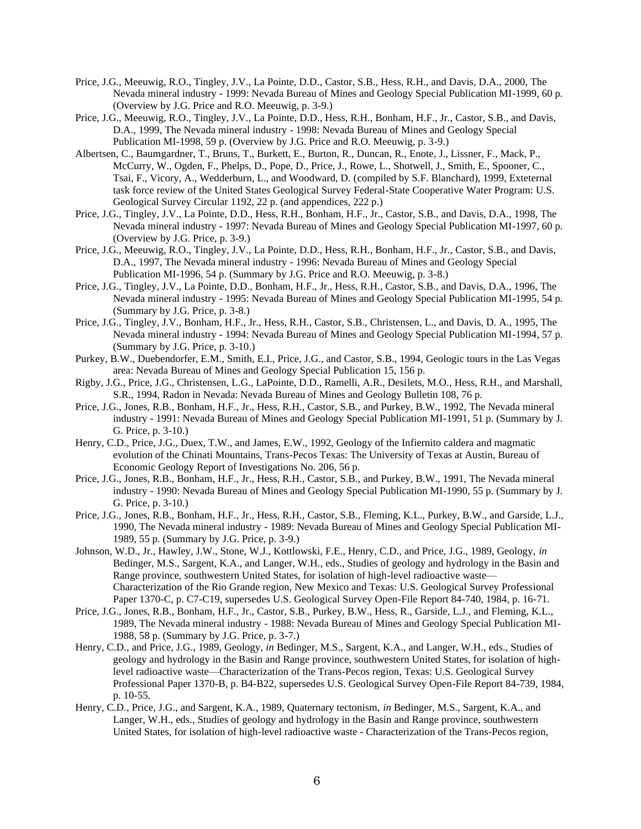- Price, J.G., Meeuwig, R.O., Tingley, J.V., La Pointe, D.D., Castor, S.B., Hess, R.H., and Davis, D.A., 2000, The Nevada mineral industry - 1999: Nevada Bureau of Mines and Geology Special Publication MI-1999, 60 p. (Overview by J.G. Price and R.O. Meeuwig, p. 3-9.)
- Price, J.G., Meeuwig, R.O., Tingley, J.V., La Pointe, D.D., Hess, R.H., Bonham, H.F., Jr., Castor, S.B., and Davis, D.A., 1999, The Nevada mineral industry - 1998: Nevada Bureau of Mines and Geology Special Publication MI-1998, 59 p. (Overview by J.G. Price and R.O. Meeuwig, p. 3-9.)
- Albertsen, C., Baumgardner, T., Bruns, T., Burkett, E., Burton, R., Duncan, R., Enote, J., Lissner, F., Mack, P., McCurry, W., Ogden, F., Phelps, D., Pope, D., Price, J., Rowe, L., Shotwell, J., Smith, E., Spooner, C., Tsai, F., Vicory, A., Wedderburn, L., and Woodward, D. (compiled by S.F. Blanchard), 1999, Exteternal task force review of the United States Geological Survey Federal-State Cooperative Water Program: U.S. Geological Survey Circular 1192, 22 p. (and appendices, 222 p.)
- Price, J.G., Tingley, J.V., La Pointe, D.D., Hess, R.H., Bonham, H.F., Jr., Castor, S.B., and Davis, D.A., 1998, The Nevada mineral industry - 1997: Nevada Bureau of Mines and Geology Special Publication MI-1997, 60 p. (Overview by J.G. Price, p. 3-9.)
- Price, J.G., Meeuwig, R.O., Tingley, J.V., La Pointe, D.D., Hess, R.H., Bonham, H.F., Jr., Castor, S.B., and Davis, D.A., 1997, The Nevada mineral industry - 1996: Nevada Bureau of Mines and Geology Special Publication MI-1996, 54 p. (Summary by J.G. Price and R.O. Meeuwig, p. 3-8.)
- Price, J.G., Tingley, J.V., La Pointe, D.D., Bonham, H.F., Jr., Hess, R.H., Castor, S.B., and Davis, D.A., 1996, The Nevada mineral industry - 1995: Nevada Bureau of Mines and Geology Special Publication MI-1995, 54 p. (Summary by J.G. Price, p. 3-8.)
- Price, J.G., Tingley, J.V., Bonham, H.F., Jr., Hess, R.H., Castor, S.B., Christensen, L., and Davis, D. A., 1995, The Nevada mineral industry - 1994: Nevada Bureau of Mines and Geology Special Publication MI-1994, 57 p. (Summary by J.G. Price, p. 3-10.)
- Purkey, B.W., Duebendorfer, E.M., Smith, E.I., Price, J.G., and Castor, S.B., 1994, Geologic tours in the Las Vegas area: Nevada Bureau of Mines and Geology Special Publication 15, 156 p.
- Rigby, J.G., Price, J.G., Christensen, L.G., LaPointe, D.D., Ramelli, A.R., Desilets, M.O., Hess, R.H., and Marshall, S.R., 1994, Radon in Nevada: Nevada Bureau of Mines and Geology Bulletin 108, 76 p.
- Price, J.G., Jones, R.B., Bonham, H.F., Jr., Hess, R.H., Castor, S.B., and Purkey, B.W., 1992, The Nevada mineral industry - 1991: Nevada Bureau of Mines and Geology Special Publication MI-1991, 51 p. (Summary by J. G. Price, p. 3-10.)
- Henry, C.D., Price, J.G., Duex, T.W., and James, E.W., 1992, Geology of the Infiernito caldera and magmatic evolution of the Chinati Mountains, Trans-Pecos Texas: The University of Texas at Austin, Bureau of Economic Geology Report of Investigations No. 206, 56 p.
- Price, J.G., Jones, R.B., Bonham, H.F., Jr., Hess, R.H., Castor, S.B., and Purkey, B.W., 1991, The Nevada mineral industry - 1990: Nevada Bureau of Mines and Geology Special Publication MI-1990, 55 p. (Summary by J. G. Price, p. 3-10.)
- Price, J.G., Jones, R.B., Bonham, H.F., Jr., Hess, R.H., Castor, S.B., Fleming, K.L., Purkey, B.W., and Garside, L.J., 1990, The Nevada mineral industry - 1989: Nevada Bureau of Mines and Geology Special Publication MI-1989, 55 p. (Summary by J.G. Price, p. 3-9.)
- Johnson, W.D., Jr., Hawley, J.W., Stone, W.J., Kottlowski, F.E., Henry, C.D., and Price, J.G., 1989, Geology, *in*  Bedinger, M.S., Sargent, K.A., and Langer, W.H., eds., Studies of geology and hydrology in the Basin and Range province, southwestern United States, for isolation of high-level radioactive waste— Characterization of the Rio Grande region, New Mexico and Texas: U.S. Geological Survey Professional Paper 1370-C, p. C7-C19, supersedes U.S. Geological Survey Open-File Report 84-740, 1984, p. 16-71.
- Price, J.G., Jones, R.B., Bonham, H.F., Jr., Castor, S.B., Purkey, B.W., Hess, R., Garside, L.J., and Fleming, K.L., 1989, The Nevada mineral industry - 1988: Nevada Bureau of Mines and Geology Special Publication MI-1988, 58 p. (Summary by J.G. Price, p. 3-7.)
- Henry, C.D., and Price, J.G., 1989, Geology, *in* Bedinger, M.S., Sargent, K.A., and Langer, W.H., eds., Studies of geology and hydrology in the Basin and Range province, southwestern United States, for isolation of highlevel radioactive waste—Characterization of the Trans-Pecos region, Texas: U.S. Geological Survey Professional Paper 1370-B, p. B4-B22, supersedes U.S. Geological Survey Open-File Report 84-739, 1984, p. 10-55.
- Henry, C.D., Price, J.G., and Sargent, K.A., 1989, Quaternary tectonism, *in* Bedinger, M.S., Sargent, K.A., and Langer, W.H., eds., Studies of geology and hydrology in the Basin and Range province, southwestern United States, for isolation of high-level radioactive waste - Characterization of the Trans-Pecos region,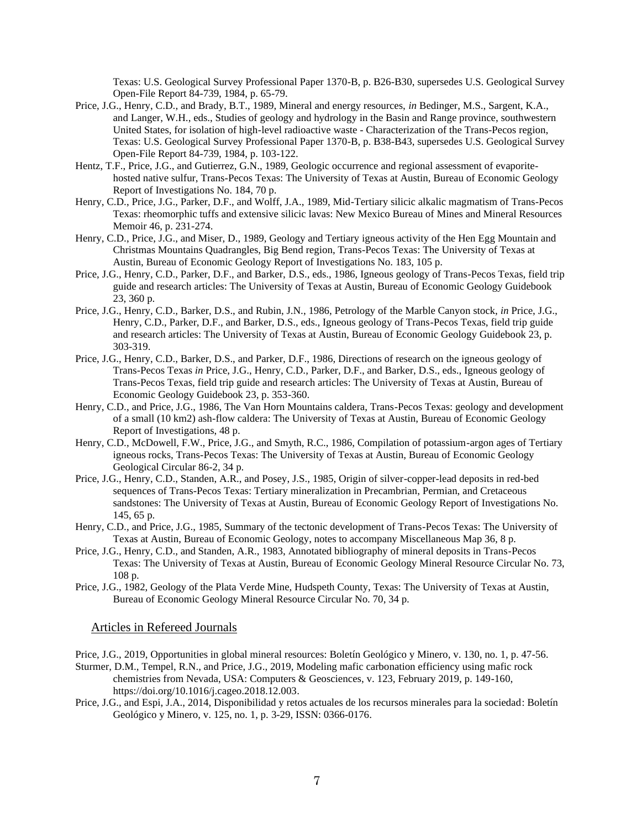Texas: U.S. Geological Survey Professional Paper 1370-B, p. B26-B30, supersedes U.S. Geological Survey Open-File Report 84-739, 1984, p. 65-79.

- Price, J.G., Henry, C.D., and Brady, B.T., 1989, Mineral and energy resources, *in* Bedinger, M.S., Sargent, K.A., and Langer, W.H., eds., Studies of geology and hydrology in the Basin and Range province, southwestern United States, for isolation of high-level radioactive waste - Characterization of the Trans-Pecos region, Texas: U.S. Geological Survey Professional Paper 1370-B, p. B38-B43, supersedes U.S. Geological Survey Open-File Report 84-739, 1984, p. 103-122.
- Hentz, T.F., Price, J.G., and Gutierrez, G.N., 1989, Geologic occurrence and regional assessment of evaporitehosted native sulfur, Trans-Pecos Texas: The University of Texas at Austin, Bureau of Economic Geology Report of Investigations No. 184, 70 p.
- Henry, C.D., Price, J.G., Parker, D.F., and Wolff, J.A., 1989, Mid-Tertiary silicic alkalic magmatism of Trans-Pecos Texas: rheomorphic tuffs and extensive silicic lavas: New Mexico Bureau of Mines and Mineral Resources Memoir 46, p. 231-274.
- Henry, C.D., Price, J.G., and Miser, D., 1989, Geology and Tertiary igneous activity of the Hen Egg Mountain and Christmas Mountains Quadrangles, Big Bend region, Trans-Pecos Texas: The University of Texas at Austin, Bureau of Economic Geology Report of Investigations No. 183, 105 p.
- Price, J.G., Henry, C.D., Parker, D.F., and Barker, D.S., eds., 1986, Igneous geology of Trans-Pecos Texas, field trip guide and research articles: The University of Texas at Austin, Bureau of Economic Geology Guidebook 23, 360 p.
- Price, J.G., Henry, C.D., Barker, D.S., and Rubin, J.N., 1986, Petrology of the Marble Canyon stock, *in* Price, J.G., Henry, C.D., Parker, D.F., and Barker, D.S., eds., Igneous geology of Trans-Pecos Texas, field trip guide and research articles: The University of Texas at Austin, Bureau of Economic Geology Guidebook 23, p. 303-319.
- Price, J.G., Henry, C.D., Barker, D.S., and Parker, D.F., 1986, Directions of research on the igneous geology of Trans-Pecos Texas *in* Price, J.G., Henry, C.D., Parker, D.F., and Barker, D.S., eds., Igneous geology of Trans-Pecos Texas, field trip guide and research articles: The University of Texas at Austin, Bureau of Economic Geology Guidebook 23, p. 353-360.
- Henry, C.D., and Price, J.G., 1986, The Van Horn Mountains caldera, Trans-Pecos Texas: geology and development of a small (10 km2) ash-flow caldera: The University of Texas at Austin, Bureau of Economic Geology Report of Investigations, 48 p.
- Henry, C.D., McDowell, F.W., Price, J.G., and Smyth, R.C., 1986, Compilation of potassium-argon ages of Tertiary igneous rocks, Trans-Pecos Texas: The University of Texas at Austin, Bureau of Economic Geology Geological Circular 86-2, 34 p.
- Price, J.G., Henry, C.D., Standen, A.R., and Posey, J.S., 1985, Origin of silver-copper-lead deposits in red-bed sequences of Trans-Pecos Texas: Tertiary mineralization in Precambrian, Permian, and Cretaceous sandstones: The University of Texas at Austin, Bureau of Economic Geology Report of Investigations No. 145, 65 p.
- Henry, C.D., and Price, J.G., 1985, Summary of the tectonic development of Trans-Pecos Texas: The University of Texas at Austin, Bureau of Economic Geology, notes to accompany Miscellaneous Map 36, 8 p.
- Price, J.G., Henry, C.D., and Standen, A.R., 1983, Annotated bibliography of mineral deposits in Trans-Pecos Texas: The University of Texas at Austin, Bureau of Economic Geology Mineral Resource Circular No. 73, 108 p.
- Price, J.G., 1982, Geology of the Plata Verde Mine, Hudspeth County, Texas: The University of Texas at Austin, Bureau of Economic Geology Mineral Resource Circular No. 70, 34 p.

## Articles in Refereed Journals

Price, J.G., 2019, Opportunities in global mineral resources: Boletín Geológico y Minero, v. 130, no. 1, p. 47-56.

Sturmer, D.M., Tempel, R.N., and Price, J.G., 2019, Modeling mafic carbonation efficiency using mafic rock chemistries from Nevada, USA: Computers & Geosciences, v. 123, February 2019, p. 149-160, [https://doi.org/10.1016/j.cageo.2018.12.003.](https://doi.org/10.1016/j.cageo.2018.12.003)

Price, J.G., and Espi, J.A., 2014, Disponibilidad y retos actuales de los recursos minerales para la sociedad: Boletín Geológico y Minero, v. 125, no. 1, p. 3-29, ISSN: 0366-0176.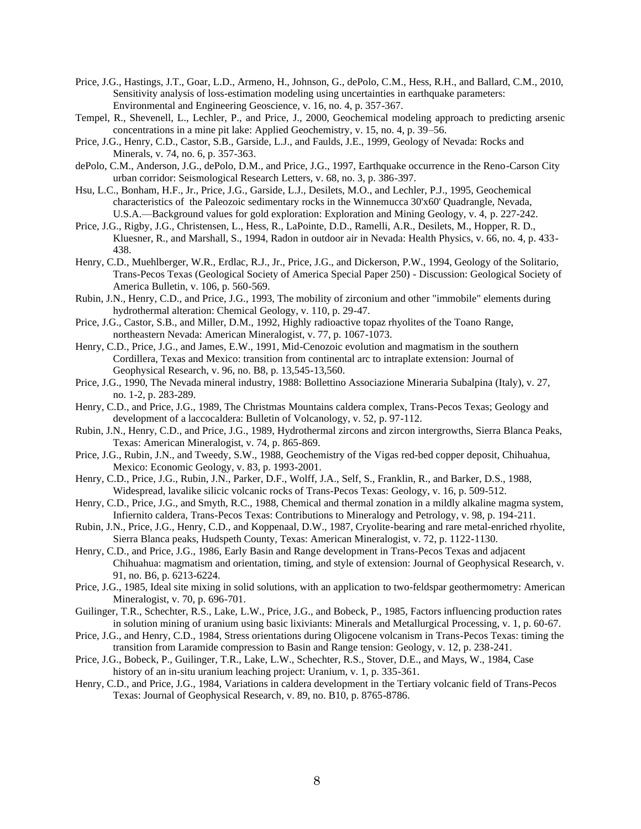- Price, J.G., Hastings, J.T., Goar, L.D., Armeno, H., Johnson, G., dePolo, C.M., Hess, R.H., and Ballard, C.M., 2010, Sensitivity analysis of loss-estimation modeling using uncertainties in earthquake parameters: Environmental and Engineering Geoscience, v. 16, no. 4, p. 357-367.
- Tempel, R., Shevenell, L., Lechler, P., and Price, J., 2000, Geochemical modeling approach to predicting arsenic concentrations in a mine pit lake: Applied Geochemistry, v. 15, no. 4, p. 39–56.
- Price, J.G., Henry, C.D., Castor, S.B., Garside, L.J., and Faulds, J.E., 1999, Geology of Nevada: Rocks and Minerals, v. 74, no. 6, p. 357-363.
- dePolo, C.M., Anderson, J.G., dePolo, D.M., and Price, J.G., 1997, Earthquake occurrence in the Reno-Carson City urban corridor: Seismological Research Letters, v. 68, no. 3, p. 386-397.
- Hsu, L.C., Bonham, H.F., Jr., Price, J.G., Garside, L.J., Desilets, M.O., and Lechler, P.J., 1995, Geochemical characteristics of the Paleozoic sedimentary rocks in the Winnemucca 30'x60' Quadrangle, Nevada, U.S.A.—Background values for gold exploration: Exploration and Mining Geology, v. 4, p. 227-242.
- Price, J.G., Rigby, J.G., Christensen, L., Hess, R., LaPointe, D.D., Ramelli, A.R., Desilets, M., Hopper, R. D., Kluesner, R., and Marshall, S., 1994, Radon in outdoor air in Nevada: Health Physics, v. 66, no. 4, p. 433- 438.
- Henry, C.D., Muehlberger, W.R., Erdlac, R.J., Jr., Price, J.G., and Dickerson, P.W., 1994, Geology of the Solitario, Trans-Pecos Texas (Geological Society of America Special Paper 250) - Discussion: Geological Society of America Bulletin, v. 106, p. 560-569.
- Rubin, J.N., Henry, C.D., and Price, J.G., 1993, The mobility of zirconium and other "immobile" elements during hydrothermal alteration: Chemical Geology, v. 110, p. 29-47.
- Price, J.G., Castor, S.B., and Miller, D.M., 1992, Highly radioactive topaz rhyolites of the Toano Range, northeastern Nevada: American Mineralogist, v. 77, p. 1067-1073.
- Henry, C.D., Price, J.G., and James, E.W., 1991, Mid-Cenozoic evolution and magmatism in the southern Cordillera, Texas and Mexico: transition from continental arc to intraplate extension: Journal of Geophysical Research, v. 96, no. B8, p. 13,545-13,560.
- Price, J.G., 1990, The Nevada mineral industry, 1988: Bollettino Associazione Mineraria Subalpina (Italy), v. 27, no. 1-2, p. 283-289.
- Henry, C.D., and Price, J.G., 1989, The Christmas Mountains caldera complex, Trans-Pecos Texas; Geology and development of a laccocaldera: Bulletin of Volcanology, v. 52, p. 97-112.
- Rubin, J.N., Henry, C.D., and Price, J.G., 1989, Hydrothermal zircons and zircon intergrowths, Sierra Blanca Peaks, Texas: American Mineralogist, v. 74, p. 865-869.
- Price, J.G., Rubin, J.N., and Tweedy, S.W., 1988, Geochemistry of the Vigas red-bed copper deposit, Chihuahua, Mexico: Economic Geology, v. 83, p. 1993-2001.
- Henry, C.D., Price, J.G., Rubin, J.N., Parker, D.F., Wolff, J.A., Self, S., Franklin, R., and Barker, D.S., 1988, Widespread, lavalike silicic volcanic rocks of Trans-Pecos Texas: Geology, v. 16, p. 509-512.
- Henry, C.D., Price, J.G., and Smyth, R.C., 1988, Chemical and thermal zonation in a mildly alkaline magma system, Infiernito caldera, Trans-Pecos Texas: Contributions to Mineralogy and Petrology, v. 98, p. 194-211.
- Rubin, J.N., Price, J.G., Henry, C.D., and Koppenaal, D.W., 1987, Cryolite-bearing and rare metal-enriched rhyolite, Sierra Blanca peaks, Hudspeth County, Texas: American Mineralogist, v. 72, p. 1122-1130.
- Henry, C.D., and Price, J.G., 1986, Early Basin and Range development in Trans-Pecos Texas and adjacent Chihuahua: magmatism and orientation, timing, and style of extension: Journal of Geophysical Research, v. 91, no. B6, p. 6213-6224.
- Price, J.G., 1985, Ideal site mixing in solid solutions, with an application to two-feldspar geothermometry: American Mineralogist, v. 70, p. 696-701.
- Guilinger, T.R., Schechter, R.S., Lake, L.W., Price, J.G., and Bobeck, P., 1985, Factors influencing production rates in solution mining of uranium using basic lixiviants: Minerals and Metallurgical Processing, v. 1, p. 60-67.
- Price, J.G., and Henry, C.D., 1984, Stress orientations during Oligocene volcanism in Trans-Pecos Texas: timing the transition from Laramide compression to Basin and Range tension: Geology, v. 12, p. 238-241.
- Price, J.G., Bobeck, P., Guilinger, T.R., Lake, L.W., Schechter, R.S., Stover, D.E., and Mays, W., 1984, Case history of an in-situ uranium leaching project: Uranium, v. 1, p. 335-361.
- Henry, C.D., and Price, J.G., 1984, Variations in caldera development in the Tertiary volcanic field of Trans-Pecos Texas: Journal of Geophysical Research, v. 89, no. B10, p. 8765-8786.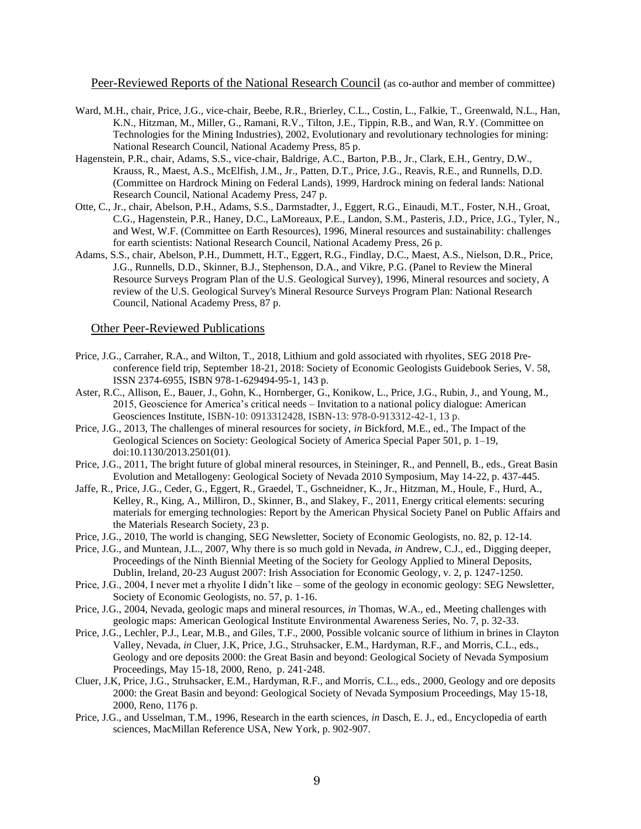Peer-Reviewed Reports of the National Research Council (as co-author and member of committee)

- Ward, M.H., chair, Price, J.G., vice-chair, Beebe, R.R., Brierley, C.L., Costin, L., Falkie, T., Greenwald, N.L., Han, K.N., Hitzman, M., Miller, G., Ramani, R.V., Tilton, J.E., Tippin, R.B., and Wan, R.Y. (Committee on Technologies for the Mining Industries), 2002, Evolutionary and revolutionary technologies for mining: National Research Council, National Academy Press, 85 p.
- Hagenstein, P.R., chair, Adams, S.S., vice-chair, Baldrige, A.C., Barton, P.B., Jr., Clark, E.H., Gentry, D.W., Krauss, R., Maest, A.S., McElfish, J.M., Jr., Patten, D.T., Price, J.G., Reavis, R.E., and Runnells, D.D. (Committee on Hardrock Mining on Federal Lands), 1999, Hardrock mining on federal lands: National Research Council, National Academy Press, 247 p.
- Otte, C., Jr., chair, Abelson, P.H., Adams, S.S., Darmstadter, J., Eggert, R.G., Einaudi, M.T., Foster, N.H., Groat, C.G., Hagenstein, P.R., Haney, D.C., LaMoreaux, P.E., Landon, S.M., Pasteris, J.D., Price, J.G., Tyler, N., and West, W.F. (Committee on Earth Resources), 1996, Mineral resources and sustainability: challenges for earth scientists: National Research Council, National Academy Press, 26 p.
- Adams, S.S., chair, Abelson, P.H., Dummett, H.T., Eggert, R.G., Findlay, D.C., Maest, A.S., Nielson, D.R., Price, J.G., Runnells, D.D., Skinner, B.J., Stephenson, D.A., and Vikre, P.G. (Panel to Review the Mineral Resource Surveys Program Plan of the U.S. Geological Survey), 1996, Mineral resources and society, A review of the U.S. Geological Survey's Mineral Resource Surveys Program Plan: National Research Council, National Academy Press, 87 p.

#### Other Peer-Reviewed Publications

- Price, J.G., Carraher, R.A., and Wilton, T., 2018, Lithium and gold associated with rhyolites, SEG 2018 Preconference field trip, September 18-21, 2018: Society of Economic Geologists Guidebook Series, V. 58, ISSN 2374-6955, ISBN 978-1-629494-95-1, 143 p.
- Aster, R.C., Allison, E., Bauer, J., Gohn, K., Hornberger, G., Konikow, L., Price, J.G., Rubin, J., and Young, M., 2015, Geoscience for America's critical needs – Invitation to a national policy dialogue: American Geosciences Institute, ISBN-10: 0913312428, ISBN-13: 978-0-913312-42-1, 13 p.
- Price, J.G., 2013, The challenges of mineral resources for society, *in* Bickford, M.E., ed., The Impact of the Geological Sciences on Society: Geological Society of America Special Paper 501, p. 1–19, doi:10.1130/2013.2501(01).
- Price, J.G., 2011, The bright future of global mineral resources, in Steininger, R., and Pennell, B., eds., Great Basin Evolution and Metallogeny: Geological Society of Nevada 2010 Symposium, May 14-22, p. 437-445.
- Jaffe, R., Price, J.G., Ceder, G., Eggert, R., Graedel, T., Gschneidner, K., Jr., Hitzman, M., Houle, F., Hurd, A., Kelley, R., King, A., Milliron, D., Skinner, B., and Slakey, F., 2011, Energy critical elements: securing materials for emerging technologies: Report by the American Physical Society Panel on Public Affairs and the Materials Research Society, 23 p.
- Price, J.G., 2010, The world is changing, SEG Newsletter, Society of Economic Geologists, no. 82, p. 12-14.
- Price, J.G., and Muntean, J.L., 2007, Why there is so much gold in Nevada, *in* Andrew, C.J., ed., Digging deeper, Proceedings of the Ninth Biennial Meeting of the Society for Geology Applied to Mineral Deposits, Dublin, Ireland, 20-23 August 2007: Irish Association for Economic Geology, v. 2, p. 1247-1250.
- Price, J.G., 2004, I never met a rhyolite I didn't like some of the geology in economic geology: SEG Newsletter, Society of Economic Geologists, no. 57, p. 1-16.
- Price, J.G., 2004, Nevada, geologic maps and mineral resources, *in* Thomas, W.A., ed., Meeting challenges with geologic maps: American Geological Institute Environmental Awareness Series, No. 7, p. 32-33.
- Price, J.G., Lechler, P.J., Lear, M.B., and Giles, T.F., 2000, Possible volcanic source of lithium in brines in Clayton Valley, Nevada, *in* Cluer, J.K, Price, J.G., Struhsacker, E.M., Hardyman, R.F., and Morris, C.L., eds., Geology and ore deposits 2000: the Great Basin and beyond: Geological Society of Nevada Symposium Proceedings, May 15-18, 2000, Reno, p. 241-248.
- Cluer, J.K, Price, J.G., Struhsacker, E.M., Hardyman, R.F., and Morris, C.L., eds., 2000, Geology and ore deposits 2000: the Great Basin and beyond: Geological Society of Nevada Symposium Proceedings, May 15-18, 2000, Reno, 1176 p.
- Price, J.G., and Usselman, T.M., 1996, Research in the earth sciences, *in* Dasch, E. J., ed., Encyclopedia of earth sciences, MacMillan Reference USA, New York, p. 902-907.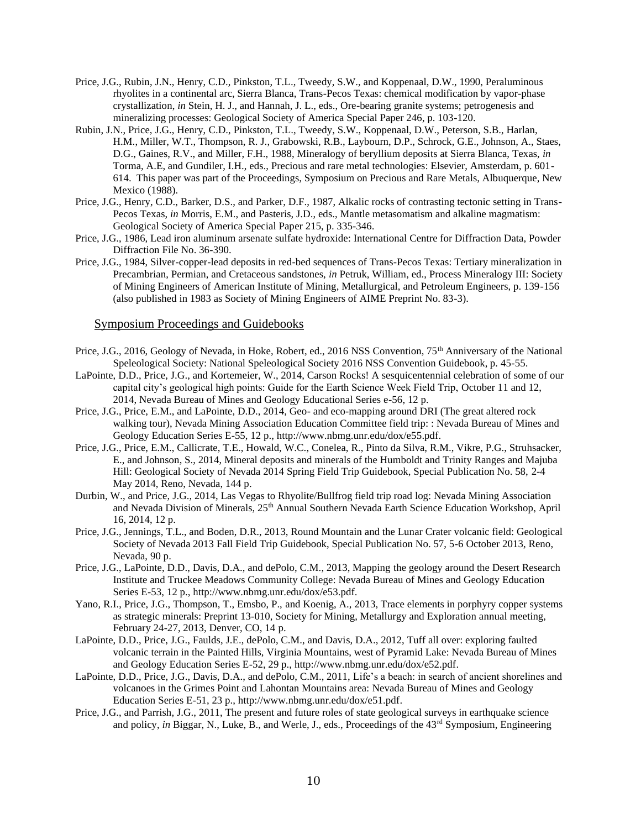- Price, J.G., Rubin, J.N., Henry, C.D., Pinkston, T.L., Tweedy, S.W., and Koppenaal, D.W., 1990, Peraluminous rhyolites in a continental arc, Sierra Blanca, Trans-Pecos Texas: chemical modification by vapor-phase crystallization, *in* Stein, H. J., and Hannah, J. L., eds., Ore-bearing granite systems; petrogenesis and mineralizing processes: Geological Society of America Special Paper 246, p. 103-120.
- Rubin, J.N., Price, J.G., Henry, C.D., Pinkston, T.L., Tweedy, S.W., Koppenaal, D.W., Peterson, S.B., Harlan, H.M., Miller, W.T., Thompson, R. J., Grabowski, R.B., Laybourn, D.P., Schrock, G.E., Johnson, A., Staes, D.G., Gaines, R.V., and Miller, F.H., 1988, Mineralogy of beryllium deposits at Sierra Blanca, Texas, *in* Torma, A.E, and Gundiler, I.H., eds., Precious and rare metal technologies: Elsevier, Amsterdam, p. 601- 614. This paper was part of the Proceedings, Symposium on Precious and Rare Metals, Albuquerque, New Mexico (1988).
- Price, J.G., Henry, C.D., Barker, D.S., and Parker, D.F., 1987, Alkalic rocks of contrasting tectonic setting in Trans-Pecos Texas, *in* Morris, E.M., and Pasteris, J.D., eds., Mantle metasomatism and alkaline magmatism: Geological Society of America Special Paper 215, p. 335-346.
- Price, J.G., 1986, Lead iron aluminum arsenate sulfate hydroxide: International Centre for Diffraction Data, Powder Diffraction File No. 36-390.
- Price, J.G., 1984, Silver-copper-lead deposits in red-bed sequences of Trans-Pecos Texas: Tertiary mineralization in Precambrian, Permian, and Cretaceous sandstones, *in* Petruk, William, ed., Process Mineralogy III: Society of Mining Engineers of American Institute of Mining, Metallurgical, and Petroleum Engineers, p. 139-156 (also published in 1983 as Society of Mining Engineers of AIME Preprint No. 83-3).

### Symposium Proceedings and Guidebooks

- Price, J.G., 2016, Geology of Nevada, in Hoke, Robert, ed., 2016 NSS Convention, 75<sup>th</sup> Anniversary of the National Speleological Society: National Speleological Society 2016 NSS Convention Guidebook, p. 45-55.
- LaPointe, D.D., Price, J.G., and Kortemeier, W., 2014, Carson Rocks! A sesquicentennial celebration of some of our capital city's geological high points: Guide for the Earth Science Week Field Trip, October 11 and 12, 2014, Nevada Bureau of Mines and Geology Educational Series e-56, 12 p.
- Price, J.G., Price, E.M., and LaPointe, D.D., 2014, Geo- and eco-mapping around DRI (The great altered rock walking tour), Nevada Mining Association Education Committee field trip: : Nevada Bureau of Mines and Geology Education Series E-55, 12 p., http://www.nbmg.unr.edu/dox/e55.pdf.
- Price, J.G., Price, E.M., Callicrate, T.E., Howald, W.C., Conelea, R., Pinto da Silva, R.M., Vikre, P.G., Struhsacker, E., and Johnson, S., 2014, Mineral deposits and minerals of the Humboldt and Trinity Ranges and Majuba Hill: Geological Society of Nevada 2014 Spring Field Trip Guidebook, Special Publication No. 58, 2-4 May 2014, Reno, Nevada, 144 p.
- Durbin, W., and Price, J.G., 2014, Las Vegas to Rhyolite/Bullfrog field trip road log: Nevada Mining Association and Nevada Division of Minerals, 25th Annual Southern Nevada Earth Science Education Workshop, April 16, 2014, 12 p.
- Price, J.G., Jennings, T.L., and Boden, D.R., 2013, Round Mountain and the Lunar Crater volcanic field: Geological Society of Nevada 2013 Fall Field Trip Guidebook, Special Publication No. 57, 5-6 October 2013, Reno, Nevada, 90 p.
- Price, J.G., LaPointe, D.D., Davis, D.A., and dePolo, C.M., 2013, Mapping the geology around the Desert Research Institute and Truckee Meadows Community College: Nevada Bureau of Mines and Geology Education Series E-53, 12 p., http://www.nbmg.unr.edu/dox/e53.pdf.
- Yano, R.I., Price, J.G., Thompson, T., Emsbo, P., and Koenig, A., 2013, Trace elements in porphyry copper systems as strategic minerals: Preprint 13-010, Society for Mining, Metallurgy and Exploration annual meeting, February 24-27, 2013, Denver, CO, 14 p.
- LaPointe, D.D., Price, J.G., Faulds, J.E., dePolo, C.M., and Davis, D.A., 2012, Tuff all over: exploring faulted volcanic terrain in the Painted Hills, Virginia Mountains, west of Pyramid Lake: Nevada Bureau of Mines and Geology Education Series E-52, 29 p., http://www.nbmg.unr.edu/dox/e52.pdf.
- LaPointe, D.D., Price, J.G., Davis, D.A., and dePolo, C.M., 2011, Life's a beach: in search of ancient shorelines and volcanoes in the Grimes Point and Lahontan Mountains area: Nevada Bureau of Mines and Geology Education Series E-51, 23 p., http://www.nbmg.unr.edu/dox/e51.pdf.
- Price, J.G., and Parrish, J.G., 2011, The present and future roles of state geological surveys in earthquake science and policy, *in* Biggar, N., Luke, B., and Werle, J., eds., Proceedings of the 43<sup>rd</sup> Symposium, Engineering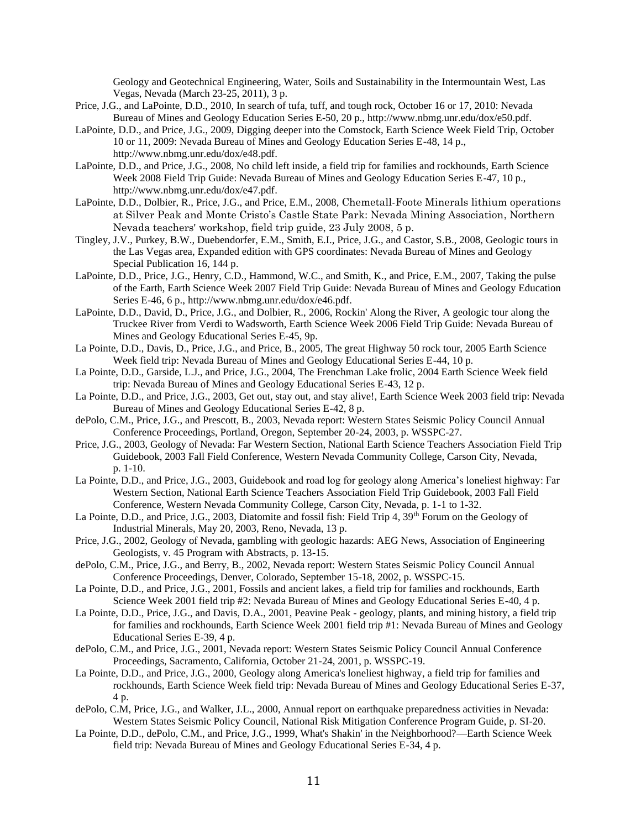Geology and Geotechnical Engineering, Water, Soils and Sustainability in the Intermountain West, Las Vegas, Nevada (March 23-25, 2011), 3 p.

- Price, J.G., and LaPointe, D.D., 2010, In search of tufa, tuff, and tough rock, October 16 or 17, 2010: Nevada Bureau of Mines and Geology Education Series E-50, 20 p., http://www.nbmg.unr.edu/dox/e50.pdf.
- LaPointe, D.D., and Price, J.G., 2009, Digging deeper into the Comstock, Earth Science Week Field Trip, October 10 or 11, 2009: Nevada Bureau of Mines and Geology Education Series E-48, 14 p., http://www.nbmg.unr.edu/dox/e48.pdf.
- LaPointe, D.D., and Price, J.G., 2008, No child left inside, a field trip for families and rockhounds, Earth Science Week 2008 Field Trip Guide: Nevada Bureau of Mines and Geology Education Series E-47, 10 p., http://www.nbmg.unr.edu/dox/e47.pdf.
- LaPointe, D.D., Dolbier, R., Price, J.G., and Price, E.M., 2008, Chemetall-Foote Minerals lithium operations at Silver Peak and Monte Cristo's Castle State Park: Nevada Mining Association, Northern Nevada teachers' workshop, field trip guide, 23 July 2008, 5 p.
- Tingley, J.V., Purkey, B.W., Duebendorfer, E.M., Smith, E.I., Price, J.G., and Castor, S.B., 2008, Geologic tours in the Las Vegas area, Expanded edition with GPS coordinates: Nevada Bureau of Mines and Geology Special Publication 16, 144 p.
- LaPointe, D.D., Price, J.G., Henry, C.D., Hammond, W.C., and Smith, K., and Price, E.M., 2007, Taking the pulse of the Earth, Earth Science Week 2007 Field Trip Guide: Nevada Bureau of Mines and Geology Education Series E-46, 6 p., http://www.nbmg.unr.edu/dox/e46.pdf.
- LaPointe, D.D., David, D., Price, J.G., and Dolbier, R., 2006, Rockin' Along the River, A geologic tour along the Truckee River from Verdi to Wadsworth, Earth Science Week 2006 Field Trip Guide: Nevada Bureau of Mines and Geology Educational Series E-45, 9p.
- La Pointe, D.D., Davis, D., Price, J.G., and Price, B., 2005, The great Highway 50 rock tour, 2005 Earth Science Week field trip: Nevada Bureau of Mines and Geology Educational Series E-44, 10 p.
- La Pointe, D.D., Garside, L.J., and Price, J.G., 2004, The Frenchman Lake frolic, 2004 Earth Science Week field trip: Nevada Bureau of Mines and Geology Educational Series E-43, 12 p.
- La Pointe, D.D., and Price, J.G., 2003, Get out, stay out, and stay alive!, Earth Science Week 2003 field trip: Nevada Bureau of Mines and Geology Educational Series E-42, 8 p.
- dePolo, C.M., Price, J.G., and Prescott, B., 2003, Nevada report: Western States Seismic Policy Council Annual Conference Proceedings, Portland, Oregon, September 20-24, 2003, p. WSSPC-27.
- Price, J.G., 2003, Geology of Nevada: Far Western Section, National Earth Science Teachers Association Field Trip Guidebook, 2003 Fall Field Conference, Western Nevada Community College, Carson City, Nevada, p. 1-10.
- La Pointe, D.D., and Price, J.G., 2003, Guidebook and road log for geology along America's loneliest highway: Far Western Section, National Earth Science Teachers Association Field Trip Guidebook, 2003 Fall Field Conference, Western Nevada Community College, Carson City, Nevada, p. 1-1 to 1-32.
- La Pointe, D.D., and Price, J.G., 2003, Diatomite and fossil fish: Field Trip 4, 39<sup>th</sup> Forum on the Geology of Industrial Minerals, May 20, 2003, Reno, Nevada, 13 p.
- Price, J.G., 2002, Geology of Nevada, gambling with geologic hazards: AEG News, Association of Engineering Geologists, v. 45 Program with Abstracts, p. 13-15.
- dePolo, C.M., Price, J.G., and Berry, B., 2002, Nevada report: Western States Seismic Policy Council Annual Conference Proceedings, Denver, Colorado, September 15-18, 2002, p. WSSPC-15.
- La Pointe, D.D., and Price, J.G., 2001, Fossils and ancient lakes, a field trip for families and rockhounds, Earth Science Week 2001 field trip #2: Nevada Bureau of Mines and Geology Educational Series E-40, 4 p.
- La Pointe, D.D., Price, J.G., and Davis, D.A., 2001, Peavine Peak geology, plants, and mining history, a field trip for families and rockhounds, Earth Science Week 2001 field trip #1: Nevada Bureau of Mines and Geology Educational Series E-39, 4 p.
- dePolo, C.M., and Price, J.G., 2001, Nevada report: Western States Seismic Policy Council Annual Conference Proceedings, Sacramento, California, October 21-24, 2001, p. WSSPC-19.
- La Pointe, D.D., and Price, J.G., 2000, Geology along America's loneliest highway, a field trip for families and rockhounds, Earth Science Week field trip: Nevada Bureau of Mines and Geology Educational Series E-37, 4 p.
- dePolo, C.M, Price, J.G., and Walker, J.L., 2000, Annual report on earthquake preparedness activities in Nevada: Western States Seismic Policy Council, National Risk Mitigation Conference Program Guide, p. SI-20.
- La Pointe, D.D., dePolo, C.M., and Price, J.G., 1999, What's Shakin' in the Neighborhood?—Earth Science Week field trip: Nevada Bureau of Mines and Geology Educational Series E-34, 4 p.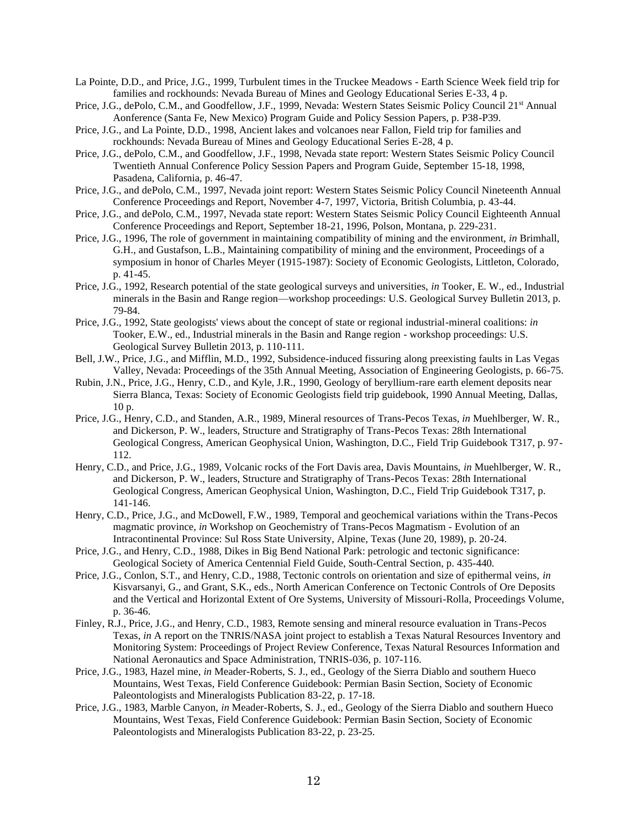- La Pointe, D.D., and Price, J.G., 1999, Turbulent times in the Truckee Meadows Earth Science Week field trip for families and rockhounds: Nevada Bureau of Mines and Geology Educational Series E-33, 4 p.
- Price, J.G., dePolo, C.M., and Goodfellow, J.F., 1999, Nevada: Western States Seismic Policy Council 21st Annual Aonference (Santa Fe, New Mexico) Program Guide and Policy Session Papers, p. P38-P39.
- Price, J.G., and La Pointe, D.D., 1998, Ancient lakes and volcanoes near Fallon, Field trip for families and rockhounds: Nevada Bureau of Mines and Geology Educational Series E-28, 4 p.
- Price, J.G., dePolo, C.M., and Goodfellow, J.F., 1998, Nevada state report: Western States Seismic Policy Council Twentieth Annual Conference Policy Session Papers and Program Guide, September 15-18, 1998, Pasadena, California, p. 46-47.
- Price, J.G., and dePolo, C.M., 1997, Nevada joint report: Western States Seismic Policy Council Nineteenth Annual Conference Proceedings and Report, November 4-7, 1997, Victoria, British Columbia, p. 43-44.
- Price, J.G., and dePolo, C.M., 1997, Nevada state report: Western States Seismic Policy Council Eighteenth Annual Conference Proceedings and Report, September 18-21, 1996, Polson, Montana, p. 229-231.
- Price, J.G., 1996, The role of government in maintaining compatibility of mining and the environment, *in* Brimhall, G.H., and Gustafson, L.B., Maintaining compatibility of mining and the environment, Proceedings of a symposium in honor of Charles Meyer (1915-1987): Society of Economic Geologists, Littleton, Colorado, p. 41-45.
- Price, J.G., 1992, Research potential of the state geological surveys and universities, *in* Tooker, E. W., ed., Industrial minerals in the Basin and Range region—workshop proceedings: U.S. Geological Survey Bulletin 2013, p. 79-84.
- Price, J.G., 1992, State geologists' views about the concept of state or regional industrial-mineral coalitions: *in* Tooker, E.W., ed., Industrial minerals in the Basin and Range region - workshop proceedings: U.S. Geological Survey Bulletin 2013, p. 110-111.
- Bell, J.W., Price, J.G., and Mifflin, M.D., 1992, Subsidence-induced fissuring along preexisting faults in Las Vegas Valley, Nevada: Proceedings of the 35th Annual Meeting, Association of Engineering Geologists, p. 66-75.
- Rubin, J.N., Price, J.G., Henry, C.D., and Kyle, J.R., 1990, Geology of beryllium-rare earth element deposits near Sierra Blanca, Texas: Society of Economic Geologists field trip guidebook, 1990 Annual Meeting, Dallas, 10 p.
- Price, J.G., Henry, C.D., and Standen, A.R., 1989, Mineral resources of Trans-Pecos Texas, *in* Muehlberger, W. R., and Dickerson, P. W., leaders, Structure and Stratigraphy of Trans-Pecos Texas: 28th International Geological Congress, American Geophysical Union, Washington, D.C., Field Trip Guidebook T317, p. 97- 112.
- Henry, C.D., and Price, J.G., 1989, Volcanic rocks of the Fort Davis area, Davis Mountains, *in* Muehlberger, W. R., and Dickerson, P. W., leaders, Structure and Stratigraphy of Trans-Pecos Texas: 28th International Geological Congress, American Geophysical Union, Washington, D.C., Field Trip Guidebook T317, p. 141-146.
- Henry, C.D., Price, J.G., and McDowell, F.W., 1989, Temporal and geochemical variations within the Trans-Pecos magmatic province, *in* Workshop on Geochemistry of Trans-Pecos Magmatism - Evolution of an Intracontinental Province: Sul Ross State University, Alpine, Texas (June 20, 1989), p. 20-24.
- Price, J.G., and Henry, C.D., 1988, Dikes in Big Bend National Park: petrologic and tectonic significance: Geological Society of America Centennial Field Guide, South-Central Section, p. 435-440.
- Price, J.G., Conlon, S.T., and Henry, C.D., 1988, Tectonic controls on orientation and size of epithermal veins, *in* Kisvarsanyi, G., and Grant, S.K., eds., North American Conference on Tectonic Controls of Ore Deposits and the Vertical and Horizontal Extent of Ore Systems, University of Missouri-Rolla, Proceedings Volume, p. 36-46.
- Finley, R.J., Price, J.G., and Henry, C.D., 1983, Remote sensing and mineral resource evaluation in Trans-Pecos Texas, *in* A report on the TNRIS/NASA joint project to establish a Texas Natural Resources Inventory and Monitoring System: Proceedings of Project Review Conference, Texas Natural Resources Information and National Aeronautics and Space Administration, TNRIS-036, p. 107-116.
- Price, J.G., 1983, Hazel mine, *in* Meader-Roberts, S. J., ed., Geology of the Sierra Diablo and southern Hueco Mountains, West Texas, Field Conference Guidebook: Permian Basin Section, Society of Economic Paleontologists and Mineralogists Publication 83-22, p. 17-18.
- Price, J.G., 1983, Marble Canyon, *in* Meader-Roberts, S. J., ed., Geology of the Sierra Diablo and southern Hueco Mountains, West Texas, Field Conference Guidebook: Permian Basin Section, Society of Economic Paleontologists and Mineralogists Publication 83-22, p. 23-25.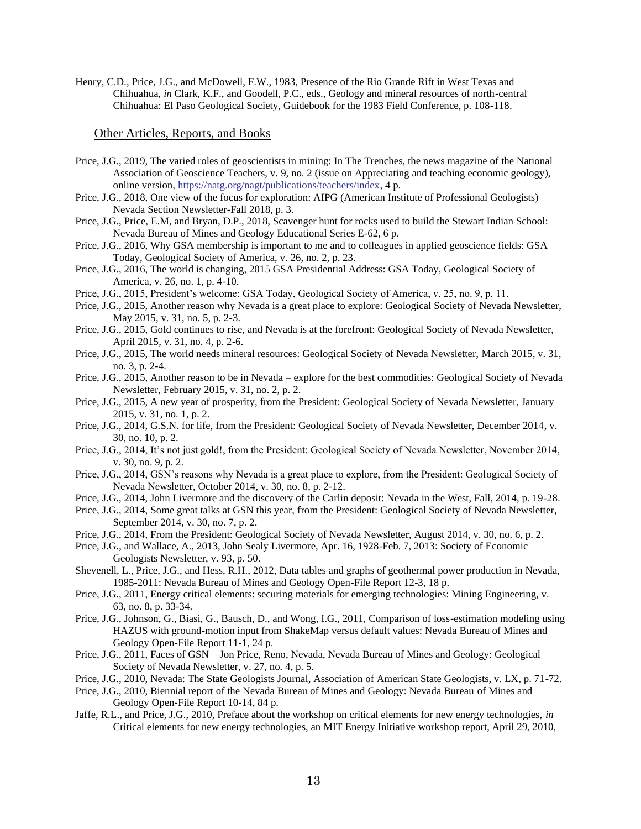Henry, C.D., Price, J.G., and McDowell, F.W., 1983, Presence of the Rio Grande Rift in West Texas and Chihuahua, *in* Clark, K.F., and Goodell, P.C., eds., Geology and mineral resources of north-central Chihuahua: El Paso Geological Society, Guidebook for the 1983 Field Conference, p. 108-118.

## Other Articles, Reports, and Books

- Price, J.G., 2019, The varied roles of geoscientists in mining: In The Trenches, the news magazine of the National Association of Geoscience Teachers, v. 9, no. 2 (issue on Appreciating and teaching economic geology), online version, [https://natg.org/nagt/publications/teachers/index,](https://natg.org/nagt/publications/teachers/index) 4 p.
- Price, J.G., 2018, One view of the focus for exploration: AIPG (American Institute of Professional Geologists) Nevada Section Newsletter-Fall 2018, p. 3.
- Price, J.G., Price, E.M, and Bryan, D.P., 2018, Scavenger hunt for rocks used to build the Stewart Indian School: Nevada Bureau of Mines and Geology Educational Series E-62, 6 p.
- Price, J.G., 2016, Why GSA membership is important to me and to colleagues in applied geoscience fields: GSA Today, Geological Society of America, v. 26, no. 2, p. 23.
- Price, J.G., 2016, The world is changing, 2015 GSA Presidential Address: GSA Today, Geological Society of America, v. 26, no. 1, p. 4-10.
- Price, J.G., 2015, President's welcome: GSA Today, Geological Society of America, v. 25, no. 9, p. 11.
- Price, J.G., 2015, Another reason why Nevada is a great place to explore: Geological Society of Nevada Newsletter, May 2015, v. 31, no. 5, p. 2-3.
- Price, J.G., 2015, Gold continues to rise, and Nevada is at the forefront: Geological Society of Nevada Newsletter, April 2015, v. 31, no. 4, p. 2-6.
- Price, J.G., 2015, The world needs mineral resources: Geological Society of Nevada Newsletter, March 2015, v. 31, no. 3, p. 2-4.
- Price, J.G., 2015, Another reason to be in Nevada explore for the best commodities: Geological Society of Nevada Newsletter, February 2015, v. 31, no. 2, p. 2.
- Price, J.G., 2015, A new year of prosperity, from the President: Geological Society of Nevada Newsletter, January 2015, v. 31, no. 1, p. 2.
- Price, J.G., 2014, G.S.N. for life, from the President: Geological Society of Nevada Newsletter, December 2014, v. 30, no. 10, p. 2.
- Price, J.G., 2014, It's not just gold!, from the President: Geological Society of Nevada Newsletter, November 2014, v. 30, no. 9, p. 2.
- Price, J.G., 2014, GSN's reasons why Nevada is a great place to explore, from the President: Geological Society of Nevada Newsletter, October 2014, v. 30, no. 8, p. 2-12.
- Price, J.G., 2014, John Livermore and the discovery of the Carlin deposit: Nevada in the West, Fall, 2014, p. 19-28.
- Price, J.G., 2014, Some great talks at GSN this year, from the President: Geological Society of Nevada Newsletter, September 2014, v. 30, no. 7, p. 2.
- Price, J.G., 2014, From the President: Geological Society of Nevada Newsletter, August 2014, v. 30, no. 6, p. 2.
- Price, J.G., and Wallace, A., 2013, John Sealy Livermore, Apr. 16, 1928-Feb. 7, 2013: Society of Economic Geologists Newsletter, v. 93, p. 50.
- Shevenell, L., Price, J.G., and Hess, R.H., 2012, Data tables and graphs of geothermal power production in Nevada, 1985-2011: Nevada Bureau of Mines and Geology Open-File Report 12-3, 18 p.
- Price, J.G., 2011, Energy critical elements: securing materials for emerging technologies: Mining Engineering, v. 63, no. 8, p. 33-34.
- Price, J.G., Johnson, G., Biasi, G., Bausch, D., and Wong, I.G., 2011, Comparison of loss-estimation modeling using HAZUS with ground-motion input from ShakeMap versus default values: Nevada Bureau of Mines and Geology Open-File Report 11-1, 24 p.
- Price, J.G., 2011, Faces of GSN Jon Price, Reno, Nevada, Nevada Bureau of Mines and Geology: Geological Society of Nevada Newsletter, v. 27, no. 4, p. 5.
- Price, J.G., 2010, Nevada: The State Geologists Journal, Association of American State Geologists, v. LX, p. 71-72.
- Price, J.G., 2010, Biennial report of the Nevada Bureau of Mines and Geology: Nevada Bureau of Mines and Geology Open-File Report 10-14, 84 p.
- Jaffe, R.L., and Price, J.G., 2010, Preface about the workshop on critical elements for new energy technologies, *in* Critical elements for new energy technologies, an MIT Energy Initiative workshop report, April 29, 2010,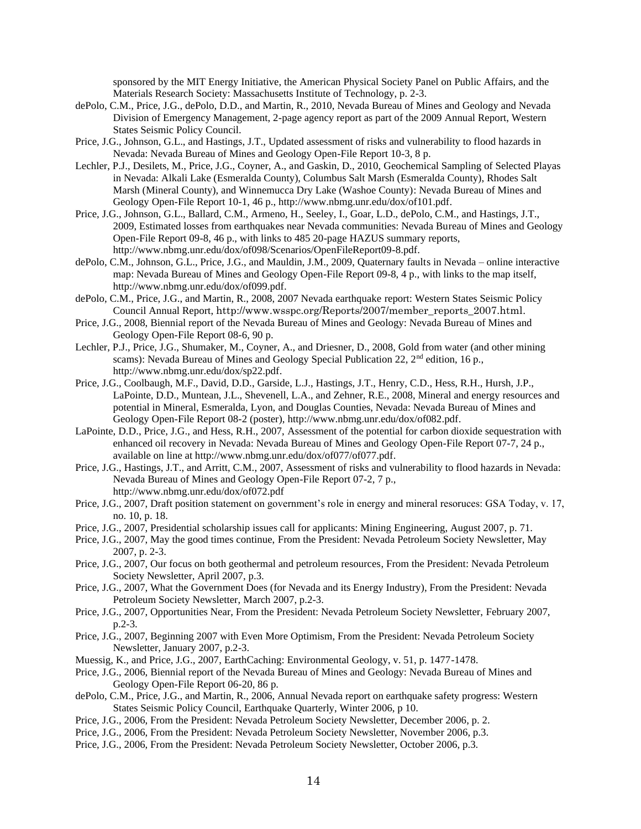sponsored by the MIT Energy Initiative, the American Physical Society Panel on Public Affairs, and the Materials Research Society: Massachusetts Institute of Technology, p. 2-3.

- dePolo, C.M., Price, J.G., dePolo, D.D., and Martin, R., 2010, Nevada Bureau of Mines and Geology and Nevada Division of Emergency Management, 2-page agency report as part of the 2009 Annual Report, Western States Seismic Policy Council.
- Price, J.G., Johnson, G.L., and Hastings, J.T., Updated assessment of risks and vulnerability to flood hazards in Nevada: Nevada Bureau of Mines and Geology Open-File Report 10-3, 8 p.
- Lechler, P.J., Desilets, M., Price, J.G., Coyner, A., and Gaskin, D., 2010, Geochemical Sampling of Selected Playas in Nevada: Alkali Lake (Esmeralda County), Columbus Salt Marsh (Esmeralda County), Rhodes Salt Marsh (Mineral County), and Winnemucca Dry Lake (Washoe County): Nevada Bureau of Mines and Geology Open-File Report 10-1, 46 p., http://www.nbmg.unr.edu/dox/of101.pdf.
- Price, J.G., Johnson, G.L., Ballard, C.M., Armeno, H., Seeley, I., Goar, L.D., dePolo, C.M., and Hastings, J.T., 2009, Estimated losses from earthquakes near Nevada communities: Nevada Bureau of Mines and Geology Open-File Report 09-8, 46 p., with links to 485 20-page HAZUS summary reports, http://www.nbmg.unr.edu/dox/of098/Scenarios/OpenFileReport09-8.pdf.
- dePolo, C.M., Johnson, G.L., Price, J.G., and Mauldin, J.M., 2009, Quaternary faults in Nevada online interactive map: Nevada Bureau of Mines and Geology Open-File Report 09-8, 4 p., with links to the map itself, http://www.nbmg.unr.edu/dox/of099.pdf.
- dePolo, C.M., Price, J.G., and Martin, R., 2008, 2007 Nevada earthquake report: Western States Seismic Policy Council Annual Report, http://www.wsspc.org/Reports/2007/member\_reports\_2007.html.
- Price, J.G., 2008, Biennial report of the Nevada Bureau of Mines and Geology: Nevada Bureau of Mines and Geology Open-File Report 08-6, 90 p.
- Lechler, P.J., Price, J.G., Shumaker, M., Coyner, A., and Driesner, D., 2008, Gold from water (and other mining scams): Nevada Bureau of Mines and Geology Special Publication 22, 2<sup>nd</sup> edition, 16 p., http://www.nbmg.unr.edu/dox/sp22.pdf.
- Price, J.G., Coolbaugh, M.F., David, D.D., Garside, L.J., Hastings, J.T., Henry, C.D., Hess, R.H., Hursh, J.P., LaPointe, D.D., Muntean, J.L., Shevenell, L.A., and Zehner, R.E., 2008, Mineral and energy resources and potential in Mineral, Esmeralda, Lyon, and Douglas Counties, Nevada: Nevada Bureau of Mines and Geology Open-File Report 08-2 (poster), http://www.nbmg.unr.edu/dox/of082.pdf.
- LaPointe, D.D., Price, J.G., and Hess, R.H., 2007, Assessment of the potential for carbon dioxide sequestration with enhanced oil recovery in Nevada: Nevada Bureau of Mines and Geology Open-File Report 07-7, 24 p., available on line at http://www.nbmg.unr.edu/dox/of077/of077.pdf.
- Price, J.G., Hastings, J.T., and Arritt, C.M., 2007, Assessment of risks and vulnerability to flood hazards in Nevada: Nevada Bureau of Mines and Geology Open-File Report 07-2, 7 p., http://www.nbmg.unr.edu/dox/of072.pdf
- Price, J.G., 2007, Draft position statement on government's role in energy and mineral resoruces: GSA Today, v. 17, no. 10, p. 18.
- Price, J.G., 2007, Presidential scholarship issues call for applicants: Mining Engineering, August 2007, p. 71.
- Price, J.G., 2007, May the good times continue, From the President: Nevada Petroleum Society Newsletter, May 2007, p. 2-3.
- Price, J.G., 2007, Our focus on both geothermal and petroleum resources, From the President: Nevada Petroleum Society Newsletter, April 2007, p.3.
- Price, J.G., 2007, What the Government Does (for Nevada and its Energy Industry), From the President: Nevada Petroleum Society Newsletter, March 2007, p.2-3.
- Price, J.G., 2007, Opportunities Near, From the President: Nevada Petroleum Society Newsletter, February 2007, p.2-3.
- Price, J.G., 2007, Beginning 2007 with Even More Optimism, From the President: Nevada Petroleum Society Newsletter, January 2007, p.2-3.
- Muessig, K., and Price, J.G., 2007, EarthCaching: Environmental Geology, v. 51, p. 1477-1478.
- Price, J.G., 2006, Biennial report of the Nevada Bureau of Mines and Geology: Nevada Bureau of Mines and Geology Open-File Report 06-20, 86 p.
- dePolo, C.M., Price, J.G., and Martin, R., 2006, Annual Nevada report on earthquake safety progress: Western States Seismic Policy Council, Earthquake Quarterly, Winter 2006, p 10.
- Price, J.G., 2006, From the President: Nevada Petroleum Society Newsletter, December 2006, p. 2.
- Price, J.G., 2006, From the President: Nevada Petroleum Society Newsletter, November 2006, p.3.
- Price, J.G., 2006, From the President: Nevada Petroleum Society Newsletter, October 2006, p.3.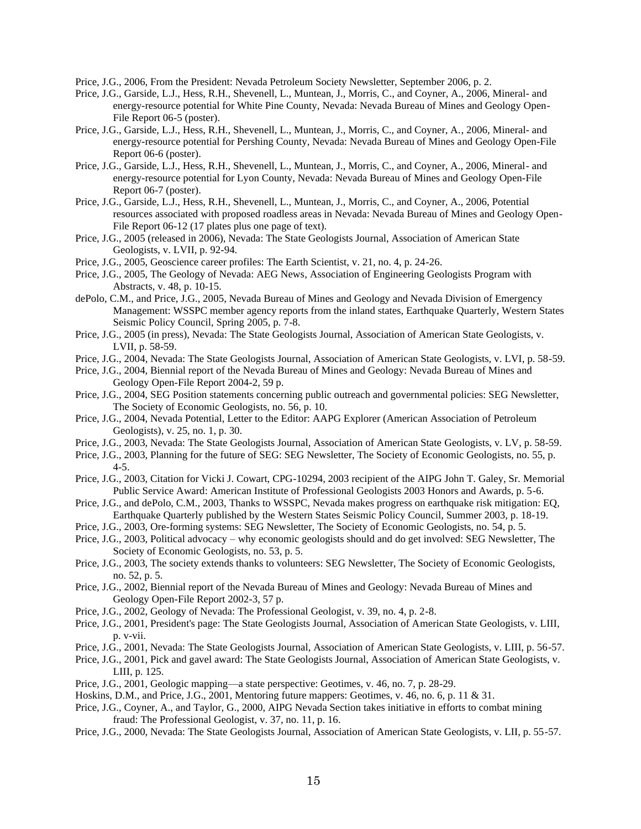Price, J.G., 2006, From the President: Nevada Petroleum Society Newsletter, September 2006, p. 2.

- Price, J.G., Garside, L.J., Hess, R.H., Shevenell, L., Muntean, J., Morris, C., and Coyner, A., 2006, Mineral- and energy-resource potential for White Pine County, Nevada: Nevada Bureau of Mines and Geology Open-File Report 06-5 (poster).
- Price, J.G., Garside, L.J., Hess, R.H., Shevenell, L., Muntean, J., Morris, C., and Coyner, A., 2006, Mineral- and energy-resource potential for Pershing County, Nevada: Nevada Bureau of Mines and Geology Open-File Report 06-6 (poster).
- Price, J.G., Garside, L.J., Hess, R.H., Shevenell, L., Muntean, J., Morris, C., and Coyner, A., 2006, Mineral- and energy-resource potential for Lyon County, Nevada: Nevada Bureau of Mines and Geology Open-File Report 06-7 (poster).
- Price, J.G., Garside, L.J., Hess, R.H., Shevenell, L., Muntean, J., Morris, C., and Coyner, A., 2006, Potential resources associated with proposed roadless areas in Nevada: Nevada Bureau of Mines and Geology Open-File Report 06-12 (17 plates plus one page of text).
- Price, J.G., 2005 (released in 2006), Nevada: The State Geologists Journal, Association of American State Geologists, v. LVII, p. 92-94.
- Price, J.G., 2005, Geoscience career profiles: The Earth Scientist, v. 21, no. 4, p. 24-26.
- Price, J.G., 2005, The Geology of Nevada: AEG News, Association of Engineering Geologists Program with Abstracts, v. 48, p. 10-15.
- dePolo, C.M., and Price, J.G., 2005, Nevada Bureau of Mines and Geology and Nevada Division of Emergency Management: WSSPC member agency reports from the inland states, Earthquake Quarterly, Western States Seismic Policy Council, Spring 2005, p. 7-8.
- Price, J.G., 2005 (in press), Nevada: The State Geologists Journal, Association of American State Geologists, v. LVII, p. 58-59.
- Price, J.G., 2004, Nevada: The State Geologists Journal, Association of American State Geologists, v. LVI, p. 58-59.
- Price, J.G., 2004, Biennial report of the Nevada Bureau of Mines and Geology: Nevada Bureau of Mines and Geology Open-File Report 2004-2, 59 p.
- Price, J.G., 2004, SEG Position statements concerning public outreach and governmental policies: SEG Newsletter, The Society of Economic Geologists, no. 56, p. 10.
- Price, J.G., 2004, Nevada Potential, Letter to the Editor: AAPG Explorer (American Association of Petroleum Geologists), v. 25, no. 1, p. 30.
- Price, J.G., 2003, Nevada: The State Geologists Journal, Association of American State Geologists, v. LV, p. 58-59.
- Price, J.G., 2003, Planning for the future of SEG: SEG Newsletter, The Society of Economic Geologists, no. 55, p. 4-5.
- Price, J.G., 2003, Citation for Vicki J. Cowart, CPG-10294, 2003 recipient of the AIPG John T. Galey, Sr. Memorial Public Service Award: American Institute of Professional Geologists 2003 Honors and Awards, p. 5-6.
- Price, J.G., and dePolo, C.M., 2003, Thanks to WSSPC, Nevada makes progress on earthquake risk mitigation: EQ, Earthquake Quarterly published by the Western States Seismic Policy Council, Summer 2003, p. 18-19.
- Price, J.G., 2003, Ore-forming systems: SEG Newsletter, The Society of Economic Geologists, no. 54, p. 5.
- Price, J.G., 2003, Political advocacy why economic geologists should and do get involved: SEG Newsletter, The Society of Economic Geologists, no. 53, p. 5.
- Price, J.G., 2003, The society extends thanks to volunteers: SEG Newsletter, The Society of Economic Geologists, no. 52, p. 5.
- Price, J.G., 2002, Biennial report of the Nevada Bureau of Mines and Geology: Nevada Bureau of Mines and Geology Open-File Report 2002-3, 57 p.
- Price, J.G., 2002, Geology of Nevada: The Professional Geologist, v. 39, no. 4, p. 2-8.
- Price, J.G., 2001, President's page: The State Geologists Journal, Association of American State Geologists, v. LIII, p. v-vii.
- Price, J.G., 2001, Nevada: The State Geologists Journal, Association of American State Geologists, v. LIII, p. 56-57.
- Price, J.G., 2001, Pick and gavel award: The State Geologists Journal, Association of American State Geologists, v. LIII, p. 125.
- Price, J.G., 2001, Geologic mapping—a state perspective: Geotimes, v. 46, no. 7, p. 28-29.
- Hoskins, D.M., and Price, J.G., 2001, Mentoring future mappers: Geotimes, v. 46, no. 6, p. 11 & 31.
- Price, J.G., Coyner, A., and Taylor, G., 2000, AIPG Nevada Section takes initiative in efforts to combat mining fraud: The Professional Geologist, v. 37, no. 11, p. 16.
- Price, J.G., 2000, Nevada: The State Geologists Journal, Association of American State Geologists, v. LII, p. 55-57.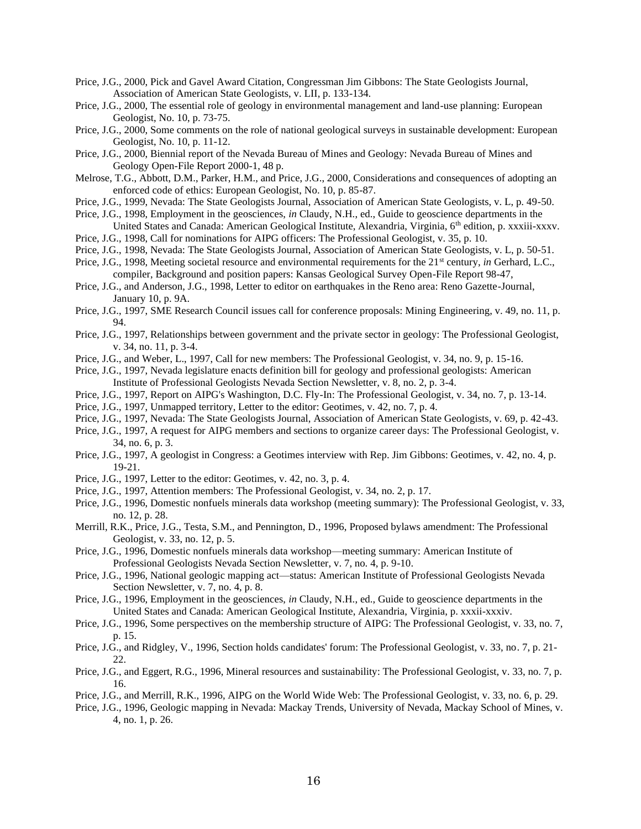- Price, J.G., 2000, Pick and Gavel Award Citation, Congressman Jim Gibbons: The State Geologists Journal, Association of American State Geologists, v. LII, p. 133-134.
- Price, J.G., 2000, The essential role of geology in environmental management and land-use planning: European Geologist, No. 10, p. 73-75.
- Price, J.G., 2000, Some comments on the role of national geological surveys in sustainable development: European Geologist, No. 10, p. 11-12.
- Price, J.G., 2000, Biennial report of the Nevada Bureau of Mines and Geology: Nevada Bureau of Mines and Geology Open-File Report 2000-1, 48 p.
- Melrose, T.G., Abbott, D.M., Parker, H.M., and Price, J.G., 2000, Considerations and consequences of adopting an enforced code of ethics: European Geologist, No. 10, p. 85-87.
- Price, J.G., 1999, Nevada: The State Geologists Journal, Association of American State Geologists, v. L, p. 49-50.
- Price, J.G., 1998, Employment in the geosciences, *in* Claudy, N.H., ed., Guide to geoscience departments in the United States and Canada: American Geological Institute, Alexandria, Virginia, 6<sup>th</sup> edition, p. xxxiii-xxxv.
- Price, J.G., 1998, Call for nominations for AIPG officers: The Professional Geologist, v. 35, p. 10.
- Price, J.G., 1998, Nevada: The State Geologists Journal, Association of American State Geologists, v. L, p. 50-51.
- Price, J.G., 1998, Meeting societal resource and environmental requirements for the 21<sup>st</sup> century, *in* Gerhard, L.C., compiler, Background and position papers: Kansas Geological Survey Open-File Report 98-47,
- Price, J.G., and Anderson, J.G., 1998, Letter to editor on earthquakes in the Reno area: Reno Gazette-Journal, January 10, p. 9A.
- Price, J.G., 1997, SME Research Council issues call for conference proposals: Mining Engineering, v. 49, no. 11, p. 94.
- Price, J.G., 1997, Relationships between government and the private sector in geology: The Professional Geologist, v. 34, no. 11, p. 3-4.
- Price, J.G., and Weber, L., 1997, Call for new members: The Professional Geologist, v. 34, no. 9, p. 15-16.
- Price, J.G., 1997, Nevada legislature enacts definition bill for geology and professional geologists: American Institute of Professional Geologists Nevada Section Newsletter, v. 8, no. 2, p. 3-4.
- Price, J.G., 1997, Report on AIPG's Washington, D.C. Fly-In: The Professional Geologist, v. 34, no. 7, p. 13-14.
- Price, J.G., 1997, Unmapped territory, Letter to the editor: Geotimes, v. 42, no. 7, p. 4.
- Price, J.G., 1997, Nevada: The State Geologists Journal, Association of American State Geologists, v. 69, p. 42-43.
- Price, J.G., 1997, A request for AIPG members and sections to organize career days: The Professional Geologist, v. 34, no. 6, p. 3.
- Price, J.G., 1997, A geologist in Congress: a Geotimes interview with Rep. Jim Gibbons: Geotimes, v. 42, no. 4, p. 19-21.
- Price, J.G., 1997, Letter to the editor: Geotimes, v. 42, no. 3, p. 4.
- Price, J.G., 1997, Attention members: The Professional Geologist, v. 34, no. 2, p. 17.
- Price, J.G., 1996, Domestic nonfuels minerals data workshop (meeting summary): The Professional Geologist, v. 33, no. 12, p. 28.
- Merrill, R.K., Price, J.G., Testa, S.M., and Pennington, D., 1996, Proposed bylaws amendment: The Professional Geologist, v. 33, no. 12, p. 5.
- Price, J.G., 1996, Domestic nonfuels minerals data workshop—meeting summary: American Institute of Professional Geologists Nevada Section Newsletter, v. 7, no. 4, p. 9-10.
- Price, J.G., 1996, National geologic mapping act—status: American Institute of Professional Geologists Nevada Section Newsletter, v. 7, no. 4, p. 8.
- Price, J.G., 1996, Employment in the geosciences, *in* Claudy, N.H., ed., Guide to geoscience departments in the United States and Canada: American Geological Institute, Alexandria, Virginia, p. xxxii-xxxiv.
- Price, J.G., 1996, Some perspectives on the membership structure of AIPG: The Professional Geologist, v. 33, no. 7, p. 15.
- Price, J.G., and Ridgley, V., 1996, Section holds candidates' forum: The Professional Geologist, v. 33, no. 7, p. 21- 22.
- Price, J.G., and Eggert, R.G., 1996, Mineral resources and sustainability: The Professional Geologist, v. 33, no. 7, p. 16.
- Price, J.G., and Merrill, R.K., 1996, AIPG on the World Wide Web: The Professional Geologist, v. 33, no. 6, p. 29.
- Price, J.G., 1996, Geologic mapping in Nevada: Mackay Trends, University of Nevada, Mackay School of Mines, v. 4, no. 1, p. 26.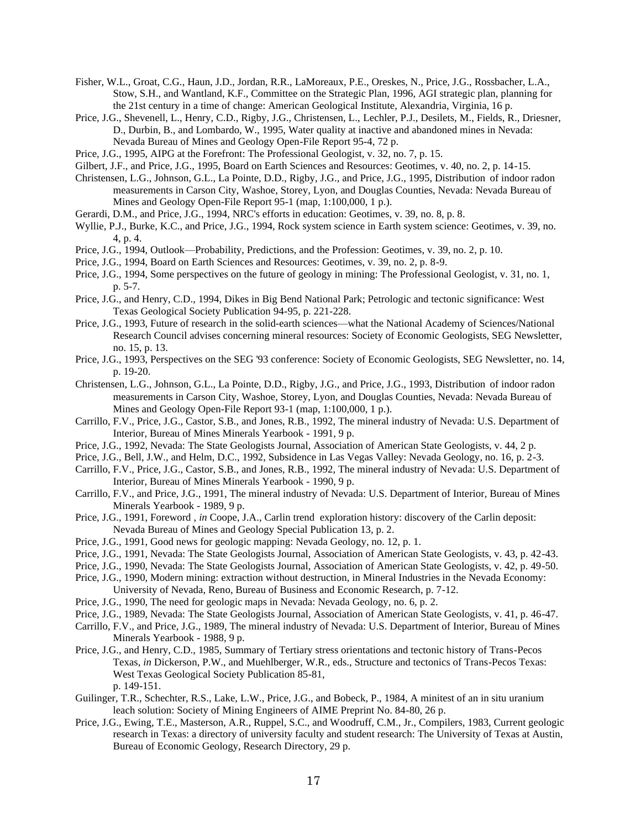- Fisher, W.L., Groat, C.G., Haun, J.D., Jordan, R.R., LaMoreaux, P.E., Oreskes, N., Price, J.G., Rossbacher, L.A., Stow, S.H., and Wantland, K.F., Committee on the Strategic Plan, 1996, AGI strategic plan, planning for the 21st century in a time of change: American Geological Institute, Alexandria, Virginia, 16 p.
- Price, J.G., Shevenell, L., Henry, C.D., Rigby, J.G., Christensen, L., Lechler, P.J., Desilets, M., Fields, R., Driesner, D., Durbin, B., and Lombardo, W., 1995, Water quality at inactive and abandoned mines in Nevada: Nevada Bureau of Mines and Geology Open-File Report 95-4, 72 p.
- Price, J.G., 1995, AIPG at the Forefront: The Professional Geologist, v. 32, no. 7, p. 15.
- Gilbert, J.F., and Price, J.G., 1995, Board on Earth Sciences and Resources: Geotimes, v. 40, no. 2, p. 14-15.
- Christensen, L.G., Johnson, G.L., La Pointe, D.D., Rigby, J.G., and Price, J.G., 1995, Distribution of indoor radon measurements in Carson City, Washoe, Storey, Lyon, and Douglas Counties, Nevada: Nevada Bureau of Mines and Geology Open-File Report 95-1 (map, 1:100,000, 1 p.).
- Gerardi, D.M., and Price, J.G., 1994, NRC's efforts in education: Geotimes, v. 39, no. 8, p. 8.
- Wyllie, P.J., Burke, K.C., and Price, J.G., 1994, Rock system science in Earth system science: Geotimes, v. 39, no. 4, p. 4.
- Price, J.G., 1994, Outlook—Probability, Predictions, and the Profession: Geotimes, v. 39, no. 2, p. 10.
- Price, J.G., 1994, Board on Earth Sciences and Resources: Geotimes, v. 39, no. 2, p. 8-9.
- Price, J.G., 1994, Some perspectives on the future of geology in mining: The Professional Geologist, v. 31, no. 1, p. 5-7.
- Price, J.G., and Henry, C.D., 1994, Dikes in Big Bend National Park; Petrologic and tectonic significance: West Texas Geological Society Publication 94-95, p. 221-228.
- Price, J.G., 1993, Future of research in the solid-earth sciences—what the National Academy of Sciences/National Research Council advises concerning mineral resources: Society of Economic Geologists, SEG Newsletter, no. 15, p. 13.
- Price, J.G., 1993, Perspectives on the SEG '93 conference: Society of Economic Geologists, SEG Newsletter, no. 14, p. 19-20.
- Christensen, L.G., Johnson, G.L., La Pointe, D.D., Rigby, J.G., and Price, J.G., 1993, Distribution of indoor radon measurements in Carson City, Washoe, Storey, Lyon, and Douglas Counties, Nevada: Nevada Bureau of Mines and Geology Open-File Report 93-1 (map, 1:100,000, 1 p.).
- Carrillo, F.V., Price, J.G., Castor, S.B., and Jones, R.B., 1992, The mineral industry of Nevada: U.S. Department of Interior, Bureau of Mines Minerals Yearbook - 1991, 9 p.
- Price, J.G., 1992, Nevada: The State Geologists Journal, Association of American State Geologists, v. 44, 2 p.
- Price, J.G., Bell, J.W., and Helm, D.C., 1992, Subsidence in Las Vegas Valley: Nevada Geology, no. 16, p. 2-3.
- Carrillo, F.V., Price, J.G., Castor, S.B., and Jones, R.B., 1992, The mineral industry of Nevada: U.S. Department of Interior, Bureau of Mines Minerals Yearbook - 1990, 9 p.
- Carrillo, F.V., and Price, J.G., 1991, The mineral industry of Nevada: U.S. Department of Interior, Bureau of Mines Minerals Yearbook - 1989, 9 p.
- Price, J.G., 1991, Foreword, *in* Coope, J.A., Carlin trend exploration history: discovery of the Carlin deposit: Nevada Bureau of Mines and Geology Special Publication 13, p. 2.
- Price, J.G., 1991, Good news for geologic mapping: Nevada Geology, no. 12, p. 1.
- Price, J.G., 1991, Nevada: The State Geologists Journal, Association of American State Geologists, v. 43, p. 42-43.
- Price, J.G., 1990, Nevada: The State Geologists Journal, Association of American State Geologists, v. 42, p. 49-50.
- Price, J.G., 1990, Modern mining: extraction without destruction, in Mineral Industries in the Nevada Economy:
- University of Nevada, Reno, Bureau of Business and Economic Research, p. 7-12.
- Price, J.G., 1990, The need for geologic maps in Nevada: Nevada Geology, no. 6, p. 2.
- Price, J.G., 1989, Nevada: The State Geologists Journal, Association of American State Geologists, v. 41, p. 46-47.
- Carrillo, F.V., and Price, J.G., 1989, The mineral industry of Nevada: U.S. Department of Interior, Bureau of Mines Minerals Yearbook - 1988, 9 p.
- Price, J.G., and Henry, C.D., 1985, Summary of Tertiary stress orientations and tectonic history of Trans-Pecos Texas, *in* Dickerson, P.W., and Muehlberger, W.R., eds., Structure and tectonics of Trans-Pecos Texas: West Texas Geological Society Publication 85-81, p. 149-151.
- Guilinger, T.R., Schechter, R.S., Lake, L.W., Price, J.G., and Bobeck, P., 1984, A minitest of an in situ uranium leach solution: Society of Mining Engineers of AIME Preprint No. 84-80, 26 p.
- Price, J.G., Ewing, T.E., Masterson, A.R., Ruppel, S.C., and Woodruff, C.M., Jr., Compilers, 1983, Current geologic research in Texas: a directory of university faculty and student research: The University of Texas at Austin, Bureau of Economic Geology, Research Directory, 29 p.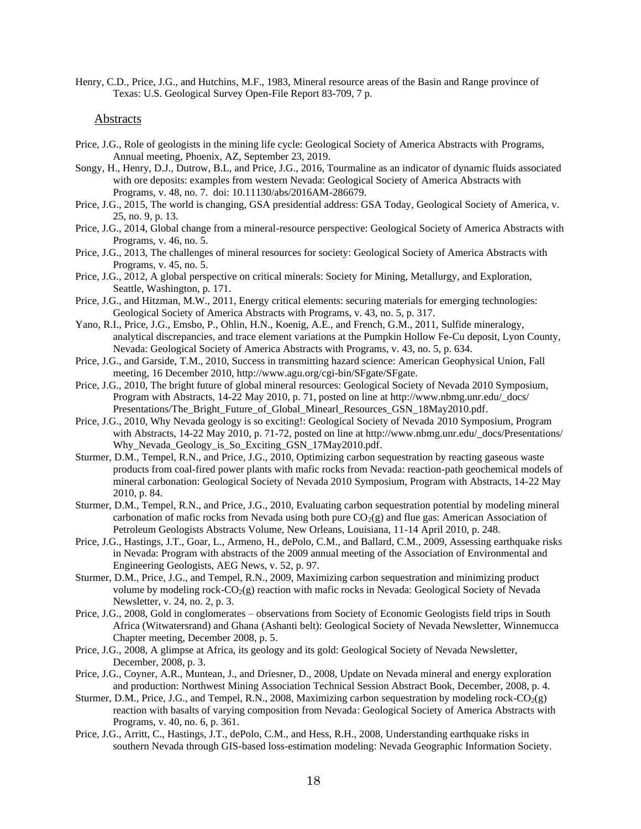Henry, C.D., Price, J.G., and Hutchins, M.F., 1983, Mineral resource areas of the Basin and Range province of Texas: U.S. Geological Survey Open-File Report 83-709, 7 p.

#### Abstracts

- Price, J.G., Role of geologists in the mining life cycle: Geological Society of America Abstracts with Programs, Annual meeting, Phoenix, AZ, September 23, 2019.
- Songy, H., Henry, D.J., Dutrow, B.L, and Price, J.G., 2016, Tourmaline as an indicator of dynamic fluids associated with ore deposits: examples from western Nevada: Geological Society of America Abstracts with Programs, v. 48, no. 7. doi: 10.11130/abs/2016AM-286679.
- Price, J.G., 2015, The world is changing, GSA presidential address: GSA Today, Geological Society of America, v. 25, no. 9, p. 13.
- Price, J.G., 2014, Global change from a mineral-resource perspective: Geological Society of America Abstracts with Programs, v. 46, no. 5.
- Price, J.G., 2013, The challenges of mineral resources for society: Geological Society of America Abstracts with Programs, v. 45, no. 5.
- Price, J.G., 2012, A global perspective on critical minerals: Society for Mining, Metallurgy, and Exploration, Seattle, Washington, p. 171.
- Price, J.G., and Hitzman, M.W., 2011, Energy critical elements: securing materials for emerging technologies: Geological Society of America Abstracts with Programs, v. 43, no. 5, p. 317.
- Yano, R.I., Price, J.G., Emsbo, P., Ohlin, H.N., Koenig, A.E., and French, G.M., 2011, Sulfide mineralogy, analytical discrepancies, and trace element variations at the Pumpkin Hollow Fe-Cu deposit, Lyon County, Nevada: Geological Society of America Abstracts with Programs, v. 43, no. 5, p. 634.
- Price, J.G., and Garside, T.M., 2010, Success in transmitting hazard science: American Geophysical Union, Fall meeting, 16 December 2010, [http://www.agu.org/cgi-bin/SFgate/SFgate.](http://www.agu.org/cgi-bin/SFgate/SFgate)
- Price, J.G., 2010, The bright future of global mineral resources: Geological Society of Nevada 2010 Symposium, Program with Abstracts, 14-22 May 2010, p. 71, posted on line at [http://www.nbmg.unr.edu/\\_docs/](http://www.nbmg.unr.edu/_docs/%20Presentations/)  [Presentations/T](http://www.nbmg.unr.edu/_docs/%20Presentations/)he\_Bright\_Future\_of\_Global\_Minearl\_Resources\_GSN\_18May2010.pdf.
- Price, J.G., 2010, Why Nevada geology is so exciting!: Geological Society of Nevada 2010 Symposium, Program with Abstracts, 14-22 May 2010, p. 71-72, posted on line a[t http://www.nbmg.unr.edu/\\_docs/Presentations/](http://www.nbmg.unr.edu/_docs/Presentations/) Why\_Nevada\_Geology\_is\_So\_Exciting\_GSN\_17May2010.pdf.
- Sturmer, D.M., Tempel, R.N., and Price, J.G., 2010, Optimizing carbon sequestration by reacting gaseous waste products from coal-fired power plants with mafic rocks from Nevada: reaction-path geochemical models of mineral carbonation: Geological Society of Nevada 2010 Symposium, Program with Abstracts, 14-22 May 2010, p. 84.
- Sturmer, D.M., Tempel, R.N., and Price, J.G., 2010, Evaluating carbon sequestration potential by modeling mineral carbonation of mafic rocks from Nevada using both pure  $CO<sub>2</sub>(g)$  and flue gas: American Association of Petroleum Geologists Abstracts Volume, New Orleans, Louisiana, 11-14 April 2010, p. 248.
- Price, J.G., Hastings, J.T., Goar, L., Armeno, H., dePolo, C.M., and Ballard, C.M., 2009, Assessing earthquake risks in Nevada: Program with abstracts of the 2009 annual meeting of the Association of Environmental and Engineering Geologists, AEG News, v. 52, p. 97.
- Sturmer, D.M., Price, J.G., and Tempel, R.N., 2009, Maximizing carbon sequestration and minimizing product volume by modeling rock- $CO<sub>2</sub>(g)$  reaction with mafic rocks in Nevada: Geological Society of Nevada Newsletter, v. 24, no. 2, p. 3.
- Price, J.G., 2008, Gold in conglomerates observations from Society of Economic Geologists field trips in South Africa (Witwatersrand) and Ghana (Ashanti belt): Geological Society of Nevada Newsletter, Winnemucca Chapter meeting, December 2008, p. 5.
- Price, J.G., 2008, A glimpse at Africa, its geology and its gold: Geological Society of Nevada Newsletter, December, 2008, p. 3.
- Price, J.G., Coyner, A.R., Muntean, J., and Driesner, D., 2008, Update on Nevada mineral and energy exploration and production: Northwest Mining Association Technical Session Abstract Book, December, 2008, p. 4.
- Sturmer, D.M., Price, J.G., and Tempel, R.N., 2008, Maximizing carbon sequestration by modeling rock- $CO<sub>2</sub>(g)$ reaction with basalts of varying composition from Nevada: Geological Society of America Abstracts with Programs, v. 40, no. 6, p. 361.
- Price, J.G., Arritt, C., Hastings, J.T., dePolo, C.M., and Hess, R.H., 2008, Understanding earthquake risks in southern Nevada through GIS-based loss-estimation modeling: Nevada Geographic Information Society.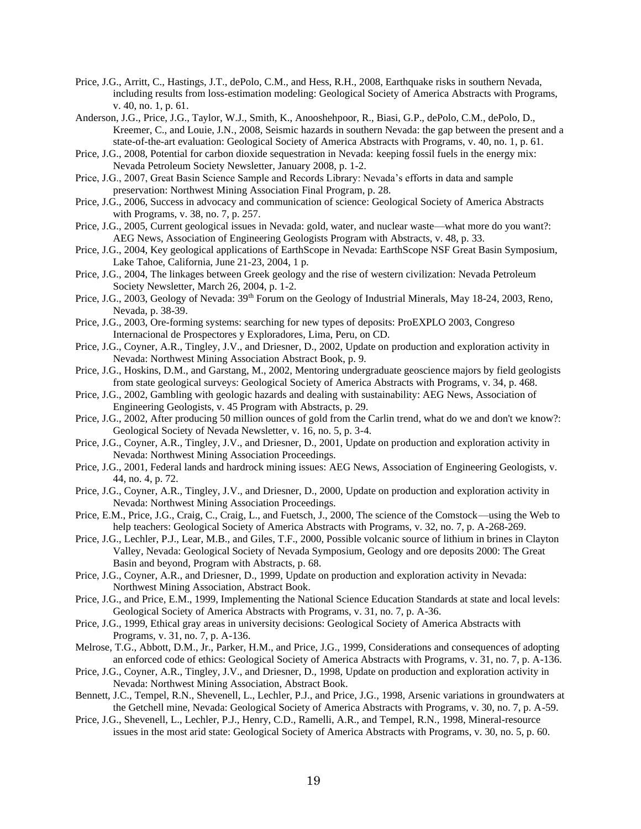- Price, J.G., Arritt, C., Hastings, J.T., dePolo, C.M., and Hess, R.H., 2008, Earthquake risks in southern Nevada, including results from loss-estimation modeling: Geological Society of America Abstracts with Programs, v. 40, no. 1, p. 61.
- Anderson, J.G., Price, J.G., Taylor, W.J., Smith, K., Anooshehpoor, R., Biasi, G.P., dePolo, C.M., dePolo, D., Kreemer, C., and Louie, J.N., 2008, Seismic hazards in southern Nevada: the gap between the present and a state-of-the-art evaluation: Geological Society of America Abstracts with Programs, v. 40, no. 1, p. 61.
- Price, J.G., 2008, Potential for carbon dioxide sequestration in Nevada: keeping fossil fuels in the energy mix: Nevada Petroleum Society Newsletter, January 2008, p. 1-2.
- Price, J.G., 2007, Great Basin Science Sample and Records Library: Nevada's efforts in data and sample preservation: Northwest Mining Association Final Program, p. 28.
- Price, J.G., 2006, Success in advocacy and communication of science: Geological Society of America Abstracts with Programs, v. 38, no. 7, p. 257.
- Price, J.G., 2005, Current geological issues in Nevada: gold, water, and nuclear waste—what more do you want?: AEG News, Association of Engineering Geologists Program with Abstracts, v. 48, p. 33.
- Price, J.G., 2004, Key geological applications of EarthScope in Nevada: EarthScope NSF Great Basin Symposium, Lake Tahoe, California, June 21-23, 2004, 1 p.
- Price, J.G., 2004, The linkages between Greek geology and the rise of western civilization: Nevada Petroleum Society Newsletter, March 26, 2004, p. 1-2.
- Price, J.G., 2003, Geology of Nevada: 39<sup>th</sup> Forum on the Geology of Industrial Minerals, May 18-24, 2003, Reno, Nevada, p. 38-39.
- Price, J.G., 2003, Ore-forming systems: searching for new types of deposits: ProEXPLO 2003, Congreso Internacional de Prospectores y Exploradores, Lima, Peru, on CD.
- Price, J.G., Coyner, A.R., Tingley, J.V., and Driesner, D., 2002, Update on production and exploration activity in Nevada: Northwest Mining Association Abstract Book, p. 9.
- Price, J.G., Hoskins, D.M., and Garstang, M., 2002, Mentoring undergraduate geoscience majors by field geologists from state geological surveys: Geological Society of America Abstracts with Programs, v. 34, p. 468.
- Price, J.G., 2002, Gambling with geologic hazards and dealing with sustainability: AEG News, Association of Engineering Geologists, v. 45 Program with Abstracts, p. 29.
- Price, J.G., 2002, After producing 50 million ounces of gold from the Carlin trend, what do we and don't we know?: Geological Society of Nevada Newsletter, v. 16, no. 5, p. 3-4.
- Price, J.G., Coyner, A.R., Tingley, J.V., and Driesner, D., 2001, Update on production and exploration activity in Nevada: Northwest Mining Association Proceedings.
- Price, J.G., 2001, Federal lands and hardrock mining issues: AEG News, Association of Engineering Geologists, v. 44, no. 4, p. 72.
- Price, J.G., Coyner, A.R., Tingley, J.V., and Driesner, D., 2000, Update on production and exploration activity in Nevada: Northwest Mining Association Proceedings.
- Price, E.M., Price, J.G., Craig, C., Craig, L., and Fuetsch, J., 2000, The science of the Comstock—using the Web to help teachers: Geological Society of America Abstracts with Programs, v. 32, no. 7, p. A-268-269.
- Price, J.G., Lechler, P.J., Lear, M.B., and Giles, T.F., 2000, Possible volcanic source of lithium in brines in Clayton Valley, Nevada: Geological Society of Nevada Symposium, Geology and ore deposits 2000: The Great Basin and beyond, Program with Abstracts, p. 68.
- Price, J.G., Coyner, A.R., and Driesner, D., 1999, Update on production and exploration activity in Nevada: Northwest Mining Association, Abstract Book.
- Price, J.G., and Price, E.M., 1999, Implementing the National Science Education Standards at state and local levels: Geological Society of America Abstracts with Programs, v. 31, no. 7, p. A-36.
- Price, J.G., 1999, Ethical gray areas in university decisions: Geological Society of America Abstracts with Programs, v. 31, no. 7, p. A-136.
- Melrose, T.G., Abbott, D.M., Jr., Parker, H.M., and Price, J.G., 1999, Considerations and consequences of adopting an enforced code of ethics: Geological Society of America Abstracts with Programs, v. 31, no. 7, p. A-136.
- Price, J.G., Coyner, A.R., Tingley, J.V., and Driesner, D., 1998, Update on production and exploration activity in Nevada: Northwest Mining Association, Abstract Book.
- Bennett, J.C., Tempel, R.N., Shevenell, L., Lechler, P.J., and Price, J.G., 1998, Arsenic variations in groundwaters at the Getchell mine, Nevada: Geological Society of America Abstracts with Programs, v. 30, no. 7, p. A-59.
- Price, J.G., Shevenell, L., Lechler, P.J., Henry, C.D., Ramelli, A.R., and Tempel, R.N., 1998, Mineral-resource issues in the most arid state: Geological Society of America Abstracts with Programs, v. 30, no. 5, p. 60.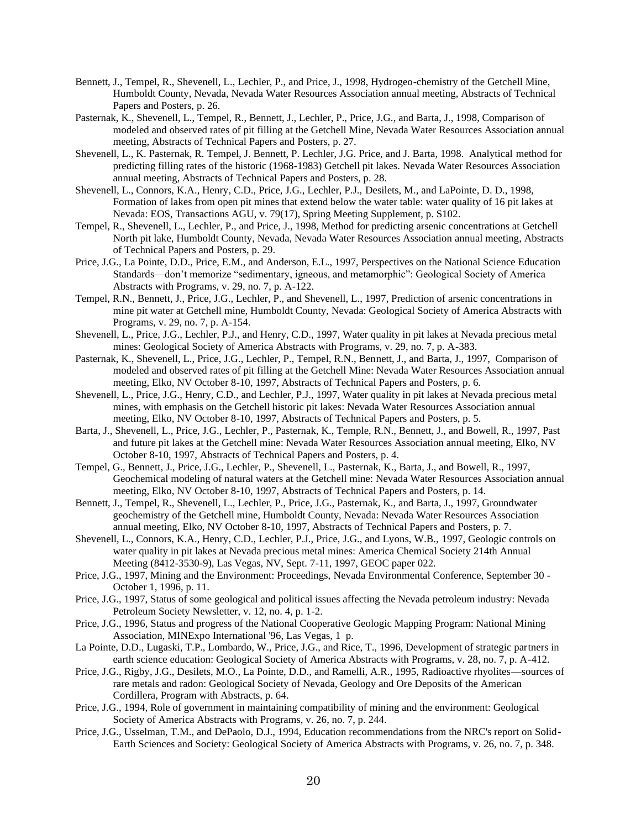- Bennett, J., Tempel, R., Shevenell, L., Lechler, P., and Price, J., 1998, Hydrogeo-chemistry of the Getchell Mine, Humboldt County, Nevada, Nevada Water Resources Association annual meeting, Abstracts of Technical Papers and Posters, p. 26.
- Pasternak, K., Shevenell, L., Tempel, R., Bennett, J., Lechler, P., Price, J.G., and Barta, J., 1998, Comparison of modeled and observed rates of pit filling at the Getchell Mine, Nevada Water Resources Association annual meeting, Abstracts of Technical Papers and Posters, p. 27.
- Shevenell, L., K. Pasternak, R. Tempel, J. Bennett, P. Lechler, J.G. Price, and J. Barta, 1998. Analytical method for predicting filling rates of the historic (1968-1983) Getchell pit lakes. Nevada Water Resources Association annual meeting, Abstracts of Technical Papers and Posters, p. 28.
- Shevenell, L., Connors, K.A., Henry, C.D., Price, J.G., Lechler, P.J., Desilets, M., and LaPointe, D. D., 1998, Formation of lakes from open pit mines that extend below the water table: water quality of 16 pit lakes at Nevada: EOS, Transactions AGU, v. 79(17), Spring Meeting Supplement, p. S102.
- Tempel, R., Shevenell, L., Lechler, P., and Price, J., 1998, Method for predicting arsenic concentrations at Getchell North pit lake, Humboldt County, Nevada, Nevada Water Resources Association annual meeting, Abstracts of Technical Papers and Posters, p. 29.
- Price, J.G., La Pointe, D.D., Price, E.M., and Anderson, E.L., 1997, Perspectives on the National Science Education Standards—don't memorize "sedimentary, igneous, and metamorphic": Geological Society of America Abstracts with Programs, v. 29, no. 7, p. A-122.
- Tempel, R.N., Bennett, J., Price, J.G., Lechler, P., and Shevenell, L., 1997, Prediction of arsenic concentrations in mine pit water at Getchell mine, Humboldt County, Nevada: Geological Society of America Abstracts with Programs, v. 29, no. 7, p. A-154.
- Shevenell, L., Price, J.G., Lechler, P.J., and Henry, C.D., 1997, Water quality in pit lakes at Nevada precious metal mines: Geological Society of America Abstracts with Programs, v. 29, no. 7, p. A-383.
- Pasternak, K., Shevenell, L., Price, J.G., Lechler, P., Tempel, R.N., Bennett, J., and Barta, J., 1997, Comparison of modeled and observed rates of pit filling at the Getchell Mine: Nevada Water Resources Association annual meeting, Elko, NV October 8-10, 1997, Abstracts of Technical Papers and Posters, p. 6.
- Shevenell, L., Price, J.G., Henry, C.D., and Lechler, P.J., 1997, Water quality in pit lakes at Nevada precious metal mines, with emphasis on the Getchell historic pit lakes: Nevada Water Resources Association annual meeting, Elko, NV October 8-10, 1997, Abstracts of Technical Papers and Posters, p. 5.
- Barta, J., Shevenell, L., Price, J.G., Lechler, P., Pasternak, K., Temple, R.N., Bennett, J., and Bowell, R., 1997, Past and future pit lakes at the Getchell mine: Nevada Water Resources Association annual meeting, Elko, NV October 8-10, 1997, Abstracts of Technical Papers and Posters, p. 4.
- Tempel, G., Bennett, J., Price, J.G., Lechler, P., Shevenell, L., Pasternak, K., Barta, J., and Bowell, R., 1997, Geochemical modeling of natural waters at the Getchell mine: Nevada Water Resources Association annual meeting, Elko, NV October 8-10, 1997, Abstracts of Technical Papers and Posters, p. 14.
- Bennett, J., Tempel, R., Shevenell, L., Lechler, P., Price, J.G., Pasternak, K., and Barta, J., 1997, Groundwater geochemistry of the Getchell mine, Humboldt County, Nevada: Nevada Water Resources Association annual meeting, Elko, NV October 8-10, 1997, Abstracts of Technical Papers and Posters, p. 7.
- Shevenell, L., Connors, K.A., Henry, C.D., Lechler, P.J., Price, J.G., and Lyons, W.B., 1997, Geologic controls on water quality in pit lakes at Nevada precious metal mines: America Chemical Society 214th Annual Meeting (8412-3530-9), Las Vegas, NV, Sept. 7-11, 1997, GEOC paper 022.
- Price, J.G., 1997, Mining and the Environment: Proceedings, Nevada Environmental Conference, September 30 October 1, 1996, p. 11.
- Price, J.G., 1997, Status of some geological and political issues affecting the Nevada petroleum industry: Nevada Petroleum Society Newsletter, v. 12, no. 4, p. 1-2.
- Price, J.G., 1996, Status and progress of the National Cooperative Geologic Mapping Program: National Mining Association, MINExpo International '96, Las Vegas, 1 p.
- La Pointe, D.D., Lugaski, T.P., Lombardo, W., Price, J.G., and Rice, T., 1996, Development of strategic partners in earth science education: Geological Society of America Abstracts with Programs, v. 28, no. 7, p. A-412.
- Price, J.G., Rigby, J.G., Desilets, M.O., La Pointe, D.D., and Ramelli, A.R., 1995, Radioactive rhyolites—sources of rare metals and radon: Geological Society of Nevada, Geology and Ore Deposits of the American Cordillera, Program with Abstracts, p. 64.
- Price, J.G., 1994, Role of government in maintaining compatibility of mining and the environment: Geological Society of America Abstracts with Programs, v. 26, no. 7, p. 244.
- Price, J.G., Usselman, T.M., and DePaolo, D.J., 1994, Education recommendations from the NRC's report on Solid-Earth Sciences and Society: Geological Society of America Abstracts with Programs, v. 26, no. 7, p. 348.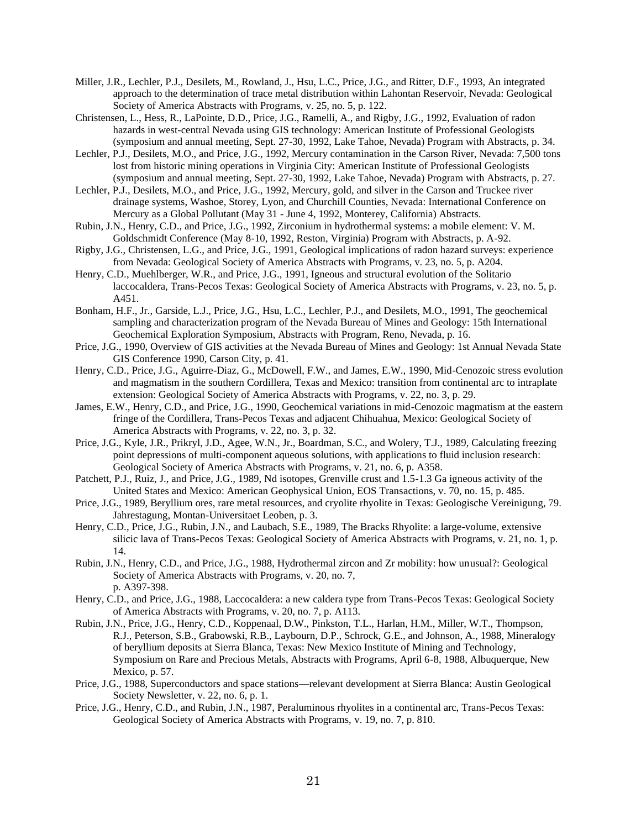- Miller, J.R., Lechler, P.J., Desilets, M., Rowland, J., Hsu, L.C., Price, J.G., and Ritter, D.F., 1993, An integrated approach to the determination of trace metal distribution within Lahontan Reservoir, Nevada: Geological Society of America Abstracts with Programs, v. 25, no. 5, p. 122.
- Christensen, L., Hess, R., LaPointe, D.D., Price, J.G., Ramelli, A., and Rigby, J.G., 1992, Evaluation of radon hazards in west-central Nevada using GIS technology: American Institute of Professional Geologists (symposium and annual meeting, Sept. 27-30, 1992, Lake Tahoe, Nevada) Program with Abstracts, p. 34.
- Lechler, P.J., Desilets, M.O., and Price, J.G., 1992, Mercury contamination in the Carson River, Nevada: 7,500 tons lost from historic mining operations in Virginia City: American Institute of Professional Geologists (symposium and annual meeting, Sept. 27-30, 1992, Lake Tahoe, Nevada) Program with Abstracts, p. 27.
- Lechler, P.J., Desilets, M.O., and Price, J.G., 1992, Mercury, gold, and silver in the Carson and Truckee river drainage systems, Washoe, Storey, Lyon, and Churchill Counties, Nevada: International Conference on Mercury as a Global Pollutant (May 31 - June 4, 1992, Monterey, California) Abstracts.
- Rubin, J.N., Henry, C.D., and Price, J.G., 1992, Zirconium in hydrothermal systems: a mobile element: V. M. Goldschmidt Conference (May 8-10, 1992, Reston, Virginia) Program with Abstracts, p. A-92.
- Rigby, J.G., Christensen, L.G., and Price, J.G., 1991, Geological implications of radon hazard surveys: experience from Nevada: Geological Society of America Abstracts with Programs, v. 23, no. 5, p. A204.
- Henry, C.D., Muehlberger, W.R., and Price, J.G., 1991, Igneous and structural evolution of the Solitario laccocaldera, Trans-Pecos Texas: Geological Society of America Abstracts with Programs, v. 23, no. 5, p. A451.
- Bonham, H.F., Jr., Garside, L.J., Price, J.G., Hsu, L.C., Lechler, P.J., and Desilets, M.O., 1991, The geochemical sampling and characterization program of the Nevada Bureau of Mines and Geology: 15th International Geochemical Exploration Symposium, Abstracts with Program, Reno, Nevada, p. 16.
- Price, J.G., 1990, Overview of GIS activities at the Nevada Bureau of Mines and Geology: 1st Annual Nevada State GIS Conference 1990, Carson City, p. 41.
- Henry, C.D., Price, J.G., Aguirre-Diaz, G., McDowell, F.W., and James, E.W., 1990, Mid-Cenozoic stress evolution and magmatism in the southern Cordillera, Texas and Mexico: transition from continental arc to intraplate extension: Geological Society of America Abstracts with Programs, v. 22, no. 3, p. 29.
- James, E.W., Henry, C.D., and Price, J.G., 1990, Geochemical variations in mid-Cenozoic magmatism at the eastern fringe of the Cordillera, Trans-Pecos Texas and adjacent Chihuahua, Mexico: Geological Society of America Abstracts with Programs, v. 22, no. 3, p. 32.
- Price, J.G., Kyle, J.R., Prikryl, J.D., Agee, W.N., Jr., Boardman, S.C., and Wolery, T.J., 1989, Calculating freezing point depressions of multi-component aqueous solutions, with applications to fluid inclusion research: Geological Society of America Abstracts with Programs, v. 21, no. 6, p. A358.
- Patchett, P.J., Ruiz, J., and Price, J.G., 1989, Nd isotopes, Grenville crust and 1.5-1.3 Ga igneous activity of the United States and Mexico: American Geophysical Union, EOS Transactions, v. 70, no. 15, p. 485.
- Price, J.G., 1989, Beryllium ores, rare metal resources, and cryolite rhyolite in Texas: Geologische Vereinigung, 79. Jahrestagung, Montan-Universitaet Leoben, p. 3.
- Henry, C.D., Price, J.G., Rubin, J.N., and Laubach, S.E., 1989, The Bracks Rhyolite: a large-volume, extensive silicic lava of Trans-Pecos Texas: Geological Society of America Abstracts with Programs, v. 21, no. 1, p. 14.
- Rubin, J.N., Henry, C.D., and Price, J.G., 1988, Hydrothermal zircon and Zr mobility: how unusual?: Geological Society of America Abstracts with Programs, v. 20, no. 7, p. A397-398.
- Henry, C.D., and Price, J.G., 1988, Laccocaldera: a new caldera type from Trans-Pecos Texas: Geological Society of America Abstracts with Programs, v. 20, no. 7, p. A113.
- Rubin, J.N., Price, J.G., Henry, C.D., Koppenaal, D.W., Pinkston, T.L., Harlan, H.M., Miller, W.T., Thompson, R.J., Peterson, S.B., Grabowski, R.B., Laybourn, D.P., Schrock, G.E., and Johnson, A., 1988, Mineralogy of beryllium deposits at Sierra Blanca, Texas: New Mexico Institute of Mining and Technology, Symposium on Rare and Precious Metals, Abstracts with Programs, April 6-8, 1988, Albuquerque, New Mexico, p. 57.
- Price, J.G., 1988, Superconductors and space stations—relevant development at Sierra Blanca: Austin Geological Society Newsletter, v. 22, no. 6, p. 1.
- Price, J.G., Henry, C.D., and Rubin, J.N., 1987, Peraluminous rhyolites in a continental arc, Trans-Pecos Texas: Geological Society of America Abstracts with Programs, v. 19, no. 7, p. 810.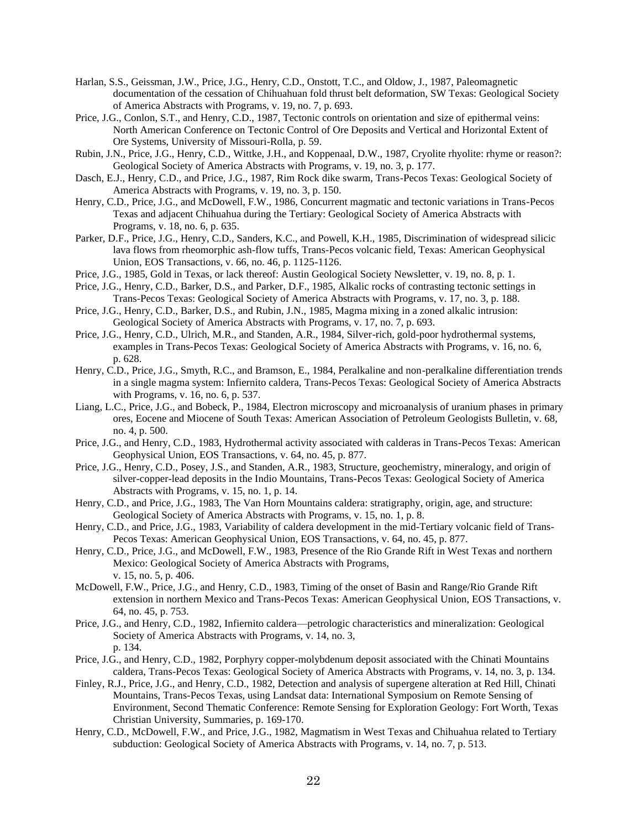- Harlan, S.S., Geissman, J.W., Price, J.G., Henry, C.D., Onstott, T.C., and Oldow, J., 1987, Paleomagnetic documentation of the cessation of Chihuahuan fold thrust belt deformation, SW Texas: Geological Society of America Abstracts with Programs, v. 19, no. 7, p. 693.
- Price, J.G., Conlon, S.T., and Henry, C.D., 1987, Tectonic controls on orientation and size of epithermal veins: North American Conference on Tectonic Control of Ore Deposits and Vertical and Horizontal Extent of Ore Systems, University of Missouri-Rolla, p. 59.
- Rubin, J.N., Price, J.G., Henry, C.D., Wittke, J.H., and Koppenaal, D.W., 1987, Cryolite rhyolite: rhyme or reason?: Geological Society of America Abstracts with Programs, v. 19, no. 3, p. 177.
- Dasch, E.J., Henry, C.D., and Price, J.G., 1987, Rim Rock dike swarm, Trans-Pecos Texas: Geological Society of America Abstracts with Programs, v. 19, no. 3, p. 150.
- Henry, C.D., Price, J.G., and McDowell, F.W., 1986, Concurrent magmatic and tectonic variations in Trans-Pecos Texas and adjacent Chihuahua during the Tertiary: Geological Society of America Abstracts with Programs, v. 18, no. 6, p. 635.
- Parker, D.F., Price, J.G., Henry, C.D., Sanders, K.C., and Powell, K.H., 1985, Discrimination of widespread silicic lava flows from rheomorphic ash-flow tuffs, Trans-Pecos volcanic field, Texas: American Geophysical Union, EOS Transactions, v. 66, no. 46, p. 1125-1126.
- Price, J.G., 1985, Gold in Texas, or lack thereof: Austin Geological Society Newsletter, v. 19, no. 8, p. 1.
- Price, J.G., Henry, C.D., Barker, D.S., and Parker, D.F., 1985, Alkalic rocks of contrasting tectonic settings in Trans-Pecos Texas: Geological Society of America Abstracts with Programs, v. 17, no. 3, p. 188.
- Price, J.G., Henry, C.D., Barker, D.S., and Rubin, J.N., 1985, Magma mixing in a zoned alkalic intrusion: Geological Society of America Abstracts with Programs, v. 17, no. 7, p. 693.
- Price, J.G., Henry, C.D., Ulrich, M.R., and Standen, A.R., 1984, Silver-rich, gold-poor hydrothermal systems, examples in Trans-Pecos Texas: Geological Society of America Abstracts with Programs, v. 16, no. 6, p. 628.
- Henry, C.D., Price, J.G., Smyth, R.C., and Bramson, E., 1984, Peralkaline and non-peralkaline differentiation trends in a single magma system: Infiernito caldera, Trans-Pecos Texas: Geological Society of America Abstracts with Programs, v. 16, no. 6, p. 537.
- Liang, L.C., Price, J.G., and Bobeck, P., 1984, Electron microscopy and microanalysis of uranium phases in primary ores, Eocene and Miocene of South Texas: American Association of Petroleum Geologists Bulletin, v. 68, no. 4, p. 500.
- Price, J.G., and Henry, C.D., 1983, Hydrothermal activity associated with calderas in Trans-Pecos Texas: American Geophysical Union, EOS Transactions, v. 64, no. 45, p. 877.
- Price, J.G., Henry, C.D., Posey, J.S., and Standen, A.R., 1983, Structure, geochemistry, mineralogy, and origin of silver-copper-lead deposits in the Indio Mountains, Trans-Pecos Texas: Geological Society of America Abstracts with Programs, v. 15, no. 1, p. 14.
- Henry, C.D., and Price, J.G., 1983, The Van Horn Mountains caldera: stratigraphy, origin, age, and structure: Geological Society of America Abstracts with Programs, v. 15, no. 1, p. 8.
- Henry, C.D., and Price, J.G., 1983, Variability of caldera development in the mid-Tertiary volcanic field of Trans-Pecos Texas: American Geophysical Union, EOS Transactions, v. 64, no. 45, p. 877.
- Henry, C.D., Price, J.G., and McDowell, F.W., 1983, Presence of the Rio Grande Rift in West Texas and northern Mexico: Geological Society of America Abstracts with Programs, v. 15, no. 5, p. 406.
- McDowell, F.W., Price, J.G., and Henry, C.D., 1983, Timing of the onset of Basin and Range/Rio Grande Rift extension in northern Mexico and Trans-Pecos Texas: American Geophysical Union, EOS Transactions, v. 64, no. 45, p. 753.
- Price, J.G., and Henry, C.D., 1982, Infiernito caldera—petrologic characteristics and mineralization: Geological Society of America Abstracts with Programs, v. 14, no. 3, p. 134.
- Price, J.G., and Henry, C.D., 1982, Porphyry copper-molybdenum deposit associated with the Chinati Mountains caldera, Trans-Pecos Texas: Geological Society of America Abstracts with Programs, v. 14, no. 3, p. 134.
- Finley, R.J., Price, J.G., and Henry, C.D., 1982, Detection and analysis of supergene alteration at Red Hill, Chinati Mountains, Trans-Pecos Texas, using Landsat data: International Symposium on Remote Sensing of Environment, Second Thematic Conference: Remote Sensing for Exploration Geology: Fort Worth, Texas Christian University, Summaries, p. 169-170.
- Henry, C.D., McDowell, F.W., and Price, J.G., 1982, Magmatism in West Texas and Chihuahua related to Tertiary subduction: Geological Society of America Abstracts with Programs, v. 14, no. 7, p. 513.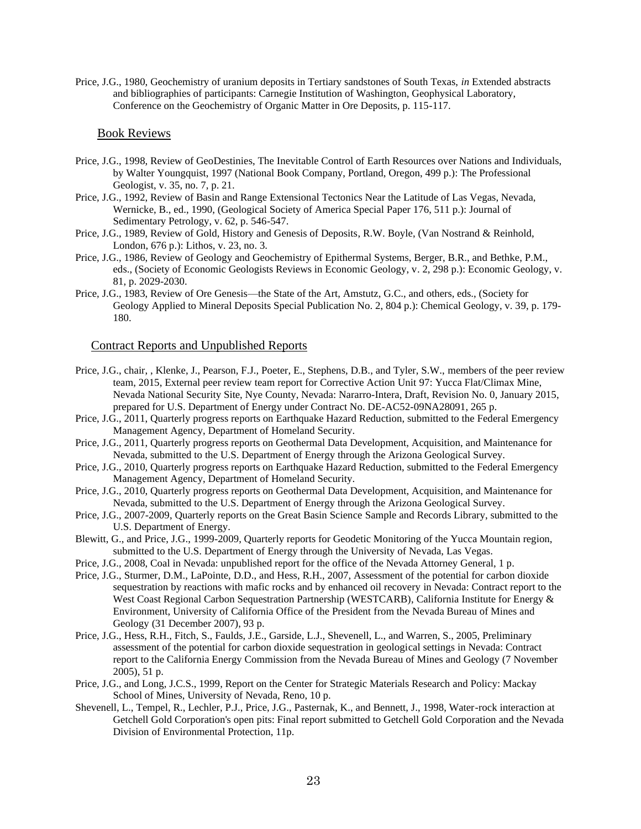Price, J.G., 1980, Geochemistry of uranium deposits in Tertiary sandstones of South Texas, *in* Extended abstracts and bibliographies of participants: Carnegie Institution of Washington, Geophysical Laboratory, Conference on the Geochemistry of Organic Matter in Ore Deposits, p. 115-117.

## Book Reviews

- Price, J.G., 1998, Review of GeoDestinies, The Inevitable Control of Earth Resources over Nations and Individuals, by Walter Youngquist, 1997 (National Book Company, Portland, Oregon, 499 p.): The Professional Geologist, v. 35, no. 7, p. 21.
- Price, J.G., 1992, Review of Basin and Range Extensional Tectonics Near the Latitude of Las Vegas, Nevada, Wernicke, B., ed., 1990, (Geological Society of America Special Paper 176, 511 p.): Journal of Sedimentary Petrology, v. 62, p. 546-547.
- Price, J.G., 1989, Review of Gold, History and Genesis of Deposits, R.W. Boyle, (Van Nostrand & Reinhold, London, 676 p.): Lithos, v. 23, no. 3.
- Price, J.G., 1986, Review of Geology and Geochemistry of Epithermal Systems, Berger, B.R., and Bethke, P.M., eds., (Society of Economic Geologists Reviews in Economic Geology, v. 2, 298 p.): Economic Geology, v. 81, p. 2029-2030.
- Price, J.G., 1983, Review of Ore Genesis—the State of the Art, Amstutz, G.C., and others, eds., (Society for Geology Applied to Mineral Deposits Special Publication No. 2, 804 p.): Chemical Geology, v. 39, p. 179- 180.

## Contract Reports and Unpublished Reports

- Price, J.G., chair, , Klenke, J., Pearson, F.J., Poeter, E., Stephens, D.B., and Tyler, S.W., members of the peer review team, 2015, External peer review team report for Corrective Action Unit 97: Yucca Flat/Climax Mine, Nevada National Security Site, Nye County, Nevada: Nararro-Intera, Draft, Revision No. 0, January 2015, prepared for U.S. Department of Energy under Contract No. DE-AC52-09NA28091, 265 p.
- Price, J.G., 2011, Quarterly progress reports on Earthquake Hazard Reduction, submitted to the Federal Emergency Management Agency, Department of Homeland Security.
- Price, J.G., 2011, Quarterly progress reports on Geothermal Data Development, Acquisition, and Maintenance for Nevada, submitted to the U.S. Department of Energy through the Arizona Geological Survey.
- Price, J.G., 2010, Quarterly progress reports on Earthquake Hazard Reduction, submitted to the Federal Emergency Management Agency, Department of Homeland Security.
- Price, J.G., 2010, Quarterly progress reports on Geothermal Data Development, Acquisition, and Maintenance for Nevada, submitted to the U.S. Department of Energy through the Arizona Geological Survey.
- Price, J.G., 2007-2009, Quarterly reports on the Great Basin Science Sample and Records Library, submitted to the U.S. Department of Energy.
- Blewitt, G., and Price, J.G., 1999-2009, Quarterly reports for Geodetic Monitoring of the Yucca Mountain region, submitted to the U.S. Department of Energy through the University of Nevada, Las Vegas.
- Price, J.G., 2008, Coal in Nevada: unpublished report for the office of the Nevada Attorney General, 1 p.
- Price, J.G., Sturmer, D.M., LaPointe, D.D., and Hess, R.H., 2007, Assessment of the potential for carbon dioxide sequestration by reactions with mafic rocks and by enhanced oil recovery in Nevada: Contract report to the West Coast Regional Carbon Sequestration Partnership (WESTCARB), California Institute for Energy & Environment, University of California Office of the President from the Nevada Bureau of Mines and Geology (31 December 2007), 93 p.
- Price, J.G., Hess, R.H., Fitch, S., Faulds, J.E., Garside, L.J., Shevenell, L., and Warren, S., 2005, Preliminary assessment of the potential for carbon dioxide sequestration in geological settings in Nevada: Contract report to the California Energy Commission from the Nevada Bureau of Mines and Geology (7 November 2005), 51 p.
- Price, J.G., and Long, J.C.S., 1999, Report on the Center for Strategic Materials Research and Policy: Mackay School of Mines, University of Nevada, Reno, 10 p.
- Shevenell, L., Tempel, R., Lechler, P.J., Price, J.G., Pasternak, K., and Bennett, J., 1998, Water-rock interaction at Getchell Gold Corporation's open pits: Final report submitted to Getchell Gold Corporation and the Nevada Division of Environmental Protection, 11p.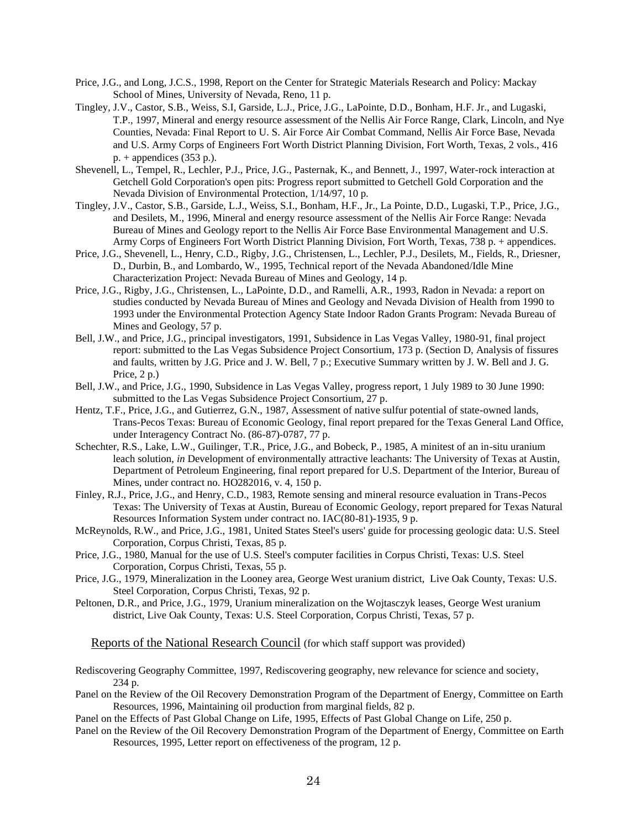- Price, J.G., and Long, J.C.S., 1998, Report on the Center for Strategic Materials Research and Policy: Mackay School of Mines, University of Nevada, Reno, 11 p.
- Tingley, J.V., Castor, S.B., Weiss, S.I, Garside, L.J., Price, J.G., LaPointe, D.D., Bonham, H.F. Jr., and Lugaski, T.P., 1997, Mineral and energy resource assessment of the Nellis Air Force Range, Clark, Lincoln, and Nye Counties, Nevada: Final Report to U. S. Air Force Air Combat Command, Nellis Air Force Base, Nevada and U.S. Army Corps of Engineers Fort Worth District Planning Division, Fort Worth, Texas, 2 vols., 416  $p. +$  appendices (353 p.).
- Shevenell, L., Tempel, R., Lechler, P.J., Price, J.G., Pasternak, K., and Bennett, J., 1997, Water-rock interaction at Getchell Gold Corporation's open pits: Progress report submitted to Getchell Gold Corporation and the Nevada Division of Environmental Protection, 1/14/97, 10 p.
- Tingley, J.V., Castor, S.B., Garside, L.J., Weiss, S.I., Bonham, H.F., Jr., La Pointe, D.D., Lugaski, T.P., Price, J.G., and Desilets, M., 1996, Mineral and energy resource assessment of the Nellis Air Force Range: Nevada Bureau of Mines and Geology report to the Nellis Air Force Base Environmental Management and U.S. Army Corps of Engineers Fort Worth District Planning Division, Fort Worth, Texas, 738 p. + appendices.
- Price, J.G., Shevenell, L., Henry, C.D., Rigby, J.G., Christensen, L., Lechler, P.J., Desilets, M., Fields, R., Driesner, D., Durbin, B., and Lombardo, W., 1995, Technical report of the Nevada Abandoned/Idle Mine Characterization Project: Nevada Bureau of Mines and Geology, 14 p.
- Price, J.G., Rigby, J.G., Christensen, L., LaPointe, D.D., and Ramelli, A.R., 1993, Radon in Nevada: a report on studies conducted by Nevada Bureau of Mines and Geology and Nevada Division of Health from 1990 to 1993 under the Environmental Protection Agency State Indoor Radon Grants Program: Nevada Bureau of Mines and Geology, 57 p.
- Bell, J.W., and Price, J.G., principal investigators, 1991, Subsidence in Las Vegas Valley, 1980-91, final project report: submitted to the Las Vegas Subsidence Project Consortium, 173 p. (Section D, Analysis of fissures and faults, written by J.G. Price and J. W. Bell, 7 p.; Executive Summary written by J. W. Bell and J. G. Price, 2 p.)
- Bell, J.W., and Price, J.G., 1990, Subsidence in Las Vegas Valley, progress report, 1 July 1989 to 30 June 1990: submitted to the Las Vegas Subsidence Project Consortium, 27 p.
- Hentz, T.F., Price, J.G., and Gutierrez, G.N., 1987, Assessment of native sulfur potential of state-owned lands, Trans-Pecos Texas: Bureau of Economic Geology, final report prepared for the Texas General Land Office, under Interagency Contract No. (86-87)-0787, 77 p.
- Schechter, R.S., Lake, L.W., Guilinger, T.R., Price, J.G., and Bobeck, P., 1985, A minitest of an in-situ uranium leach solution, *in* Development of environmentally attractive leachants: The University of Texas at Austin, Department of Petroleum Engineering, final report prepared for U.S. Department of the Interior, Bureau of Mines, under contract no. HO282016, v. 4, 150 p.
- Finley, R.J., Price, J.G., and Henry, C.D., 1983, Remote sensing and mineral resource evaluation in Trans-Pecos Texas: The University of Texas at Austin, Bureau of Economic Geology, report prepared for Texas Natural Resources Information System under contract no. IAC(80-81)-1935, 9 p.
- McReynolds, R.W., and Price, J.G., 1981, United States Steel's users' guide for processing geologic data: U.S. Steel Corporation, Corpus Christi, Texas, 85 p.
- Price, J.G., 1980, Manual for the use of U.S. Steel's computer facilities in Corpus Christi, Texas: U.S. Steel Corporation, Corpus Christi, Texas, 55 p.
- Price, J.G., 1979, Mineralization in the Looney area, George West uranium district, Live Oak County, Texas: U.S. Steel Corporation, Corpus Christi, Texas, 92 p.
- Peltonen, D.R., and Price, J.G., 1979, Uranium mineralization on the Wojtasczyk leases, George West uranium district, Live Oak County, Texas: U.S. Steel Corporation, Corpus Christi, Texas, 57 p.

Reports of the National Research Council (for which staff support was provided)

Rediscovering Geography Committee, 1997, Rediscovering geography, new relevance for science and society, 234 p.

Panel on the Review of the Oil Recovery Demonstration Program of the Department of Energy, Committee on Earth Resources, 1996, Maintaining oil production from marginal fields, 82 p.

Panel on the Effects of Past Global Change on Life, 1995, Effects of Past Global Change on Life, 250 p.

Panel on the Review of the Oil Recovery Demonstration Program of the Department of Energy, Committee on Earth Resources, 1995, Letter report on effectiveness of the program, 12 p.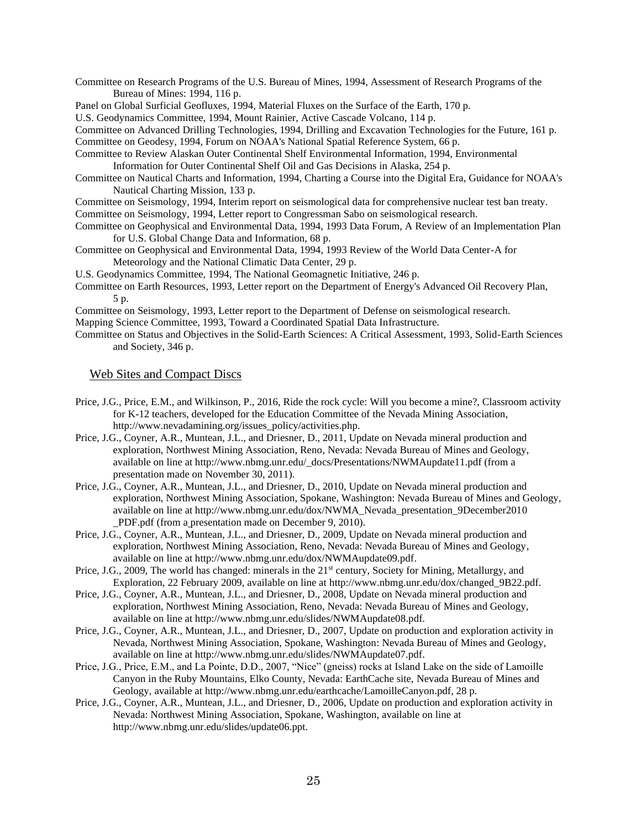- Committee on Research Programs of the U.S. Bureau of Mines, 1994, Assessment of Research Programs of the Bureau of Mines: 1994, 116 p.
- Panel on Global Surficial Geofluxes, 1994, Material Fluxes on the Surface of the Earth, 170 p.

U.S. Geodynamics Committee, 1994, Mount Rainier, Active Cascade Volcano, 114 p.

Committee on Advanced Drilling Technologies, 1994, Drilling and Excavation Technologies for the Future, 161 p. Committee on Geodesy, 1994, Forum on NOAA's National Spatial Reference System, 66 p.

- Committee to Review Alaskan Outer Continental Shelf Environmental Information, 1994, Environmental Information for Outer Continental Shelf Oil and Gas Decisions in Alaska, 254 p.
- Committee on Nautical Charts and Information, 1994, Charting a Course into the Digital Era, Guidance for NOAA's Nautical Charting Mission, 133 p.

Committee on Seismology, 1994, Interim report on seismological data for comprehensive nuclear test ban treaty.

- Committee on Seismology, 1994, Letter report to Congressman Sabo on seismological research.
- Committee on Geophysical and Environmental Data, 1994, 1993 Data Forum, A Review of an Implementation Plan for U.S. Global Change Data and Information, 68 p.
- Committee on Geophysical and Environmental Data, 1994, 1993 Review of the World Data Center-A for Meteorology and the National Climatic Data Center, 29 p.
- U.S. Geodynamics Committee, 1994, The National Geomagnetic Initiative, 246 p.
- Committee on Earth Resources, 1993, Letter report on the Department of Energy's Advanced Oil Recovery Plan, 5 p.

Committee on Seismology, 1993, Letter report to the Department of Defense on seismological research.

Mapping Science Committee, 1993, Toward a Coordinated Spatial Data Infrastructure.

Committee on Status and Objectives in the Solid-Earth Sciences: A Critical Assessment, 1993, Solid-Earth Sciences and Society, 346 p.

## Web Sites and Compact Discs

- Price, J.G., Price, E.M., and Wilkinson, P., 2016, Ride the rock cycle: Will you become a mine?, Classroom activity for K-12 teachers, developed for the Education Committee of the Nevada Mining Association, http://www.nevadamining.org/issues\_policy/activities.php.
- Price, J.G., Coyner, A.R., Muntean, J.L., and Driesner, D., 2011, Update on Nevada mineral production and exploration, Northwest Mining Association, Reno, Nevada: Nevada Bureau of Mines and Geology, available on line at http://www.nbmg.unr.edu/\_docs/Presentations/NWMAupdate11.pdf (from a presentation made on November 30, 2011).
- Price, J.G., Coyner, A.R., Muntean, J.L., and Driesner, D., 2010, Update on Nevada mineral production and exploration, Northwest Mining Association, Spokane, Washington: Nevada Bureau of Mines and Geology, available on line at [http://www.nbmg.unr.edu/dox/NWMA\\_Nevada\\_presentation\\_9December2010](http://www.nbmg.unr.edu/dox/NWMA_Nevada_presentation_9December2010) \_PDF.pdf (from a presentation made on December 9, 2010).
- Price, J.G., Coyner, A.R., Muntean, J.L., and Driesner, D., 2009, Update on Nevada mineral production and exploration, Northwest Mining Association, Reno, Nevada: Nevada Bureau of Mines and Geology, available on line at http://www.nbmg.unr.edu/dox/NWMAupdate09.pdf.
- Price, J.G., 2009, The world has changed: minerals in the 21<sup>st</sup> century, Society for Mining, Metallurgy, and Exploration, 22 February 2009, available on line at http://www.nbmg.unr.edu/dox/changed\_9B22.pdf.
- Price, J.G., Coyner, A.R., Muntean, J.L., and Driesner, D., 2008, Update on Nevada mineral production and exploration, Northwest Mining Association, Reno, Nevada: Nevada Bureau of Mines and Geology, available on line at http://www.nbmg.unr.edu/slides/NWMAupdate08.pdf.
- Price, J.G., Coyner, A.R., Muntean, J.L., and Driesner, D., 2007, Update on production and exploration activity in Nevada, Northwest Mining Association, Spokane, Washington: Nevada Bureau of Mines and Geology, available on line at http://www.nbmg.unr.edu/slides/NWMAupdate07.pdf.
- Price, J.G., Price, E.M., and La Pointe, D.D., 2007, "Nice" (gneiss) rocks at Island Lake on the side of Lamoille Canyon in the Ruby Mountains, Elko County, Nevada: EarthCache site, Nevada Bureau of Mines and Geology, available at http://www.nbmg.unr.edu/earthcache/LamoilleCanyon.pdf, 28 p.
- Price, J.G., Coyner, A.R., Muntean, J.L., and Driesner, D., 2006, Update on production and exploration activity in Nevada: Northwest Mining Association, Spokane, Washington, available on line at http://www.nbmg.unr.edu/slides/update06.ppt.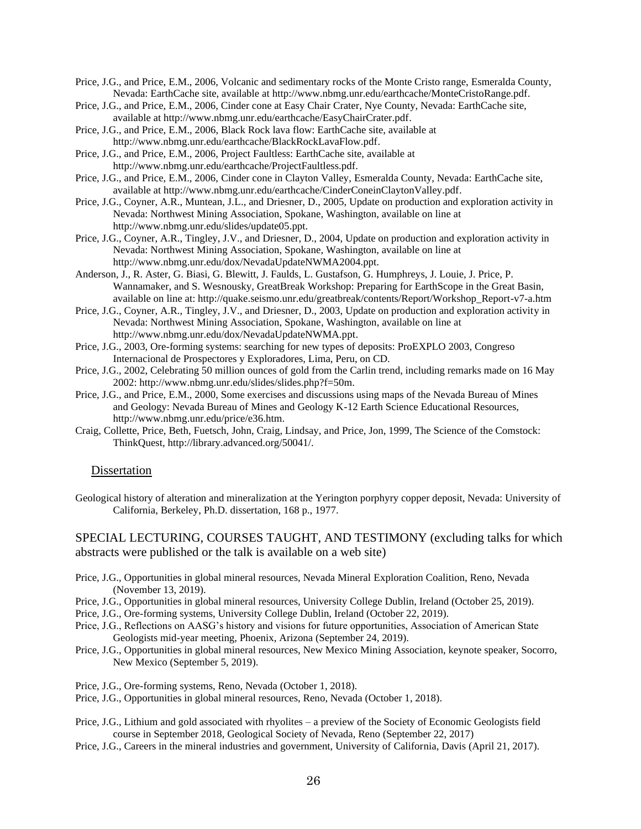Price, J.G., and Price, E.M., 2006, Volcanic and sedimentary rocks of the Monte Cristo range, Esmeralda County, Nevada: EarthCache site, available at http://www.nbmg.unr.edu/earthcache/MonteCristoRange.pdf.

- Price, J.G., and Price, E.M., 2006, Cinder cone at Easy Chair Crater, Nye County, Nevada: EarthCache site, available at http://www.nbmg.unr.edu/earthcache/EasyChairCrater.pdf.
- Price, J.G., and Price, E.M., 2006, Black Rock lava flow: EarthCache site, available at http://www.nbmg.unr.edu/earthcache/BlackRockLavaFlow.pdf.
- Price, J.G., and Price, E.M., 2006, Project Faultless: EarthCache site, available at http://www.nbmg.unr.edu/earthcache/ProjectFaultless.pdf.
- Price, J.G., and Price, E.M., 2006, Cinder cone in Clayton Valley, Esmeralda County, Nevada: EarthCache site, available at http://www.nbmg.unr.edu/earthcache/CinderConeinClaytonValley.pdf.
- Price, J.G., Coyner, A.R., Muntean, J.L., and Driesner, D., 2005, Update on production and exploration activity in Nevada: Northwest Mining Association, Spokane, Washington, available on line at http://www.nbmg.unr.edu/slides/update05.ppt.
- Price, J.G., Coyner, A.R., Tingley, J.V., and Driesner, D., 2004, Update on production and exploration activity in Nevada: Northwest Mining Association, Spokane, Washington, available on line at http://www.nbmg.unr.edu/dox/NevadaUpdateNWMA2004.ppt.
- Anderson, J., R. Aster, G. Biasi, G. Blewitt, J. Faulds, L. Gustafson, G. Humphreys, J. Louie, J. Price, P. Wannamaker, and S. Wesnousky, GreatBreak Workshop: Preparing for EarthScope in the Great Basin, available on line at: [http://quake.seismo.unr.edu/greatbreak/contents/Report/Workshop\\_Report-v7-a.htm](http://quake.seismo.unr.edu/greatbreak/contents/Report/Workshop_Report-v7-a.htm)
- Price, J.G., Coyner, A.R., Tingley, J.V., and Driesner, D., 2003, Update on production and exploration activity in Nevada: Northwest Mining Association, Spokane, Washington, available on line at http://www.nbmg.unr.edu/dox/NevadaUpdateNWMA.ppt.
- Price, J.G., 2003, Ore-forming systems: searching for new types of deposits: ProEXPLO 2003, Congreso Internacional de Prospectores y Exploradores, Lima, Peru, on CD.
- Price, J.G., 2002, Celebrating 50 million ounces of gold from the Carlin trend, including remarks made on 16 May 2002: http://www.nbmg.unr.edu/slides/slides.php?f=50m.
- Price, J.G., and Price, E.M., 2000, Some exercises and discussions using maps of the Nevada Bureau of Mines and Geology: Nevada Bureau of Mines and Geology K-12 Earth Science Educational Resources, http://www.nbmg.unr.edu/price/e36.htm.
- Craig, Collette, Price, Beth, Fuetsch, John, Craig, Lindsay, and Price, Jon, 1999, The Science of the Comstock: ThinkQuest, http://library.advanced.org/50041/.

## Dissertation

Geological history of alteration and mineralization at the Yerington porphyry copper deposit, Nevada: University of California, Berkeley, Ph.D. dissertation, 168 p., 1977.

# SPECIAL LECTURING, COURSES TAUGHT, AND TESTIMONY (excluding talks for which abstracts were published or the talk is available on a web site)

- Price, J.G., Opportunities in global mineral resources, Nevada Mineral Exploration Coalition, Reno, Nevada (November 13, 2019).
- Price, J.G., Opportunities in global mineral resources, University College Dublin, Ireland (October 25, 2019).
- Price, J.G., Ore-forming systems, University College Dublin, Ireland (October 22, 2019).
- Price, J.G., Reflections on AASG's history and visions for future opportunities, Association of American State Geologists mid-year meeting, Phoenix, Arizona (September 24, 2019).
- Price, J.G., Opportunities in global mineral resources, New Mexico Mining Association, keynote speaker, Socorro, New Mexico (September 5, 2019).
- Price, J.G., Ore-forming systems, Reno, Nevada (October 1, 2018).
- Price, J.G., Opportunities in global mineral resources, Reno, Nevada (October 1, 2018).
- Price, J.G., Lithium and gold associated with rhyolites a preview of the Society of Economic Geologists field course in September 2018, Geological Society of Nevada, Reno (September 22, 2017)
- Price, J.G., Careers in the mineral industries and government, University of California, Davis (April 21, 2017).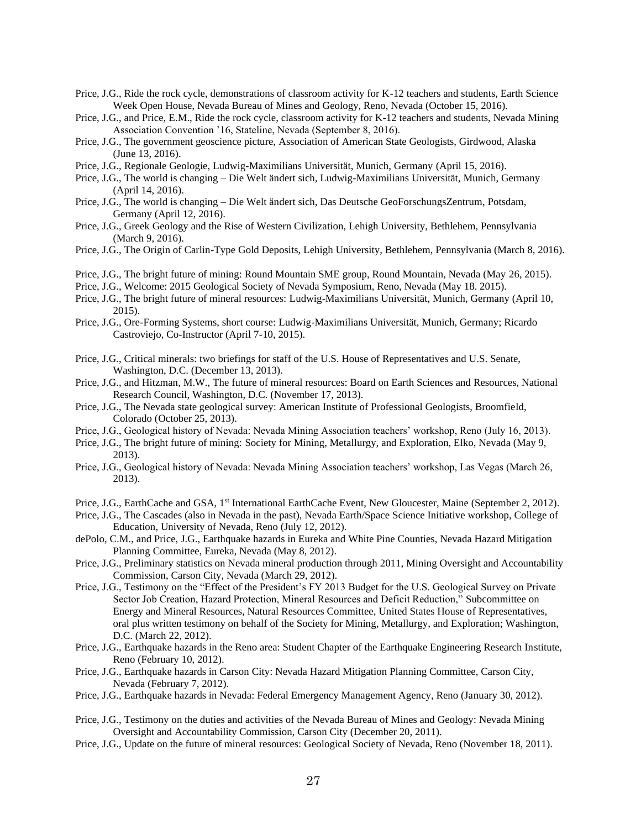- Price, J.G., Ride the rock cycle, demonstrations of classroom activity for K-12 teachers and students, Earth Science Week Open House, Nevada Bureau of Mines and Geology, Reno, Nevada (October 15, 2016).
- Price, J.G., and Price, E.M., Ride the rock cycle, classroom activity for K-12 teachers and students, Nevada Mining Association Convention '16, Stateline, Nevada (September 8, 2016).
- Price, J.G., The government geoscience picture, Association of American State Geologists, Girdwood, Alaska (June 13, 2016).
- Price, J.G., Regionale Geologie, Ludwig-Maximilians Universität, Munich, Germany (April 15, 2016).
- Price, J.G., The world is changing Die Welt ändert sich, Ludwig-Maximilians Universität, Munich, Germany (April 14, 2016).
- Price, J.G., The world is changing Die Welt ändert sich, Das Deutsche GeoForschungsZentrum, Potsdam, Germany (April 12, 2016).
- Price, J.G., Greek Geology and the Rise of Western Civilization, Lehigh University, Bethlehem, Pennsylvania (March 9, 2016).
- Price, J.G., The Origin of Carlin-Type Gold Deposits, Lehigh University, Bethlehem, Pennsylvania (March 8, 2016).
- Price, J.G., The bright future of mining: Round Mountain SME group, Round Mountain, Nevada (May 26, 2015).
- Price, J.G., Welcome: 2015 Geological Society of Nevada Symposium, Reno, Nevada (May 18. 2015).
- Price, J.G., The bright future of mineral resources: Ludwig-Maximilians Universität, Munich, Germany (April 10, 2015).
- Price, J.G., Ore-Forming Systems, short course: Ludwig-Maximilians Universität, Munich, Germany; Ricardo Castroviejo, Co-Instructor (April 7-10, 2015).
- Price, J.G., Critical minerals: two briefings for staff of the U.S. House of Representatives and U.S. Senate, Washington, D.C. (December 13, 2013).
- Price, J.G., and Hitzman, M.W., The future of mineral resources: Board on Earth Sciences and Resources, National Research Council, Washington, D.C. (November 17, 2013).
- Price, J.G., The Nevada state geological survey: American Institute of Professional Geologists, Broomfield, Colorado (October 25, 2013).
- Price, J.G., Geological history of Nevada: Nevada Mining Association teachers' workshop, Reno (July 16, 2013).
- Price, J.G., The bright future of mining: Society for Mining, Metallurgy, and Exploration, Elko, Nevada (May 9, 2013).
- Price, J.G., Geological history of Nevada: Nevada Mining Association teachers' workshop, Las Vegas (March 26, 2013).
- Price, J.G., EarthCache and GSA, 1<sup>st</sup> International EarthCache Event, New Gloucester, Maine (September 2, 2012).
- Price, J.G., The Cascades (also in Nevada in the past), Nevada Earth/Space Science Initiative workshop, College of Education, University of Nevada, Reno (July 12, 2012).
- dePolo, C.M., and Price, J.G., Earthquake hazards in Eureka and White Pine Counties, Nevada Hazard Mitigation Planning Committee, Eureka, Nevada (May 8, 2012).
- Price, J.G., Preliminary statistics on Nevada mineral production through 2011, Mining Oversight and Accountability Commission, Carson City, Nevada (March 29, 2012).
- Price, J.G., Testimony on the "Effect of the President's FY 2013 Budget for the U.S. Geological Survey on Private Sector Job Creation, Hazard Protection, Mineral Resources and Deficit Reduction," Subcommittee on Energy and Mineral Resources, Natural Resources Committee, United States House of Representatives, oral plus written testimony on behalf of the Society for Mining, Metallurgy, and Exploration; Washington, D.C. (March 22, 2012).
- Price, J.G., Earthquake hazards in the Reno area: Student Chapter of the Earthquake Engineering Research Institute, Reno (February 10, 2012).
- Price, J.G., Earthquake hazards in Carson City: Nevada Hazard Mitigation Planning Committee, Carson City, Nevada (February 7, 2012).
- Price, J.G., Earthquake hazards in Nevada: Federal Emergency Management Agency, Reno (January 30, 2012).
- Price, J.G., Testimony on the duties and activities of the Nevada Bureau of Mines and Geology: Nevada Mining Oversight and Accountability Commission, Carson City (December 20, 2011).
- Price, J.G., Update on the future of mineral resources: Geological Society of Nevada, Reno (November 18, 2011).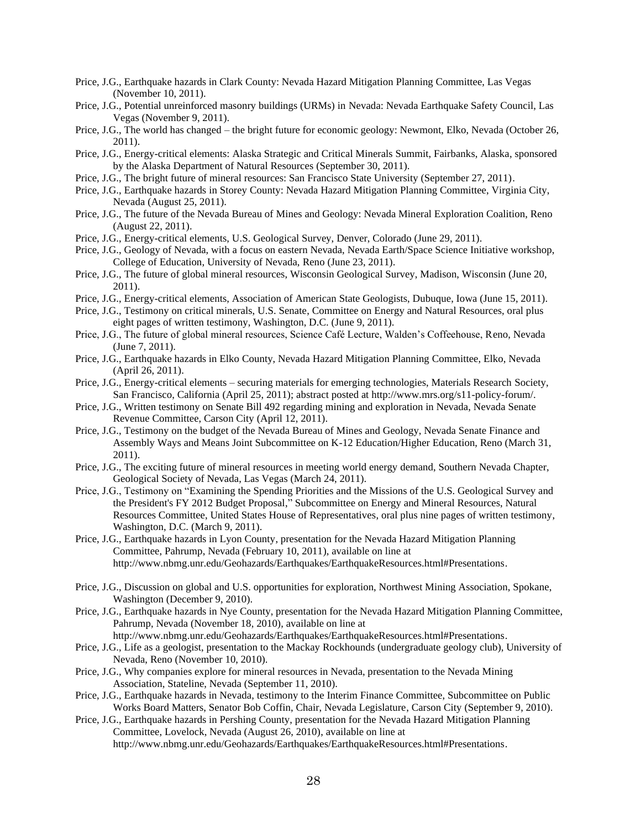- Price, J.G., Earthquake hazards in Clark County: Nevada Hazard Mitigation Planning Committee, Las Vegas (November 10, 2011).
- Price, J.G., Potential unreinforced masonry buildings (URMs) in Nevada: Nevada Earthquake Safety Council, Las Vegas (November 9, 2011).
- Price, J.G., The world has changed the bright future for economic geology: Newmont, Elko, Nevada (October 26, 2011).
- Price, J.G., Energy-critical elements: Alaska Strategic and Critical Minerals Summit, Fairbanks, Alaska, sponsored by the Alaska Department of Natural Resources (September 30, 2011).
- Price, J.G., The bright future of mineral resources: San Francisco State University (September 27, 2011).
- Price, J.G., Earthquake hazards in Storey County: Nevada Hazard Mitigation Planning Committee, Virginia City, Nevada (August 25, 2011).
- Price, J.G., The future of the Nevada Bureau of Mines and Geology: Nevada Mineral Exploration Coalition, Reno (August 22, 2011).
- Price, J.G., Energy-critical elements, U.S. Geological Survey, Denver, Colorado (June 29, 2011).
- Price, J.G., Geology of Nevada, with a focus on eastern Nevada, Nevada Earth/Space Science Initiative workshop, College of Education, University of Nevada, Reno (June 23, 2011).
- Price, J.G., The future of global mineral resources, Wisconsin Geological Survey, Madison, Wisconsin (June 20, 2011).
- Price, J.G., Energy-critical elements, Association of American State Geologists, Dubuque, Iowa (June 15, 2011).
- Price, J.G., Testimony on critical minerals, U.S. Senate, Committee on Energy and Natural Resources, oral plus eight pages of written testimony, Washington, D.C. (June 9, 2011).
- Price, J.G., The future of global mineral resources, Science Café Lecture, Walden's Coffeehouse, Reno, Nevada (June 7, 2011).
- Price, J.G., Earthquake hazards in Elko County, Nevada Hazard Mitigation Planning Committee, Elko, Nevada (April 26, 2011).
- Price, J.G., Energy-critical elements securing materials for emerging technologies, Materials Research Society, San Francisco, California (April 25, 2011); abstract posted at http://www.mrs.org/s11-policy-forum/.
- Price, J.G., Written testimony on Senate Bill 492 regarding mining and exploration in Nevada, Nevada Senate Revenue Committee, Carson City (April 12, 2011).
- Price, J.G., Testimony on the budget of the Nevada Bureau of Mines and Geology, Nevada Senate Finance and Assembly Ways and Means Joint Subcommittee on K-12 Education/Higher Education, Reno (March 31, 2011).
- Price, J.G., The exciting future of mineral resources in meeting world energy demand, Southern Nevada Chapter, Geological Society of Nevada, Las Vegas (March 24, 2011).
- Price, J.G., Testimony on "Examining the Spending Priorities and the Missions of the U.S. Geological Survey and the President's FY 2012 Budget Proposal," Subcommittee on Energy and Mineral Resources, Natural Resources Committee, United States House of Representatives, oral plus nine pages of written testimony, Washington, D.C. (March 9, 2011).
- Price, J.G., Earthquake hazards in Lyon County, presentation for the Nevada Hazard Mitigation Planning Committee, Pahrump, Nevada (February 10, 2011), available on line at http://www.nbmg.unr.edu/Geohazards/Earthquakes/EarthquakeResources.html#Presentations.
- Price, J.G., Discussion on global and U.S. opportunities for exploration, Northwest Mining Association, Spokane, Washington (December 9, 2010).
- Price, J.G., Earthquake hazards in Nye County, presentation for the Nevada Hazard Mitigation Planning Committee, Pahrump, Nevada (November 18, 2010), available on line at
	- http://www.nbmg.unr.edu/Geohazards/Earthquakes/EarthquakeResources.html#Presentations.
- Price, J.G., Life as a geologist, presentation to the Mackay Rockhounds (undergraduate geology club), University of Nevada, Reno (November 10, 2010).
- Price, J.G., Why companies explore for mineral resources in Nevada, presentation to the Nevada Mining Association, Stateline, Nevada (September 11, 2010).
- Price, J.G., Earthquake hazards in Nevada, testimony to the Interim Finance Committee, Subcommittee on Public Works Board Matters, Senator Bob Coffin, Chair, Nevada Legislature, Carson City (September 9, 2010).
- Price, J.G., Earthquake hazards in Pershing County, presentation for the Nevada Hazard Mitigation Planning Committee, Lovelock, Nevada (August 26, 2010), available on line at http://www.nbmg.unr.edu/Geohazards/Earthquakes/EarthquakeResources.html#Presentations.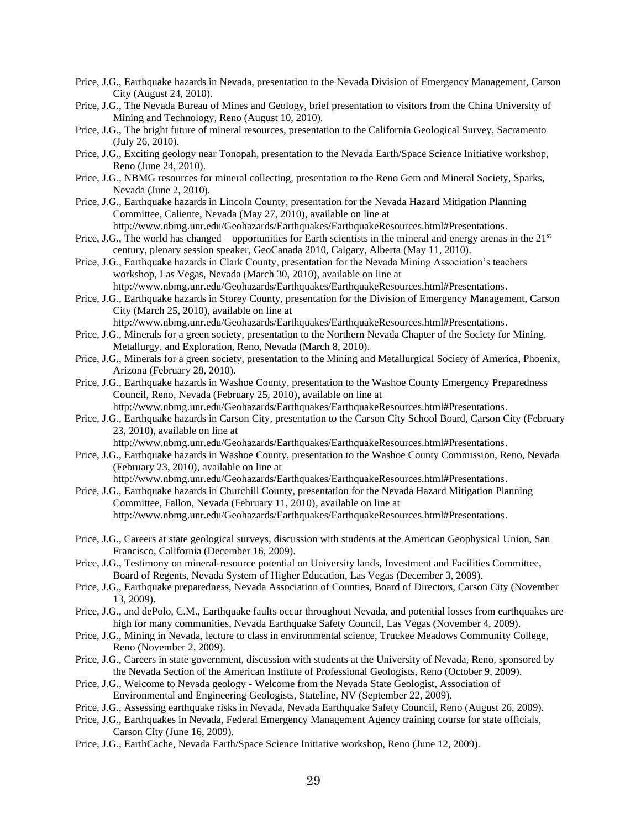- Price, J.G., Earthquake hazards in Nevada, presentation to the Nevada Division of Emergency Management, Carson City (August 24, 2010).
- Price, J.G., The Nevada Bureau of Mines and Geology, brief presentation to visitors from the China University of Mining and Technology, Reno (August 10, 2010).
- Price, J.G., The bright future of mineral resources, presentation to the California Geological Survey, Sacramento (July 26, 2010).
- Price, J.G., Exciting geology near Tonopah, presentation to the Nevada Earth/Space Science Initiative workshop, Reno (June 24, 2010).
- Price, J.G., NBMG resources for mineral collecting, presentation to the Reno Gem and Mineral Society, Sparks, Nevada (June 2, 2010).
- Price, J.G., Earthquake hazards in Lincoln County, presentation for the Nevada Hazard Mitigation Planning Committee, Caliente, Nevada (May 27, 2010), available on line at http://www.nbmg.unr.edu/Geohazards/Earthquakes/EarthquakeResources.html#Presentations.
- Price, J.G., The world has changed opportunities for Earth scientists in the mineral and energy arenas in the  $21<sup>st</sup>$ century, plenary session speaker, GeoCanada 2010, Calgary, Alberta (May 11, 2010).
- Price, J.G., Earthquake hazards in Clark County, presentation for the Nevada Mining Association's teachers workshop, Las Vegas, Nevada (March 30, 2010), available on line at http://www.nbmg.unr.edu/Geohazards/Earthquakes/EarthquakeResources.html#Presentations.
- Price, J.G., Earthquake hazards in Storey County, presentation for the Division of Emergency Management, Carson City (March 25, 2010), available on line at
	- http://www.nbmg.unr.edu/Geohazards/Earthquakes/EarthquakeResources.html#Presentations.
- Price, J.G., Minerals for a green society, presentation to the Northern Nevada Chapter of the Society for Mining, Metallurgy, and Exploration, Reno, Nevada (March 8, 2010).
- Price, J.G., Minerals for a green society, presentation to the Mining and Metallurgical Society of America, Phoenix, Arizona (February 28, 2010).
- Price, J.G., Earthquake hazards in Washoe County, presentation to the Washoe County Emergency Preparedness Council, Reno, Nevada (February 25, 2010), available on line at http://www.nbmg.unr.edu/Geohazards/Earthquakes/EarthquakeResources.html#Presentations.
- Price, J.G., Earthquake hazards in Carson City, presentation to the Carson City School Board, Carson City (February 23, 2010), available on line at
	- http://www.nbmg.unr.edu/Geohazards/Earthquakes/EarthquakeResources.html#Presentations.
- Price, J.G., Earthquake hazards in Washoe County, presentation to the Washoe County Commission, Reno, Nevada (February 23, 2010), available on line at
	- http://www.nbmg.unr.edu/Geohazards/Earthquakes/EarthquakeResources.html#Presentations.
- Price, J.G., Earthquake hazards in Churchill County, presentation for the Nevada Hazard Mitigation Planning Committee, Fallon, Nevada (February 11, 2010), available on line at http://www.nbmg.unr.edu/Geohazards/Earthquakes/EarthquakeResources.html#Presentations.
- Price, J.G., Careers at state geological surveys, discussion with students at the American Geophysical Union, San Francisco, California (December 16, 2009).
- Price, J.G., Testimony on mineral-resource potential on University lands, Investment and Facilities Committee, Board of Regents, Nevada System of Higher Education, Las Vegas (December 3, 2009).
- Price, J.G., Earthquake preparedness, Nevada Association of Counties, Board of Directors, Carson City (November 13, 2009).
- Price, J.G., and dePolo, C.M., Earthquake faults occur throughout Nevada, and potential losses from earthquakes are high for many communities, Nevada Earthquake Safety Council, Las Vegas (November 4, 2009).
- Price, J.G., Mining in Nevada, lecture to class in environmental science, Truckee Meadows Community College, Reno (November 2, 2009).
- Price, J.G., Careers in state government, discussion with students at the University of Nevada, Reno, sponsored by the Nevada Section of the American Institute of Professional Geologists, Reno (October 9, 2009).
- Price, J.G., Welcome to Nevada geology Welcome from the Nevada State Geologist, Association of Environmental and Engineering Geologists, Stateline, NV (September 22, 2009).
- Price, J.G., Assessing earthquake risks in Nevada, Nevada Earthquake Safety Council, Reno (August 26, 2009).
- Price, J.G., Earthquakes in Nevada, Federal Emergency Management Agency training course for state officials, Carson City (June 16, 2009).
- Price, J.G., EarthCache, Nevada Earth/Space Science Initiative workshop, Reno (June 12, 2009).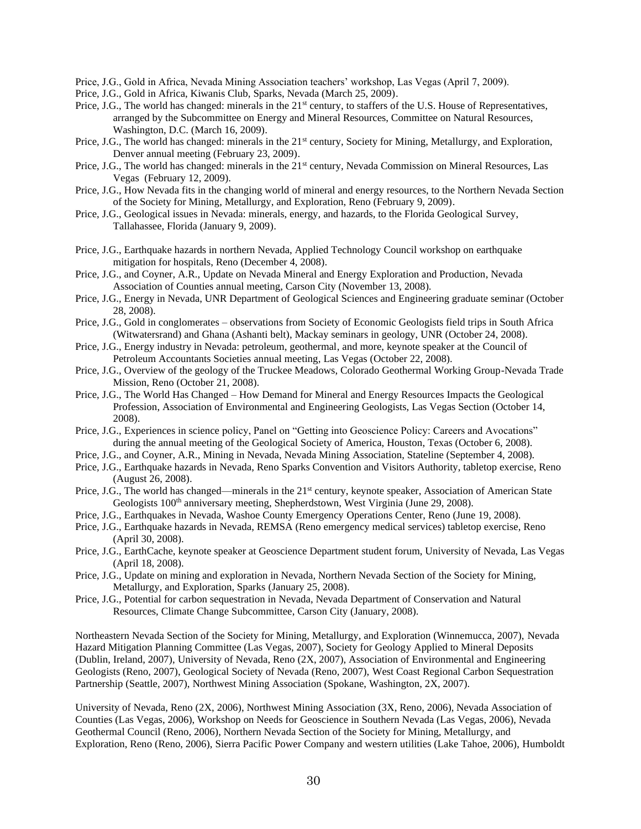Price, J.G., Gold in Africa, Nevada Mining Association teachers' workshop, Las Vegas (April 7, 2009).

- Price, J.G., Gold in Africa, Kiwanis Club, Sparks, Nevada (March 25, 2009).
- Price, J.G., The world has changed: minerals in the 21<sup>st</sup> century, to staffers of the U.S. House of Representatives, arranged by the Subcommittee on Energy and Mineral Resources, Committee on Natural Resources, Washington, D.C. (March 16, 2009).
- Price, J.G., The world has changed: minerals in the 21<sup>st</sup> century, Society for Mining, Metallurgy, and Exploration, Denver annual meeting (February 23, 2009).
- Price, J.G., The world has changed: minerals in the 21<sup>st</sup> century, Nevada Commission on Mineral Resources, Las Vegas (February 12, 2009).
- Price, J.G., How Nevada fits in the changing world of mineral and energy resources, to the Northern Nevada Section of the Society for Mining, Metallurgy, and Exploration, Reno (February 9, 2009).
- Price, J.G., Geological issues in Nevada: minerals, energy, and hazards, to the Florida Geological Survey, Tallahassee, Florida (January 9, 2009).
- Price, J.G., Earthquake hazards in northern Nevada, Applied Technology Council workshop on earthquake mitigation for hospitals, Reno (December 4, 2008).
- Price, J.G., and Coyner, A.R., Update on Nevada Mineral and Energy Exploration and Production, Nevada Association of Counties annual meeting, Carson City (November 13, 2008).
- Price, J.G., Energy in Nevada, UNR Department of Geological Sciences and Engineering graduate seminar (October 28, 2008).
- Price, J.G., Gold in conglomerates observations from Society of Economic Geologists field trips in South Africa (Witwatersrand) and Ghana (Ashanti belt), Mackay seminars in geology, UNR (October 24, 2008).
- Price, J.G., Energy industry in Nevada: petroleum, geothermal, and more, keynote speaker at the Council of Petroleum Accountants Societies annual meeting, Las Vegas (October 22, 2008).
- Price, J.G., Overview of the geology of the Truckee Meadows, Colorado Geothermal Working Group-Nevada Trade Mission, Reno (October 21, 2008).
- Price, J.G., The World Has Changed How Demand for Mineral and Energy Resources Impacts the Geological Profession, Association of Environmental and Engineering Geologists, Las Vegas Section (October 14, 2008).
- Price, J.G., Experiences in science policy, Panel on "Getting into Geoscience Policy: Careers and Avocations" during the annual meeting of the Geological Society of America, Houston, Texas (October 6, 2008).
- Price, J.G., and Coyner, A.R., Mining in Nevada, Nevada Mining Association, Stateline (September 4, 2008).
- Price, J.G., Earthquake hazards in Nevada, Reno Sparks Convention and Visitors Authority, tabletop exercise, Reno (August 26, 2008).
- Price, J.G., The world has changed—minerals in the 21<sup>st</sup> century, keynote speaker, Association of American State Geologists 100<sup>th</sup> anniversary meeting, Shepherdstown, West Virginia (June 29, 2008).
- Price, J.G., Earthquakes in Nevada, Washoe County Emergency Operations Center, Reno (June 19, 2008).
- Price, J.G., Earthquake hazards in Nevada, REMSA (Reno emergency medical services) tabletop exercise, Reno (April 30, 2008).
- Price, J.G., EarthCache, keynote speaker at Geoscience Department student forum, University of Nevada, Las Vegas (April 18, 2008).
- Price, J.G., Update on mining and exploration in Nevada, Northern Nevada Section of the Society for Mining, Metallurgy, and Exploration, Sparks (January 25, 2008).
- Price, J.G., Potential for carbon sequestration in Nevada, Nevada Department of Conservation and Natural Resources, Climate Change Subcommittee, Carson City (January, 2008).

Northeastern Nevada Section of the Society for Mining, Metallurgy, and Exploration (Winnemucca, 2007), Nevada Hazard Mitigation Planning Committee (Las Vegas, 2007), Society for Geology Applied to Mineral Deposits (Dublin, Ireland, 2007), University of Nevada, Reno (2X, 2007), Association of Environmental and Engineering Geologists (Reno, 2007), Geological Society of Nevada (Reno, 2007), West Coast Regional Carbon Sequestration Partnership (Seattle, 2007), Northwest Mining Association (Spokane, Washington, 2X, 2007).

University of Nevada, Reno (2X, 2006), Northwest Mining Association (3X, Reno, 2006), Nevada Association of Counties (Las Vegas, 2006), Workshop on Needs for Geoscience in Southern Nevada (Las Vegas, 2006), Nevada Geothermal Council (Reno, 2006), Northern Nevada Section of the Society for Mining, Metallurgy, and Exploration, Reno (Reno, 2006), Sierra Pacific Power Company and western utilities (Lake Tahoe, 2006), Humboldt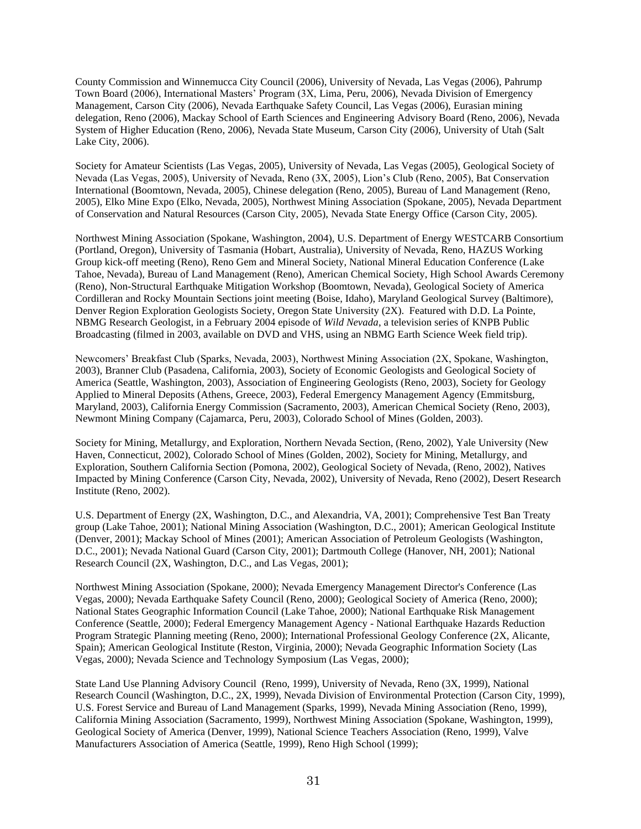County Commission and Winnemucca City Council (2006), University of Nevada, Las Vegas (2006), Pahrump Town Board (2006), International Masters' Program (3X, Lima, Peru, 2006), Nevada Division of Emergency Management, Carson City (2006), Nevada Earthquake Safety Council, Las Vegas (2006), Eurasian mining delegation, Reno (2006), Mackay School of Earth Sciences and Engineering Advisory Board (Reno, 2006), Nevada System of Higher Education (Reno, 2006), Nevada State Museum, Carson City (2006), University of Utah (Salt Lake City, 2006).

Society for Amateur Scientists (Las Vegas, 2005), University of Nevada, Las Vegas (2005), Geological Society of Nevada (Las Vegas, 2005), University of Nevada, Reno (3X, 2005), Lion's Club (Reno, 2005), Bat Conservation International (Boomtown, Nevada, 2005), Chinese delegation (Reno, 2005), Bureau of Land Management (Reno, 2005), Elko Mine Expo (Elko, Nevada, 2005), Northwest Mining Association (Spokane, 2005), Nevada Department of Conservation and Natural Resources (Carson City, 2005), Nevada State Energy Office (Carson City, 2005).

Northwest Mining Association (Spokane, Washington, 2004), U.S. Department of Energy WESTCARB Consortium (Portland, Oregon), University of Tasmania (Hobart, Australia), University of Nevada, Reno, HAZUS Working Group kick-off meeting (Reno), Reno Gem and Mineral Society, National Mineral Education Conference (Lake Tahoe, Nevada), Bureau of Land Management (Reno), American Chemical Society, High School Awards Ceremony (Reno), Non-Structural Earthquake Mitigation Workshop (Boomtown, Nevada), Geological Society of America Cordilleran and Rocky Mountain Sections joint meeting (Boise, Idaho), Maryland Geological Survey (Baltimore), Denver Region Exploration Geologists Society, Oregon State University (2X). Featured with D.D. La Pointe, NBMG Research Geologist, in a February 2004 episode of *Wild Nevada*, a television series of KNPB Public Broadcasting (filmed in 2003, available on DVD and VHS, using an NBMG Earth Science Week field trip).

Newcomers' Breakfast Club (Sparks, Nevada, 2003), Northwest Mining Association (2X, Spokane, Washington, 2003), Branner Club (Pasadena, California, 2003), Society of Economic Geologists and Geological Society of America (Seattle, Washington, 2003), Association of Engineering Geologists (Reno, 2003), Society for Geology Applied to Mineral Deposits (Athens, Greece, 2003), Federal Emergency Management Agency (Emmitsburg, Maryland, 2003), California Energy Commission (Sacramento, 2003), American Chemical Society (Reno, 2003), Newmont Mining Company (Cajamarca, Peru, 2003), Colorado School of Mines (Golden, 2003).

Society for Mining, Metallurgy, and Exploration, Northern Nevada Section, (Reno, 2002), Yale University (New Haven, Connecticut, 2002), Colorado School of Mines (Golden, 2002), Society for Mining, Metallurgy, and Exploration, Southern California Section (Pomona, 2002), Geological Society of Nevada, (Reno, 2002), Natives Impacted by Mining Conference (Carson City, Nevada, 2002), University of Nevada, Reno (2002), Desert Research Institute (Reno, 2002).

U.S. Department of Energy (2X, Washington, D.C., and Alexandria, VA, 2001); Comprehensive Test Ban Treaty group (Lake Tahoe, 2001); National Mining Association (Washington, D.C., 2001); American Geological Institute (Denver, 2001); Mackay School of Mines (2001); American Association of Petroleum Geologists (Washington, D.C., 2001); Nevada National Guard (Carson City, 2001); Dartmouth College (Hanover, NH, 2001); National Research Council (2X, Washington, D.C., and Las Vegas, 2001);

Northwest Mining Association (Spokane, 2000); Nevada Emergency Management Director's Conference (Las Vegas, 2000); Nevada Earthquake Safety Council (Reno, 2000); Geological Society of America (Reno, 2000); National States Geographic Information Council (Lake Tahoe, 2000); National Earthquake Risk Management Conference (Seattle, 2000); Federal Emergency Management Agency - National Earthquake Hazards Reduction Program Strategic Planning meeting (Reno, 2000); International Professional Geology Conference (2X, Alicante, Spain); American Geological Institute (Reston, Virginia, 2000); Nevada Geographic Information Society (Las Vegas, 2000); Nevada Science and Technology Symposium (Las Vegas, 2000);

State Land Use Planning Advisory Council (Reno, 1999), University of Nevada, Reno (3X, 1999), National Research Council (Washington, D.C., 2X, 1999), Nevada Division of Environmental Protection (Carson City, 1999), U.S. Forest Service and Bureau of Land Management (Sparks, 1999), Nevada Mining Association (Reno, 1999), California Mining Association (Sacramento, 1999), Northwest Mining Association (Spokane, Washington, 1999), Geological Society of America (Denver, 1999), National Science Teachers Association (Reno, 1999), Valve Manufacturers Association of America (Seattle, 1999), Reno High School (1999);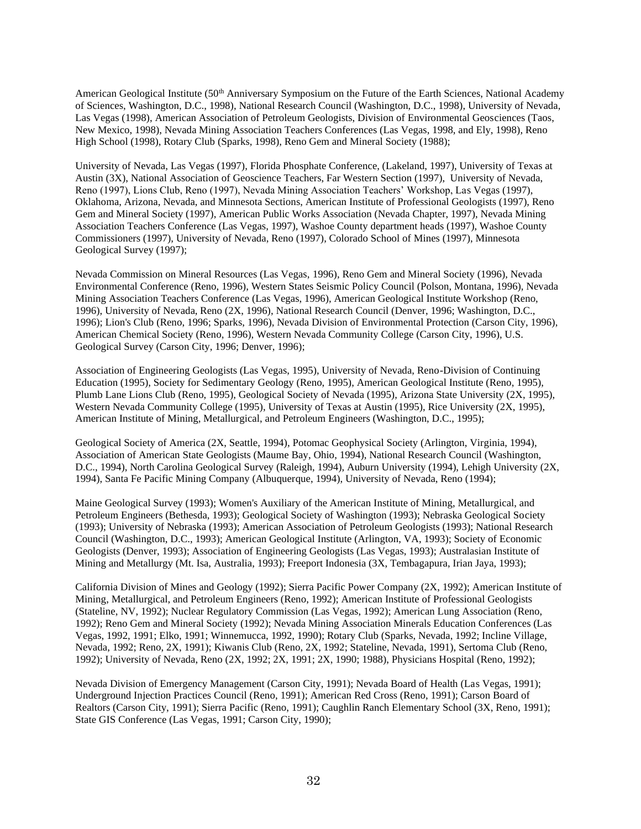American Geological Institute (50<sup>th</sup> Anniversary Symposium on the Future of the Earth Sciences, National Academy of Sciences, Washington, D.C., 1998), National Research Council (Washington, D.C., 1998), University of Nevada, Las Vegas (1998), American Association of Petroleum Geologists, Division of Environmental Geosciences (Taos, New Mexico, 1998), Nevada Mining Association Teachers Conferences (Las Vegas, 1998, and Ely, 1998), Reno High School (1998), Rotary Club (Sparks, 1998), Reno Gem and Mineral Society (1988);

University of Nevada, Las Vegas (1997), Florida Phosphate Conference, (Lakeland, 1997), University of Texas at Austin (3X), National Association of Geoscience Teachers, Far Western Section (1997), University of Nevada, Reno (1997), Lions Club, Reno (1997), Nevada Mining Association Teachers' Workshop, Las Vegas (1997), Oklahoma, Arizona, Nevada, and Minnesota Sections, American Institute of Professional Geologists (1997), Reno Gem and Mineral Society (1997), American Public Works Association (Nevada Chapter, 1997), Nevada Mining Association Teachers Conference (Las Vegas, 1997), Washoe County department heads (1997), Washoe County Commissioners (1997), University of Nevada, Reno (1997), Colorado School of Mines (1997), Minnesota Geological Survey (1997);

Nevada Commission on Mineral Resources (Las Vegas, 1996), Reno Gem and Mineral Society (1996), Nevada Environmental Conference (Reno, 1996), Western States Seismic Policy Council (Polson, Montana, 1996), Nevada Mining Association Teachers Conference (Las Vegas, 1996), American Geological Institute Workshop (Reno, 1996), University of Nevada, Reno (2X, 1996), National Research Council (Denver, 1996; Washington, D.C., 1996); Lion's Club (Reno, 1996; Sparks, 1996), Nevada Division of Environmental Protection (Carson City, 1996), American Chemical Society (Reno, 1996), Western Nevada Community College (Carson City, 1996), U.S. Geological Survey (Carson City, 1996; Denver, 1996);

Association of Engineering Geologists (Las Vegas, 1995), University of Nevada, Reno-Division of Continuing Education (1995), Society for Sedimentary Geology (Reno, 1995), American Geological Institute (Reno, 1995), Plumb Lane Lions Club (Reno, 1995), Geological Society of Nevada (1995), Arizona State University (2X, 1995), Western Nevada Community College (1995), University of Texas at Austin (1995), Rice University (2X, 1995), American Institute of Mining, Metallurgical, and Petroleum Engineers (Washington, D.C., 1995);

Geological Society of America (2X, Seattle, 1994), Potomac Geophysical Society (Arlington, Virginia, 1994), Association of American State Geologists (Maume Bay, Ohio, 1994), National Research Council (Washington, D.C., 1994), North Carolina Geological Survey (Raleigh, 1994), Auburn University (1994), Lehigh University (2X, 1994), Santa Fe Pacific Mining Company (Albuquerque, 1994), University of Nevada, Reno (1994);

Maine Geological Survey (1993); Women's Auxiliary of the American Institute of Mining, Metallurgical, and Petroleum Engineers (Bethesda, 1993); Geological Society of Washington (1993); Nebraska Geological Society (1993); University of Nebraska (1993); American Association of Petroleum Geologists (1993); National Research Council (Washington, D.C., 1993); American Geological Institute (Arlington, VA, 1993); Society of Economic Geologists (Denver, 1993); Association of Engineering Geologists (Las Vegas, 1993); Australasian Institute of Mining and Metallurgy (Mt. Isa, Australia, 1993); Freeport Indonesia (3X, Tembagapura, Irian Jaya, 1993);

California Division of Mines and Geology (1992); Sierra Pacific Power Company (2X, 1992); American Institute of Mining, Metallurgical, and Petroleum Engineers (Reno, 1992); American Institute of Professional Geologists (Stateline, NV, 1992); Nuclear Regulatory Commission (Las Vegas, 1992); American Lung Association (Reno, 1992); Reno Gem and Mineral Society (1992); Nevada Mining Association Minerals Education Conferences (Las Vegas, 1992, 1991; Elko, 1991; Winnemucca, 1992, 1990); Rotary Club (Sparks, Nevada, 1992; Incline Village, Nevada, 1992; Reno, 2X, 1991); Kiwanis Club (Reno, 2X, 1992; Stateline, Nevada, 1991), Sertoma Club (Reno, 1992); University of Nevada, Reno (2X, 1992; 2X, 1991; 2X, 1990; 1988), Physicians Hospital (Reno, 1992);

Nevada Division of Emergency Management (Carson City, 1991); Nevada Board of Health (Las Vegas, 1991); Underground Injection Practices Council (Reno, 1991); American Red Cross (Reno, 1991); Carson Board of Realtors (Carson City, 1991); Sierra Pacific (Reno, 1991); Caughlin Ranch Elementary School (3X, Reno, 1991); State GIS Conference (Las Vegas, 1991; Carson City, 1990);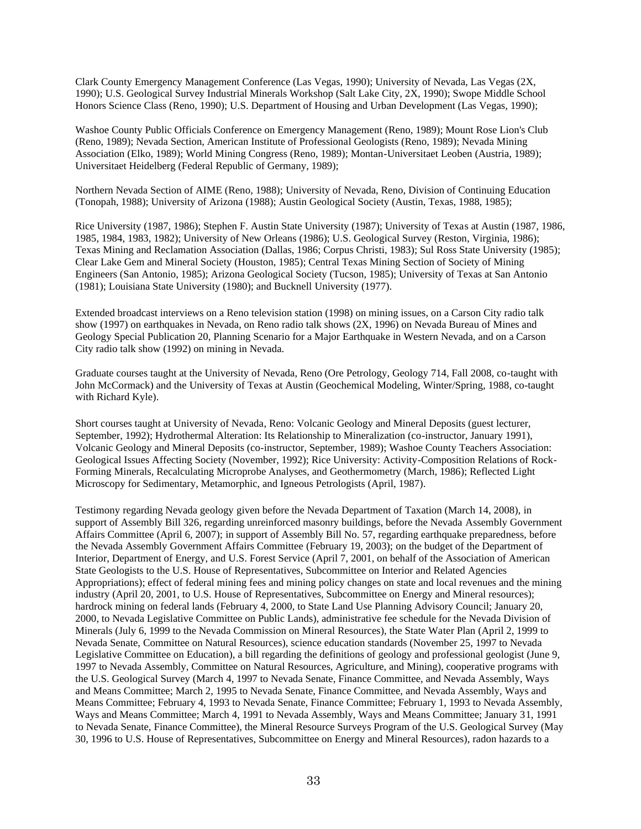Clark County Emergency Management Conference (Las Vegas, 1990); University of Nevada, Las Vegas (2X, 1990); U.S. Geological Survey Industrial Minerals Workshop (Salt Lake City, 2X, 1990); Swope Middle School Honors Science Class (Reno, 1990); U.S. Department of Housing and Urban Development (Las Vegas, 1990);

Washoe County Public Officials Conference on Emergency Management (Reno, 1989); Mount Rose Lion's Club (Reno, 1989); Nevada Section, American Institute of Professional Geologists (Reno, 1989); Nevada Mining Association (Elko, 1989); World Mining Congress (Reno, 1989); Montan-Universitaet Leoben (Austria, 1989); Universitaet Heidelberg (Federal Republic of Germany, 1989);

Northern Nevada Section of AIME (Reno, 1988); University of Nevada, Reno, Division of Continuing Education (Tonopah, 1988); University of Arizona (1988); Austin Geological Society (Austin, Texas, 1988, 1985);

Rice University (1987, 1986); Stephen F. Austin State University (1987); University of Texas at Austin (1987, 1986, 1985, 1984, 1983, 1982); University of New Orleans (1986); U.S. Geological Survey (Reston, Virginia, 1986); Texas Mining and Reclamation Association (Dallas, 1986; Corpus Christi, 1983); Sul Ross State University (1985); Clear Lake Gem and Mineral Society (Houston, 1985); Central Texas Mining Section of Society of Mining Engineers (San Antonio, 1985); Arizona Geological Society (Tucson, 1985); University of Texas at San Antonio (1981); Louisiana State University (1980); and Bucknell University (1977).

Extended broadcast interviews on a Reno television station (1998) on mining issues, on a Carson City radio talk show (1997) on earthquakes in Nevada, on Reno radio talk shows (2X, 1996) on Nevada Bureau of Mines and Geology Special Publication 20, Planning Scenario for a Major Earthquake in Western Nevada, and on a Carson City radio talk show (1992) on mining in Nevada.

Graduate courses taught at the University of Nevada, Reno (Ore Petrology, Geology 714, Fall 2008, co-taught with John McCormack) and the University of Texas at Austin (Geochemical Modeling, Winter/Spring, 1988, co-taught with Richard Kyle).

Short courses taught at University of Nevada, Reno: Volcanic Geology and Mineral Deposits (guest lecturer, September, 1992); Hydrothermal Alteration: Its Relationship to Mineralization (co-instructor, January 1991), Volcanic Geology and Mineral Deposits (co-instructor, September, 1989); Washoe County Teachers Association: Geological Issues Affecting Society (November, 1992); Rice University: Activity-Composition Relations of Rock-Forming Minerals, Recalculating Microprobe Analyses, and Geothermometry (March, 1986); Reflected Light Microscopy for Sedimentary, Metamorphic, and Igneous Petrologists (April, 1987).

Testimony regarding Nevada geology given before the Nevada Department of Taxation (March 14, 2008), in support of Assembly Bill 326, regarding unreinforced masonry buildings, before the Nevada Assembly Government Affairs Committee (April 6, 2007); in support of Assembly Bill No. 57, regarding earthquake preparedness, before the Nevada Assembly Government Affairs Committee (February 19, 2003); on the budget of the Department of Interior, Department of Energy, and U.S. Forest Service (April 7, 2001, on behalf of the Association of American State Geologists to the U.S. House of Representatives, Subcommittee on Interior and Related Agencies Appropriations); effect of federal mining fees and mining policy changes on state and local revenues and the mining industry (April 20, 2001, to U.S. House of Representatives, Subcommittee on Energy and Mineral resources); hardrock mining on federal lands (February 4, 2000, to State Land Use Planning Advisory Council; January 20, 2000, to Nevada Legislative Committee on Public Lands), administrative fee schedule for the Nevada Division of Minerals (July 6, 1999 to the Nevada Commission on Mineral Resources), the State Water Plan (April 2, 1999 to Nevada Senate, Committee on Natural Resources), science education standards (November 25, 1997 to Nevada Legislative Committee on Education), a bill regarding the definitions of geology and professional geologist (June 9, 1997 to Nevada Assembly, Committee on Natural Resources, Agriculture, and Mining), cooperative programs with the U.S. Geological Survey (March 4, 1997 to Nevada Senate, Finance Committee, and Nevada Assembly, Ways and Means Committee; March 2, 1995 to Nevada Senate, Finance Committee, and Nevada Assembly, Ways and Means Committee; February 4, 1993 to Nevada Senate, Finance Committee; February 1, 1993 to Nevada Assembly, Ways and Means Committee; March 4, 1991 to Nevada Assembly, Ways and Means Committee; January 31, 1991 to Nevada Senate, Finance Committee), the Mineral Resource Surveys Program of the U.S. Geological Survey (May 30, 1996 to U.S. House of Representatives, Subcommittee on Energy and Mineral Resources), radon hazards to a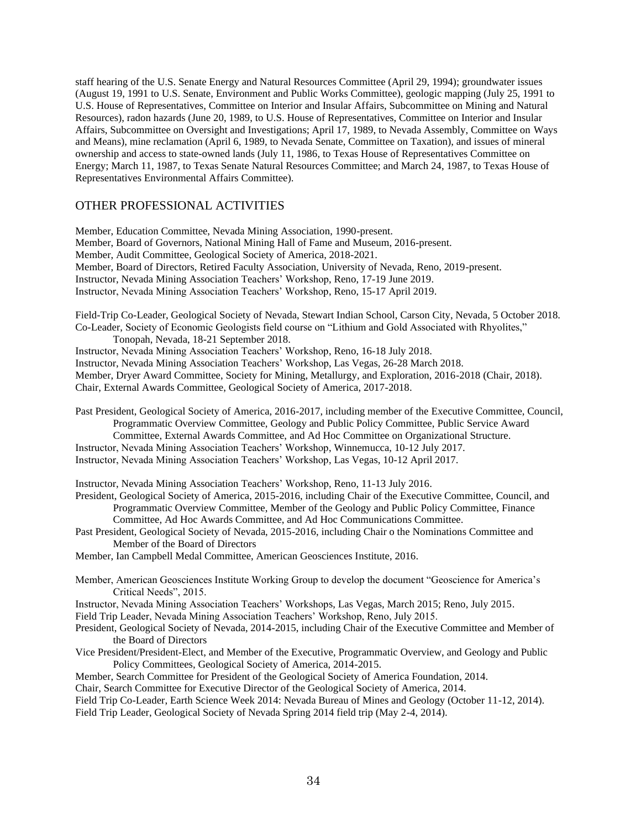staff hearing of the U.S. Senate Energy and Natural Resources Committee (April 29, 1994); groundwater issues (August 19, 1991 to U.S. Senate, Environment and Public Works Committee), geologic mapping (July 25, 1991 to U.S. House of Representatives, Committee on Interior and Insular Affairs, Subcommittee on Mining and Natural Resources), radon hazards (June 20, 1989, to U.S. House of Representatives, Committee on Interior and Insular Affairs, Subcommittee on Oversight and Investigations; April 17, 1989, to Nevada Assembly, Committee on Ways and Means), mine reclamation (April 6, 1989, to Nevada Senate, Committee on Taxation), and issues of mineral ownership and access to state-owned lands (July 11, 1986, to Texas House of Representatives Committee on Energy; March 11, 1987, to Texas Senate Natural Resources Committee; and March 24, 1987, to Texas House of Representatives Environmental Affairs Committee).

# OTHER PROFESSIONAL ACTIVITIES

Member, Education Committee, Nevada Mining Association, 1990-present. Member, Board of Governors, National Mining Hall of Fame and Museum, 2016-present. Member, Audit Committee, Geological Society of America, 2018-2021. Member, Board of Directors, Retired Faculty Association, University of Nevada, Reno, 2019-present. Instructor, Nevada Mining Association Teachers' Workshop, Reno, 17-19 June 2019. Instructor, Nevada Mining Association Teachers' Workshop, Reno, 15-17 April 2019.

Field-Trip Co-Leader, Geological Society of Nevada, Stewart Indian School, Carson City, Nevada, 5 October 2018. Co-Leader, Society of Economic Geologists field course on "Lithium and Gold Associated with Rhyolites,"

Tonopah, Nevada, 18-21 September 2018.

Instructor, Nevada Mining Association Teachers' Workshop, Reno, 16-18 July 2018. Instructor, Nevada Mining Association Teachers' Workshop, Las Vegas, 26-28 March 2018.

Member, Dryer Award Committee, Society for Mining, Metallurgy, and Exploration, 2016-2018 (Chair, 2018).

Chair, External Awards Committee, Geological Society of America, 2017-2018.

Past President, Geological Society of America, 2016-2017, including member of the Executive Committee, Council, Programmatic Overview Committee, Geology and Public Policy Committee, Public Service Award Committee, External Awards Committee, and Ad Hoc Committee on Organizational Structure.

Instructor, Nevada Mining Association Teachers' Workshop, Winnemucca, 10-12 July 2017.

Instructor, Nevada Mining Association Teachers' Workshop, Las Vegas, 10-12 April 2017.

Instructor, Nevada Mining Association Teachers' Workshop, Reno, 11-13 July 2016.

President, Geological Society of America, 2015-2016, including Chair of the Executive Committee, Council, and Programmatic Overview Committee, Member of the Geology and Public Policy Committee, Finance Committee, Ad Hoc Awards Committee, and Ad Hoc Communications Committee.

Past President, Geological Society of Nevada, 2015-2016, including Chair o the Nominations Committee and Member of the Board of Directors

Member, Ian Campbell Medal Committee, American Geosciences Institute, 2016.

Member, American Geosciences Institute Working Group to develop the document "Geoscience for America's Critical Needs", 2015.

Instructor, Nevada Mining Association Teachers' Workshops, Las Vegas, March 2015; Reno, July 2015.

Field Trip Leader, Nevada Mining Association Teachers' Workshop, Reno, July 2015.

President, Geological Society of Nevada, 2014-2015, including Chair of the Executive Committee and Member of the Board of Directors

Vice President/President-Elect, and Member of the Executive, Programmatic Overview, and Geology and Public Policy Committees, Geological Society of America, 2014-2015.

Member, Search Committee for President of the Geological Society of America Foundation, 2014.

Chair, Search Committee for Executive Director of the Geological Society of America, 2014.

Field Trip Co-Leader, Earth Science Week 2014: Nevada Bureau of Mines and Geology (October 11-12, 2014). Field Trip Leader, Geological Society of Nevada Spring 2014 field trip (May 2-4, 2014).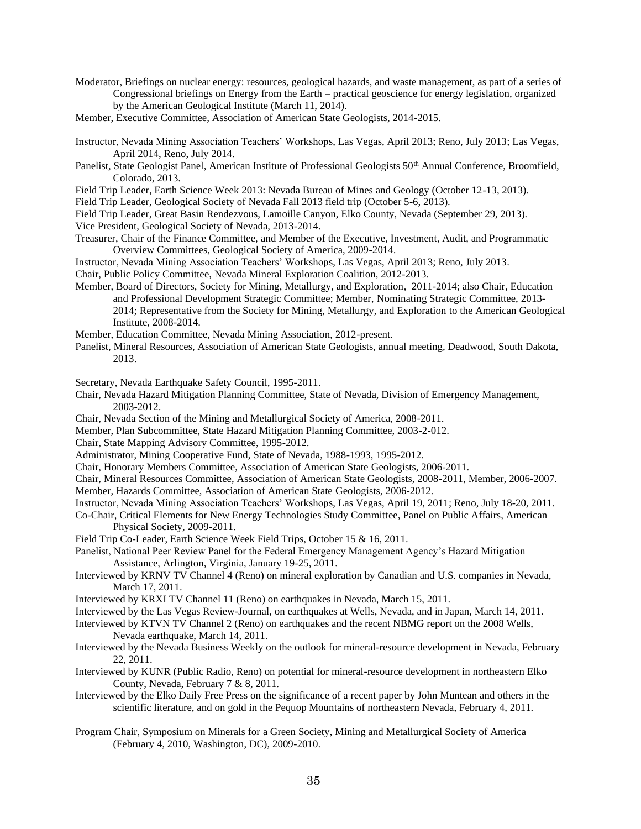- Moderator, Briefings on nuclear energy: resources, geological hazards, and waste management, as part of a series of Congressional briefings on Energy from the Earth – practical geoscience for energy legislation, organized by the American Geological Institute (March 11, 2014).
- Member, Executive Committee, Association of American State Geologists, 2014-2015.
- Instructor, Nevada Mining Association Teachers' Workshops, Las Vegas, April 2013; Reno, July 2013; Las Vegas, April 2014, Reno, July 2014.
- Panelist, State Geologist Panel, American Institute of Professional Geologists 50<sup>th</sup> Annual Conference, Broomfield, Colorado, 2013.
- Field Trip Leader, Earth Science Week 2013: Nevada Bureau of Mines and Geology (October 12-13, 2013).
- Field Trip Leader, Geological Society of Nevada Fall 2013 field trip (October 5-6, 2013).
- Field Trip Leader, Great Basin Rendezvous, Lamoille Canyon, Elko County, Nevada (September 29, 2013).
- Vice President, Geological Society of Nevada, 2013-2014.
- Treasurer, Chair of the Finance Committee, and Member of the Executive, Investment, Audit, and Programmatic Overview Committees, Geological Society of America, 2009-2014.
- Instructor, Nevada Mining Association Teachers' Workshops, Las Vegas, April 2013; Reno, July 2013.
- Chair, Public Policy Committee, Nevada Mineral Exploration Coalition, 2012-2013.
- Member, Board of Directors, Society for Mining, Metallurgy, and Exploration, 2011-2014; also Chair, Education and Professional Development Strategic Committee; Member, Nominating Strategic Committee, 2013- 2014; Representative from the Society for Mining, Metallurgy, and Exploration to the American Geological Institute, 2008-2014.
- Member, Education Committee, Nevada Mining Association, 2012-present.
- Panelist, Mineral Resources, Association of American State Geologists, annual meeting, Deadwood, South Dakota, 2013.

Secretary, Nevada Earthquake Safety Council, 1995-2011.

- Chair, Nevada Hazard Mitigation Planning Committee, State of Nevada, Division of Emergency Management, 2003-2012.
- Chair, Nevada Section of the Mining and Metallurgical Society of America, 2008-2011.
- Member, Plan Subcommittee, State Hazard Mitigation Planning Committee, 2003-2-012.
- Chair, State Mapping Advisory Committee, 1995-2012.
- Administrator, Mining Cooperative Fund, State of Nevada, 1988-1993, 1995-2012.
- Chair, Honorary Members Committee, Association of American State Geologists, 2006-2011.
- Chair, Mineral Resources Committee, Association of American State Geologists, 2008-2011, Member, 2006-2007. Member, Hazards Committee, Association of American State Geologists, 2006-2012.
- Instructor, Nevada Mining Association Teachers' Workshops, Las Vegas, April 19, 2011; Reno, July 18-20, 2011.
- Co-Chair, Critical Elements for New Energy Technologies Study Committee, Panel on Public Affairs, American Physical Society, 2009-2011.
- Field Trip Co-Leader, Earth Science Week Field Trips, October 15 & 16, 2011.
- Panelist, National Peer Review Panel for the Federal Emergency Management Agency's Hazard Mitigation Assistance, Arlington, Virginia, January 19-25, 2011.
- Interviewed by KRNV TV Channel 4 (Reno) on mineral exploration by Canadian and U.S. companies in Nevada, March 17, 2011.
- Interviewed by KRXI TV Channel 11 (Reno) on earthquakes in Nevada, March 15, 2011.
- Interviewed by the Las Vegas Review-Journal, on earthquakes at Wells, Nevada, and in Japan, March 14, 2011.
- Interviewed by KTVN TV Channel 2 (Reno) on earthquakes and the recent NBMG report on the 2008 Wells, Nevada earthquake, March 14, 2011.
- Interviewed by the Nevada Business Weekly on the outlook for mineral-resource development in Nevada, February 22, 2011.
- Interviewed by KUNR (Public Radio, Reno) on potential for mineral-resource development in northeastern Elko County, Nevada, February 7 & 8, 2011.
- Interviewed by the Elko Daily Free Press on the significance of a recent paper by John Muntean and others in the scientific literature, and on gold in the Pequop Mountains of northeastern Nevada, February 4, 2011.
- Program Chair, Symposium on Minerals for a Green Society, Mining and Metallurgical Society of America (February 4, 2010, Washington, DC), 2009-2010.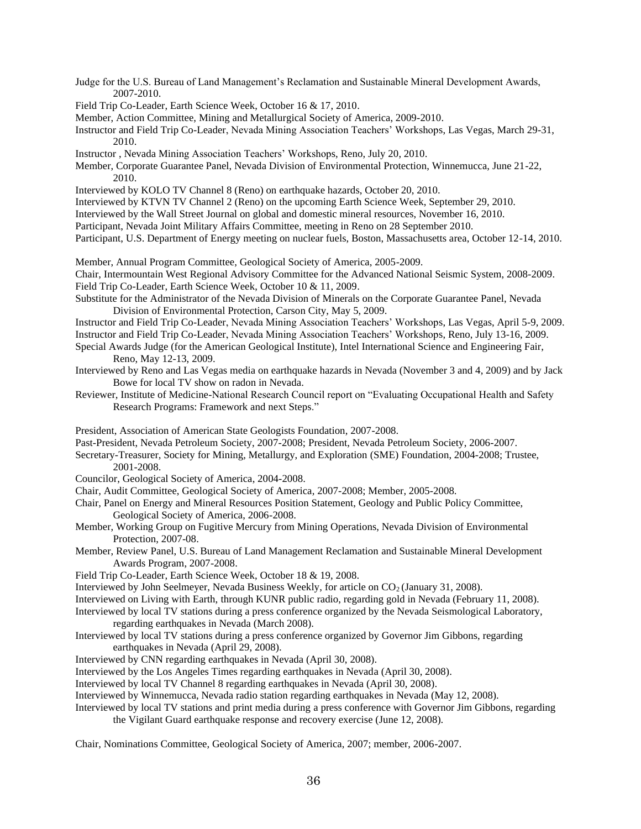- Judge for the U.S. Bureau of Land Management's Reclamation and Sustainable Mineral Development Awards, 2007-2010.
- Field Trip Co-Leader, Earth Science Week, October 16 & 17, 2010.
- Member, Action Committee, Mining and Metallurgical Society of America, 2009-2010.
- Instructor and Field Trip Co-Leader, Nevada Mining Association Teachers' Workshops, Las Vegas, March 29-31, 2010.
- Instructor , Nevada Mining Association Teachers' Workshops, Reno, July 20, 2010.
- Member, Corporate Guarantee Panel, Nevada Division of Environmental Protection, Winnemucca, June 21-22, 2010.
- Interviewed by KOLO TV Channel 8 (Reno) on earthquake hazards, October 20, 2010.
- Interviewed by KTVN TV Channel 2 (Reno) on the upcoming Earth Science Week, September 29, 2010.
- Interviewed by the Wall Street Journal on global and domestic mineral resources, November 16, 2010.
- Participant, Nevada Joint Military Affairs Committee, meeting in Reno on 28 September 2010.
- Participant, U.S. Department of Energy meeting on nuclear fuels, Boston, Massachusetts area, October 12-14, 2010.

Member, Annual Program Committee, Geological Society of America, 2005-2009.

Chair, Intermountain West Regional Advisory Committee for the Advanced National Seismic System, 2008-2009. Field Trip Co-Leader, Earth Science Week, October 10 & 11, 2009.

- Substitute for the Administrator of the Nevada Division of Minerals on the Corporate Guarantee Panel, Nevada Division of Environmental Protection, Carson City, May 5, 2009.
- Instructor and Field Trip Co-Leader, Nevada Mining Association Teachers' Workshops, Las Vegas, April 5-9, 2009. Instructor and Field Trip Co-Leader, Nevada Mining Association Teachers' Workshops, Reno, July 13-16, 2009.
- Special Awards Judge (for the American Geological Institute), Intel International Science and Engineering Fair, Reno, May 12-13, 2009.
- Interviewed by Reno and Las Vegas media on earthquake hazards in Nevada (November 3 and 4, 2009) and by Jack Bowe for local TV show on radon in Nevada.
- Reviewer, Institute of Medicine-National Research Council report on "Evaluating Occupational Health and Safety Research Programs: Framework and next Steps."

President, Association of American State Geologists Foundation, 2007-2008.

- Past-President, Nevada Petroleum Society, 2007-2008; President, Nevada Petroleum Society, 2006-2007.
- Secretary-Treasurer, Society for Mining, Metallurgy, and Exploration (SME) Foundation, 2004-2008; Trustee, 2001-2008.
- Councilor, Geological Society of America, 2004-2008.
- Chair, Audit Committee, Geological Society of America, 2007-2008; Member, 2005-2008.
- Chair, Panel on Energy and Mineral Resources Position Statement, Geology and Public Policy Committee, Geological Society of America, 2006-2008.
- Member, Working Group on Fugitive Mercury from Mining Operations, Nevada Division of Environmental Protection, 2007-08.
- Member, Review Panel, U.S. Bureau of Land Management Reclamation and Sustainable Mineral Development Awards Program, 2007-2008.
- Field Trip Co-Leader, Earth Science Week, October 18 & 19, 2008.
- Interviewed by John Seelmeyer, Nevada Business Weekly, for article on CO2 (January 31, 2008).

Interviewed on Living with Earth, through KUNR public radio, regarding gold in Nevada (February 11, 2008).

Interviewed by local TV stations during a press conference organized by the Nevada Seismological Laboratory, regarding earthquakes in Nevada (March 2008).

- Interviewed by local TV stations during a press conference organized by Governor Jim Gibbons, regarding earthquakes in Nevada (April 29, 2008).
- Interviewed by CNN regarding earthquakes in Nevada (April 30, 2008).
- Interviewed by the Los Angeles Times regarding earthquakes in Nevada (April 30, 2008).

Interviewed by local TV Channel 8 regarding earthquakes in Nevada (April 30, 2008).

Interviewed by Winnemucca, Nevada radio station regarding earthquakes in Nevada (May 12, 2008).

Interviewed by local TV stations and print media during a press conference with Governor Jim Gibbons, regarding the Vigilant Guard earthquake response and recovery exercise (June 12, 2008).

Chair, Nominations Committee, Geological Society of America, 2007; member, 2006-2007.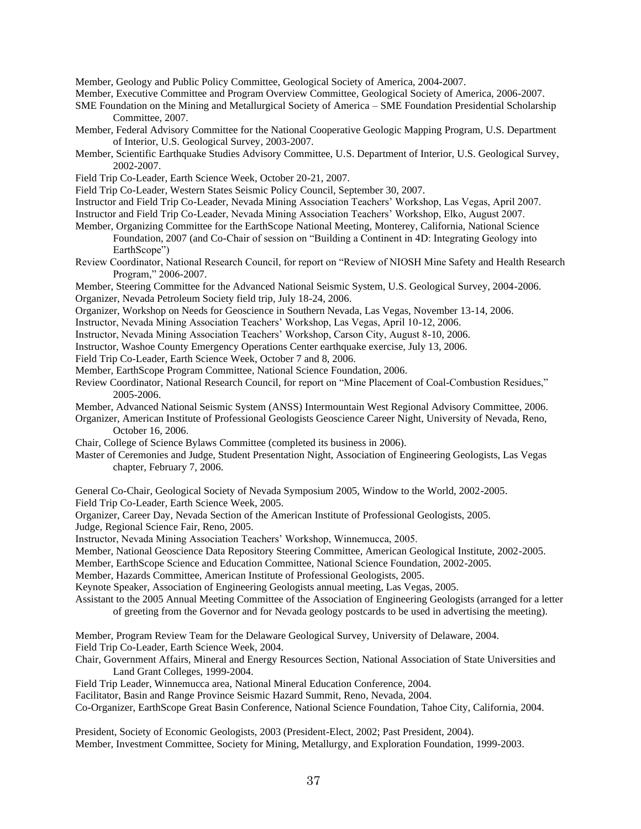Member, Geology and Public Policy Committee, Geological Society of America, 2004-2007.

Member, Executive Committee and Program Overview Committee, Geological Society of America, 2006-2007.

SME Foundation on the Mining and Metallurgical Society of America – SME Foundation Presidential Scholarship Committee, 2007.

- Member, Federal Advisory Committee for the National Cooperative Geologic Mapping Program, U.S. Department of Interior, U.S. Geological Survey, 2003-2007.
- Member, Scientific Earthquake Studies Advisory Committee, U.S. Department of Interior, U.S. Geological Survey, 2002-2007.
- Field Trip Co-Leader, Earth Science Week, October 20-21, 2007.
- Field Trip Co-Leader, Western States Seismic Policy Council, September 30, 2007.

Instructor and Field Trip Co-Leader, Nevada Mining Association Teachers' Workshop, Las Vegas, April 2007.

Instructor and Field Trip Co-Leader, Nevada Mining Association Teachers' Workshop, Elko, August 2007.

Member, Organizing Committee for the EarthScope National Meeting, Monterey, California, National Science Foundation, 2007 (and Co-Chair of session on "Building a Continent in 4D: Integrating Geology into EarthScope")

Review Coordinator, National Research Council, for report on "Review of NIOSH Mine Safety and Health Research Program," 2006-2007.

Member, Steering Committee for the Advanced National Seismic System, U.S. Geological Survey, 2004-2006. Organizer, Nevada Petroleum Society field trip, July 18-24, 2006.

Organizer, Workshop on Needs for Geoscience in Southern Nevada, Las Vegas, November 13-14, 2006.

Instructor, Nevada Mining Association Teachers' Workshop, Las Vegas, April 10-12, 2006.

Instructor, Nevada Mining Association Teachers' Workshop, Carson City, August 8-10, 2006.

Instructor, Washoe County Emergency Operations Center earthquake exercise, July 13, 2006.

Field Trip Co-Leader, Earth Science Week, October 7 and 8, 2006.

Member, EarthScope Program Committee, National Science Foundation, 2006.

Review Coordinator, National Research Council, for report on "Mine Placement of Coal-Combustion Residues," 2005-2006.

Member, Advanced National Seismic System (ANSS) Intermountain West Regional Advisory Committee, 2006.

Organizer, American Institute of Professional Geologists Geoscience Career Night, University of Nevada, Reno, October 16, 2006.

Chair, College of Science Bylaws Committee (completed its business in 2006).

Master of Ceremonies and Judge, Student Presentation Night, Association of Engineering Geologists, Las Vegas chapter, February 7, 2006.

General Co-Chair, Geological Society of Nevada Symposium 2005, Window to the World, 2002-2005.

Field Trip Co-Leader, Earth Science Week, 2005.

Organizer, Career Day, Nevada Section of the American Institute of Professional Geologists, 2005.

Judge, Regional Science Fair, Reno, 2005.

Instructor, Nevada Mining Association Teachers' Workshop, Winnemucca, 2005.

Member, National Geoscience Data Repository Steering Committee, American Geological Institute, 2002-2005.

Member, EarthScope Science and Education Committee, National Science Foundation, 2002-2005.

Member, Hazards Committee, American Institute of Professional Geologists, 2005.

Keynote Speaker, Association of Engineering Geologists annual meeting, Las Vegas, 2005.

Assistant to the 2005 Annual Meeting Committee of the Association of Engineering Geologists (arranged for a letter of greeting from the Governor and for Nevada geology postcards to be used in advertising the meeting).

Member, Program Review Team for the Delaware Geological Survey, University of Delaware, 2004. Field Trip Co-Leader, Earth Science Week, 2004.

Chair, Government Affairs, Mineral and Energy Resources Section, National Association of State Universities and Land Grant Colleges, 1999-2004.

Field Trip Leader, Winnemucca area, National Mineral Education Conference, 2004.

Facilitator, Basin and Range Province Seismic Hazard Summit, Reno, Nevada, 2004.

Co-Organizer, EarthScope Great Basin Conference, National Science Foundation, Tahoe City, California, 2004.

President, Society of Economic Geologists, 2003 (President-Elect, 2002; Past President, 2004). Member, Investment Committee, Society for Mining, Metallurgy, and Exploration Foundation, 1999-2003.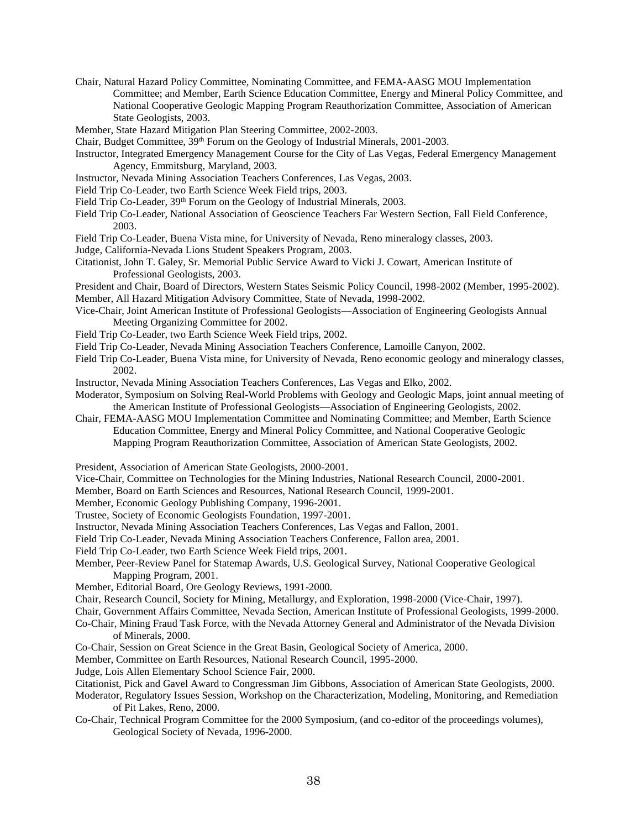- Chair, Natural Hazard Policy Committee, Nominating Committee, and FEMA-AASG MOU Implementation Committee; and Member, Earth Science Education Committee, Energy and Mineral Policy Committee, and National Cooperative Geologic Mapping Program Reauthorization Committee, Association of American State Geologists, 2003.
- Member, State Hazard Mitigation Plan Steering Committee, 2002-2003.
- Chair, Budget Committee, 39<sup>th</sup> Forum on the Geology of Industrial Minerals, 2001-2003.
- Instructor, Integrated Emergency Management Course for the City of Las Vegas, Federal Emergency Management Agency, Emmitsburg, Maryland, 2003.
- Instructor, Nevada Mining Association Teachers Conferences, Las Vegas, 2003.
- Field Trip Co-Leader, two Earth Science Week Field trips, 2003.
- Field Trip Co-Leader, 39<sup>th</sup> Forum on the Geology of Industrial Minerals, 2003.
- Field Trip Co-Leader, National Association of Geoscience Teachers Far Western Section, Fall Field Conference, 2003.
- Field Trip Co-Leader, Buena Vista mine, for University of Nevada, Reno mineralogy classes, 2003.
- Judge, California-Nevada Lions Student Speakers Program, 2003.
- Citationist, John T. Galey, Sr. Memorial Public Service Award to Vicki J. Cowart, American Institute of Professional Geologists, 2003.
- President and Chair, Board of Directors, Western States Seismic Policy Council, 1998-2002 (Member, 1995-2002). Member, All Hazard Mitigation Advisory Committee, State of Nevada, 1998-2002.
- Vice-Chair, Joint American Institute of Professional Geologists—Association of Engineering Geologists Annual Meeting Organizing Committee for 2002.
- Field Trip Co-Leader, two Earth Science Week Field trips, 2002.
- Field Trip Co-Leader, Nevada Mining Association Teachers Conference, Lamoille Canyon, 2002.
- Field Trip Co-Leader, Buena Vista mine, for University of Nevada, Reno economic geology and mineralogy classes, 2002.
- Instructor, Nevada Mining Association Teachers Conferences, Las Vegas and Elko, 2002.
- Moderator, Symposium on Solving Real-World Problems with Geology and Geologic Maps, joint annual meeting of the American Institute of Professional Geologists—Association of Engineering Geologists, 2002.
- Chair, FEMA-AASG MOU Implementation Committee and Nominating Committee; and Member, Earth Science Education Committee, Energy and Mineral Policy Committee, and National Cooperative Geologic Mapping Program Reauthorization Committee, Association of American State Geologists, 2002.
- President, Association of American State Geologists, 2000-2001.
- Vice-Chair, Committee on Technologies for the Mining Industries, National Research Council, 2000-2001.
- Member, Board on Earth Sciences and Resources, National Research Council, 1999-2001.
- Member, Economic Geology Publishing Company, 1996-2001.
- Trustee, Society of Economic Geologists Foundation, 1997-2001.
- Instructor, Nevada Mining Association Teachers Conferences, Las Vegas and Fallon, 2001.
- Field Trip Co-Leader, Nevada Mining Association Teachers Conference, Fallon area, 2001.
- Field Trip Co-Leader, two Earth Science Week Field trips, 2001.
- Member, Peer-Review Panel for Statemap Awards, U.S. Geological Survey, National Cooperative Geological Mapping Program, 2001.
- Member, Editorial Board, Ore Geology Reviews, 1991-2000.
- Chair, Research Council, Society for Mining, Metallurgy, and Exploration, 1998-2000 (Vice-Chair, 1997).
- Chair, Government Affairs Committee, Nevada Section, American Institute of Professional Geologists, 1999-2000.
- Co-Chair, Mining Fraud Task Force, with the Nevada Attorney General and Administrator of the Nevada Division of Minerals, 2000.
- Co-Chair, Session on Great Science in the Great Basin, Geological Society of America, 2000.
- Member, Committee on Earth Resources, National Research Council, 1995-2000.
- Judge, Lois Allen Elementary School Science Fair, 2000.
- Citationist, Pick and Gavel Award to Congressman Jim Gibbons, Association of American State Geologists, 2000.
- Moderator, Regulatory Issues Session, Workshop on the Characterization, Modeling, Monitoring, and Remediation of Pit Lakes, Reno, 2000.
- Co-Chair, Technical Program Committee for the 2000 Symposium, (and co-editor of the proceedings volumes), Geological Society of Nevada, 1996-2000.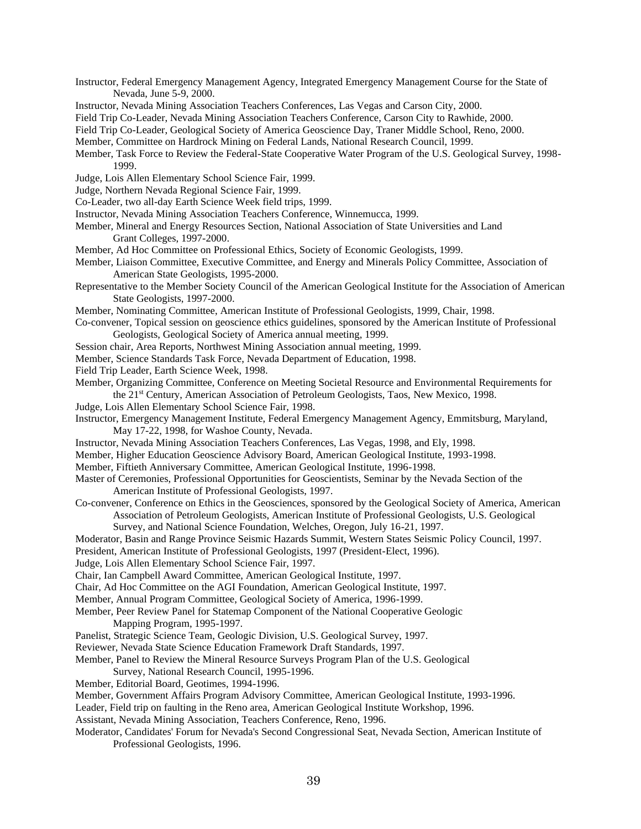- Instructor, Federal Emergency Management Agency, Integrated Emergency Management Course for the State of Nevada, June 5-9, 2000.
- Instructor, Nevada Mining Association Teachers Conferences, Las Vegas and Carson City, 2000.
- Field Trip Co-Leader, Nevada Mining Association Teachers Conference, Carson City to Rawhide, 2000.
- Field Trip Co-Leader, Geological Society of America Geoscience Day, Traner Middle School, Reno, 2000.
- Member, Committee on Hardrock Mining on Federal Lands, National Research Council, 1999.
- Member, Task Force to Review the Federal-State Cooperative Water Program of the U.S. Geological Survey, 1998- 1999.
- Judge, Lois Allen Elementary School Science Fair, 1999.
- Judge, Northern Nevada Regional Science Fair, 1999.
- Co-Leader, two all-day Earth Science Week field trips, 1999.
- Instructor, Nevada Mining Association Teachers Conference, Winnemucca, 1999.
- Member, Mineral and Energy Resources Section, National Association of State Universities and Land Grant Colleges, 1997-2000.
- Member, Ad Hoc Committee on Professional Ethics, Society of Economic Geologists, 1999.
- Member, Liaison Committee, Executive Committee, and Energy and Minerals Policy Committee, Association of American State Geologists, 1995-2000.
- Representative to the Member Society Council of the American Geological Institute for the Association of American State Geologists, 1997-2000.
- Member, Nominating Committee, American Institute of Professional Geologists, 1999, Chair, 1998.
- Co-convener, Topical session on geoscience ethics guidelines, sponsored by the American Institute of Professional Geologists, Geological Society of America annual meeting, 1999.
- Session chair, Area Reports, Northwest Mining Association annual meeting, 1999.
- Member, Science Standards Task Force, Nevada Department of Education, 1998.
- Field Trip Leader, Earth Science Week, 1998.
- Member, Organizing Committee, Conference on Meeting Societal Resource and Environmental Requirements for the 21st Century, American Association of Petroleum Geologists, Taos, New Mexico, 1998.
- Judge, Lois Allen Elementary School Science Fair, 1998.
- Instructor, Emergency Management Institute, Federal Emergency Management Agency, Emmitsburg, Maryland, May 17-22, 1998, for Washoe County, Nevada.
- Instructor, Nevada Mining Association Teachers Conferences, Las Vegas, 1998, and Ely, 1998.
- Member, Higher Education Geoscience Advisory Board, American Geological Institute, 1993-1998.
- Member, Fiftieth Anniversary Committee, American Geological Institute, 1996-1998.
- Master of Ceremonies, Professional Opportunities for Geoscientists, Seminar by the Nevada Section of the American Institute of Professional Geologists, 1997.
- Co-convener, Conference on Ethics in the Geosciences, sponsored by the Geological Society of America, American Association of Petroleum Geologists, American Institute of Professional Geologists, U.S. Geological Survey, and National Science Foundation, Welches, Oregon, July 16-21, 1997.
- Moderator, Basin and Range Province Seismic Hazards Summit, Western States Seismic Policy Council, 1997.
- President, American Institute of Professional Geologists, 1997 (President-Elect, 1996).
- Judge, Lois Allen Elementary School Science Fair, 1997.
- Chair, Ian Campbell Award Committee, American Geological Institute, 1997.
- Chair, Ad Hoc Committee on the AGI Foundation, American Geological Institute, 1997.
- Member, Annual Program Committee, Geological Society of America, 1996-1999.
- Member, Peer Review Panel for Statemap Component of the National Cooperative Geologic Mapping Program, 1995-1997.
- Panelist, Strategic Science Team, Geologic Division, U.S. Geological Survey, 1997.
- Reviewer, Nevada State Science Education Framework Draft Standards, 1997.
- Member, Panel to Review the Mineral Resource Surveys Program Plan of the U.S. Geological
- Survey, National Research Council, 1995-1996.
- Member, Editorial Board, Geotimes, 1994-1996.
- Member, Government Affairs Program Advisory Committee, American Geological Institute, 1993-1996.
- Leader, Field trip on faulting in the Reno area, American Geological Institute Workshop, 1996.
- Assistant, Nevada Mining Association, Teachers Conference, Reno, 1996.
- Moderator, Candidates' Forum for Nevada's Second Congressional Seat, Nevada Section, American Institute of Professional Geologists, 1996.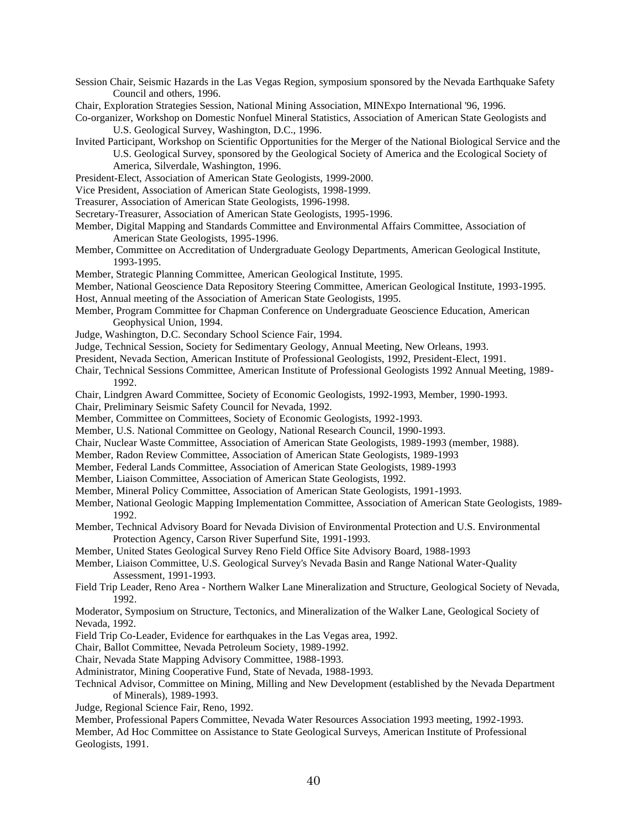- Session Chair, Seismic Hazards in the Las Vegas Region, symposium sponsored by the Nevada Earthquake Safety Council and others, 1996.
- Chair, Exploration Strategies Session, National Mining Association, MINExpo International '96, 1996.

Co-organizer, Workshop on Domestic Nonfuel Mineral Statistics, Association of American State Geologists and U.S. Geological Survey, Washington, D.C., 1996.

- Invited Participant, Workshop on Scientific Opportunities for the Merger of the National Biological Service and the U.S. Geological Survey, sponsored by the Geological Society of America and the Ecological Society of America, Silverdale, Washington, 1996.
- President-Elect, Association of American State Geologists, 1999-2000.
- Vice President, Association of American State Geologists, 1998-1999.
- Treasurer, Association of American State Geologists, 1996-1998.
- Secretary-Treasurer, Association of American State Geologists, 1995-1996.
- Member, Digital Mapping and Standards Committee and Environmental Affairs Committee, Association of American State Geologists, 1995-1996.
- Member, Committee on Accreditation of Undergraduate Geology Departments, American Geological Institute, 1993-1995.
- Member, Strategic Planning Committee, American Geological Institute, 1995.
- Member, National Geoscience Data Repository Steering Committee, American Geological Institute, 1993-1995.
- Host, Annual meeting of the Association of American State Geologists, 1995.
- Member, Program Committee for Chapman Conference on Undergraduate Geoscience Education, American Geophysical Union, 1994.
- Judge, Washington, D.C. Secondary School Science Fair, 1994.
- Judge, Technical Session, Society for Sedimentary Geology, Annual Meeting, New Orleans, 1993.
- President, Nevada Section, American Institute of Professional Geologists, 1992, President-Elect, 1991.
- Chair, Technical Sessions Committee, American Institute of Professional Geologists 1992 Annual Meeting, 1989- 1992.
- Chair, Lindgren Award Committee, Society of Economic Geologists, 1992-1993, Member, 1990-1993.
- Chair, Preliminary Seismic Safety Council for Nevada, 1992.
- Member, Committee on Committees, Society of Economic Geologists, 1992-1993.
- Member, U.S. National Committee on Geology, National Research Council, 1990-1993.
- Chair, Nuclear Waste Committee, Association of American State Geologists, 1989-1993 (member, 1988).
- Member, Radon Review Committee, Association of American State Geologists, 1989-1993
- Member, Federal Lands Committee, Association of American State Geologists, 1989-1993
- Member, Liaison Committee, Association of American State Geologists, 1992.
- Member, Mineral Policy Committee, Association of American State Geologists, 1991-1993.
- Member, National Geologic Mapping Implementation Committee, Association of American State Geologists, 1989- 1992.
- Member, Technical Advisory Board for Nevada Division of Environmental Protection and U.S. Environmental Protection Agency, Carson River Superfund Site, 1991-1993.
- Member, United States Geological Survey Reno Field Office Site Advisory Board, 1988-1993
- Member, Liaison Committee, U.S. Geological Survey's Nevada Basin and Range National Water-Quality Assessment, 1991-1993.
- Field Trip Leader, Reno Area Northern Walker Lane Mineralization and Structure, Geological Society of Nevada, 1992.
- Moderator, Symposium on Structure, Tectonics, and Mineralization of the Walker Lane, Geological Society of Nevada, 1992.
- Field Trip Co-Leader, Evidence for earthquakes in the Las Vegas area, 1992.
- Chair, Ballot Committee, Nevada Petroleum Society, 1989-1992.
- Chair, Nevada State Mapping Advisory Committee, 1988-1993.
- Administrator, Mining Cooperative Fund, State of Nevada, 1988-1993.
- Technical Advisor, Committee on Mining, Milling and New Development (established by the Nevada Department of Minerals), 1989-1993.
- Judge, Regional Science Fair, Reno, 1992.

Member, Professional Papers Committee, Nevada Water Resources Association 1993 meeting, 1992-1993. Member, Ad Hoc Committee on Assistance to State Geological Surveys, American Institute of Professional Geologists, 1991.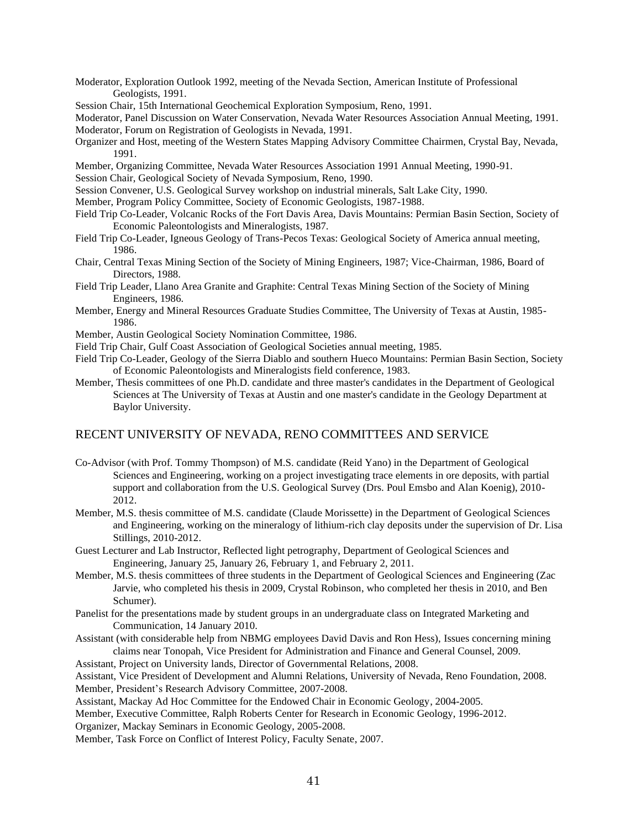Moderator, Exploration Outlook 1992, meeting of the Nevada Section, American Institute of Professional Geologists, 1991.

Session Chair, 15th International Geochemical Exploration Symposium, Reno, 1991.

Moderator, Panel Discussion on Water Conservation, Nevada Water Resources Association Annual Meeting, 1991. Moderator, Forum on Registration of Geologists in Nevada, 1991.

- Organizer and Host, meeting of the Western States Mapping Advisory Committee Chairmen, Crystal Bay, Nevada, 1991.
- Member, Organizing Committee, Nevada Water Resources Association 1991 Annual Meeting, 1990-91.

Session Chair, Geological Society of Nevada Symposium, Reno, 1990.

- Session Convener, U.S. Geological Survey workshop on industrial minerals, Salt Lake City, 1990.
- Member, Program Policy Committee, Society of Economic Geologists, 1987-1988.
- Field Trip Co-Leader, Volcanic Rocks of the Fort Davis Area, Davis Mountains: Permian Basin Section, Society of Economic Paleontologists and Mineralogists, 1987.
- Field Trip Co-Leader, Igneous Geology of Trans-Pecos Texas: Geological Society of America annual meeting, 1986.
- Chair, Central Texas Mining Section of the Society of Mining Engineers, 1987; Vice-Chairman, 1986, Board of Directors, 1988.
- Field Trip Leader, Llano Area Granite and Graphite: Central Texas Mining Section of the Society of Mining Engineers, 1986.
- Member, Energy and Mineral Resources Graduate Studies Committee, The University of Texas at Austin, 1985- 1986.
- Member, Austin Geological Society Nomination Committee, 1986.
- Field Trip Chair, Gulf Coast Association of Geological Societies annual meeting, 1985.
- Field Trip Co-Leader, Geology of the Sierra Diablo and southern Hueco Mountains: Permian Basin Section, Society of Economic Paleontologists and Mineralogists field conference, 1983.
- Member, Thesis committees of one Ph.D. candidate and three master's candidates in the Department of Geological Sciences at The University of Texas at Austin and one master's candidate in the Geology Department at Baylor University.

## RECENT UNIVERSITY OF NEVADA, RENO COMMITTEES AND SERVICE

- Co-Advisor (with Prof. Tommy Thompson) of M.S. candidate (Reid Yano) in the Department of Geological Sciences and Engineering, working on a project investigating trace elements in ore deposits, with partial support and collaboration from the U.S. Geological Survey (Drs. Poul Emsbo and Alan Koenig), 2010- 2012.
- Member, M.S. thesis committee of M.S. candidate (Claude Morissette) in the Department of Geological Sciences and Engineering, working on the mineralogy of lithium-rich clay deposits under the supervision of Dr. Lisa Stillings, 2010-2012.
- Guest Lecturer and Lab Instructor, Reflected light petrography, Department of Geological Sciences and Engineering, January 25, January 26, February 1, and February 2, 2011.
- Member, M.S. thesis committees of three students in the Department of Geological Sciences and Engineering (Zac Jarvie, who completed his thesis in 2009, Crystal Robinson, who completed her thesis in 2010, and Ben Schumer).
- Panelist for the presentations made by student groups in an undergraduate class on Integrated Marketing and Communication, 14 January 2010.
- Assistant (with considerable help from NBMG employees David Davis and Ron Hess), Issues concerning mining claims near Tonopah, Vice President for Administration and Finance and General Counsel, 2009.

Assistant, Project on University lands, Director of Governmental Relations, 2008.

Assistant, Vice President of Development and Alumni Relations, University of Nevada, Reno Foundation, 2008.

Member, President's Research Advisory Committee, 2007-2008.

Assistant, Mackay Ad Hoc Committee for the Endowed Chair in Economic Geology, 2004-2005.

Member, Executive Committee, Ralph Roberts Center for Research in Economic Geology, 1996-2012.

Organizer, Mackay Seminars in Economic Geology, 2005-2008.

Member, Task Force on Conflict of Interest Policy, Faculty Senate, 2007.